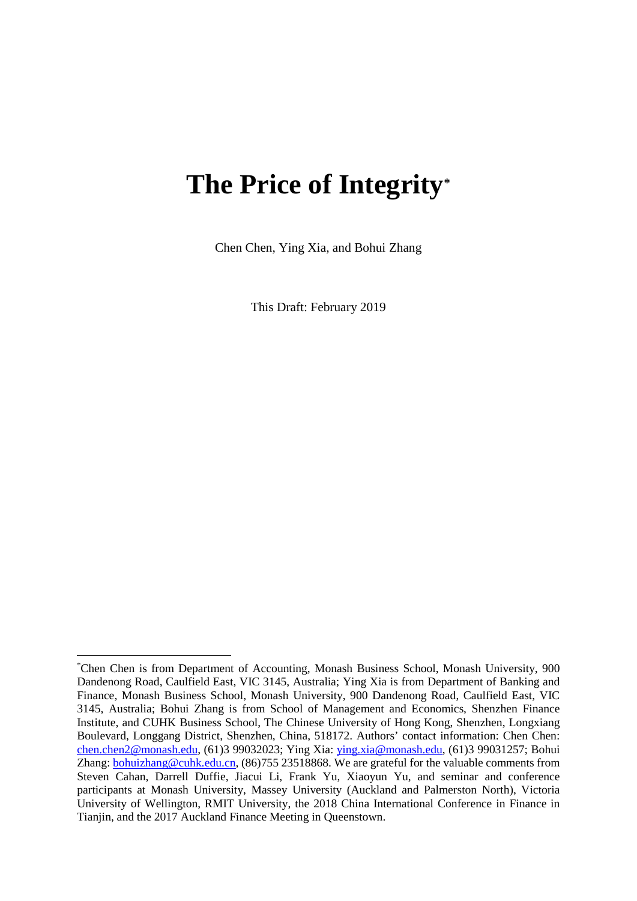# **The Price of Integrity[\\*](#page-0-0)**

Chen Chen, Ying Xia, and Bohui Zhang

This Draft: February 2019

<span id="page-0-0"></span>\* Chen Chen is from Department of Accounting, Monash Business School, Monash University, 900 Dandenong Road, Caulfield East, VIC 3145, Australia; Ying Xia is from Department of Banking and Finance, Monash Business School, Monash University, 900 Dandenong Road, Caulfield East, VIC 3145, Australia; Bohui Zhang is from School of Management and Economics, Shenzhen Finance Institute, and CUHK Business School, The Chinese University of Hong Kong, Shenzhen, Longxiang Boulevard, Longgang District, Shenzhen, China, 518172. Authors' contact information: Chen Chen: [chen.chen2@monash.edu,](mailto:chen.chen2@monash.edu) (61)3 99032023; Ying Xia: [ying.xia@monash.edu,](mailto:ying.xia@monash.edu) (61)3 99031257; Bohui Zhang[: bohuizhang@cuhk.edu.cn,](mailto:bohuizhang@cuhk.edu.cn) (86)755 23518868. We are grateful for the valuable comments from Steven Cahan, Darrell Duffie, Jiacui Li, Frank Yu, Xiaoyun Yu, and seminar and conference participants at Monash University, Massey University (Auckland and Palmerston North), Victoria University of Wellington, RMIT University, the 2018 China International Conference in Finance in Tianiin, and the 2017 Auckland Finance Meeting in Oueenstown.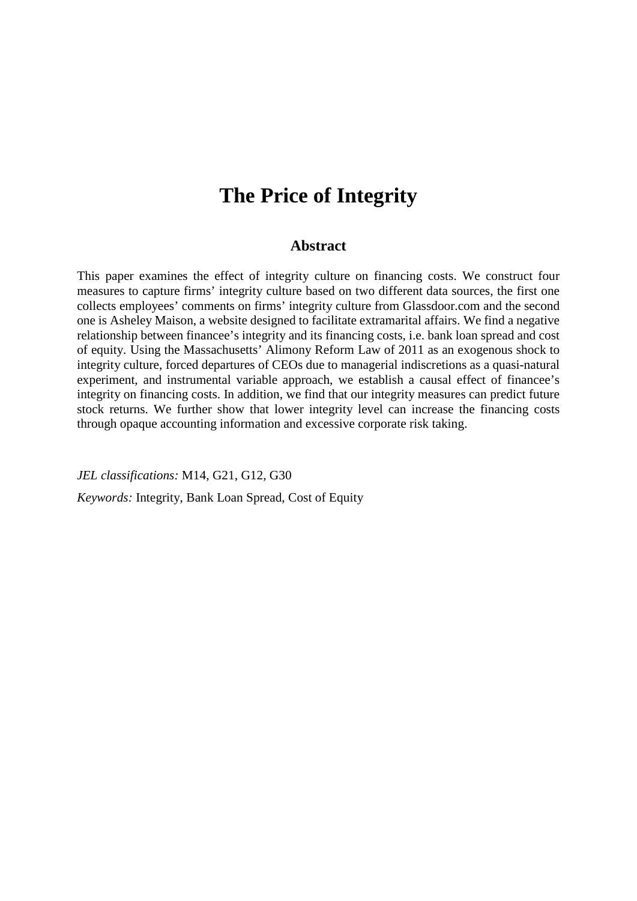# **The Price of Integrity**

# **Abstract**

This paper examines the effect of integrity culture on financing costs. We construct four measures to capture firms' integrity culture based on two different data sources, the first one collects employees' comments on firms' integrity culture from Glassdoor.com and the second one is Asheley Maison, a website designed to facilitate extramarital affairs. We find a negative relationship between financee's integrity and its financing costs, i.e. bank loan spread and cost of equity. Using the Massachusetts' Alimony Reform Law of 2011 as an exogenous shock to integrity culture, forced departures of CEOs due to managerial indiscretions as a quasi-natural experiment, and instrumental variable approach, we establish a causal effect of financee's integrity on financing costs. In addition, we find that our integrity measures can predict future stock returns. We further show that lower integrity level can increase the financing costs through opaque accounting information and excessive corporate risk taking.

*JEL classifications:* M14, G21, G12, G30

*Keywords:* Integrity, Bank Loan Spread, Cost of Equity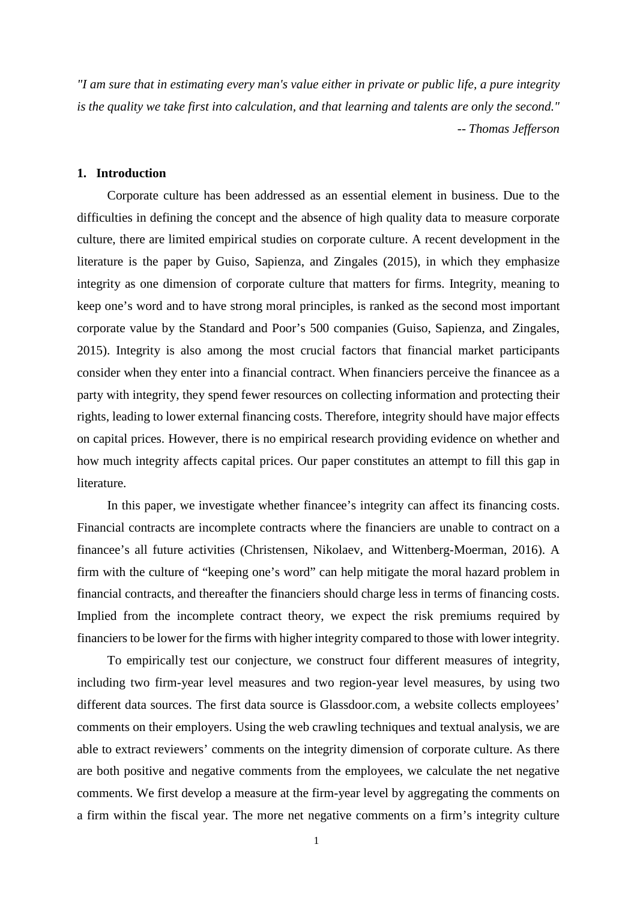*"I am sure that in estimating every man's value either in private or public life, a pure integrity is the quality we take first into calculation, and that learning and talents are only the second." -- Thomas Jefferson*

### **1. Introduction**

Corporate culture has been addressed as an essential element in business. Due to the difficulties in defining the concept and the absence of high quality data to measure corporate culture, there are limited empirical studies on corporate culture. A recent development in the literature is the paper by Guiso, Sapienza, and Zingales (2015), in which they emphasize integrity as one dimension of corporate culture that matters for firms. Integrity, meaning to keep one's word and to have strong moral principles, is ranked as the second most important corporate value by the Standard and Poor's 500 companies (Guiso, Sapienza, and Zingales, 2015). Integrity is also among the most crucial factors that financial market participants consider when they enter into a financial contract. When financiers perceive the financee as a party with integrity, they spend fewer resources on collecting information and protecting their rights, leading to lower external financing costs. Therefore, integrity should have major effects on capital prices. However, there is no empirical research providing evidence on whether and how much integrity affects capital prices. Our paper constitutes an attempt to fill this gap in literature.

In this paper, we investigate whether financee's integrity can affect its financing costs. Financial contracts are incomplete contracts where the financiers are unable to contract on a financee's all future activities (Christensen, Nikolaev, and Wittenberg-Moerman, 2016). A firm with the culture of "keeping one's word" can help mitigate the moral hazard problem in financial contracts, and thereafter the financiers should charge less in terms of financing costs. Implied from the incomplete contract theory, we expect the risk premiums required by financiers to be lower for the firms with higher integrity compared to those with lower integrity.

To empirically test our conjecture, we construct four different measures of integrity, including two firm-year level measures and two region-year level measures, by using two different data sources. The first data source is Glassdoor.com, a website collects employees' comments on their employers. Using the web crawling techniques and textual analysis, we are able to extract reviewers' comments on the integrity dimension of corporate culture. As there are both positive and negative comments from the employees, we calculate the net negative comments. We first develop a measure at the firm-year level by aggregating the comments on a firm within the fiscal year. The more net negative comments on a firm's integrity culture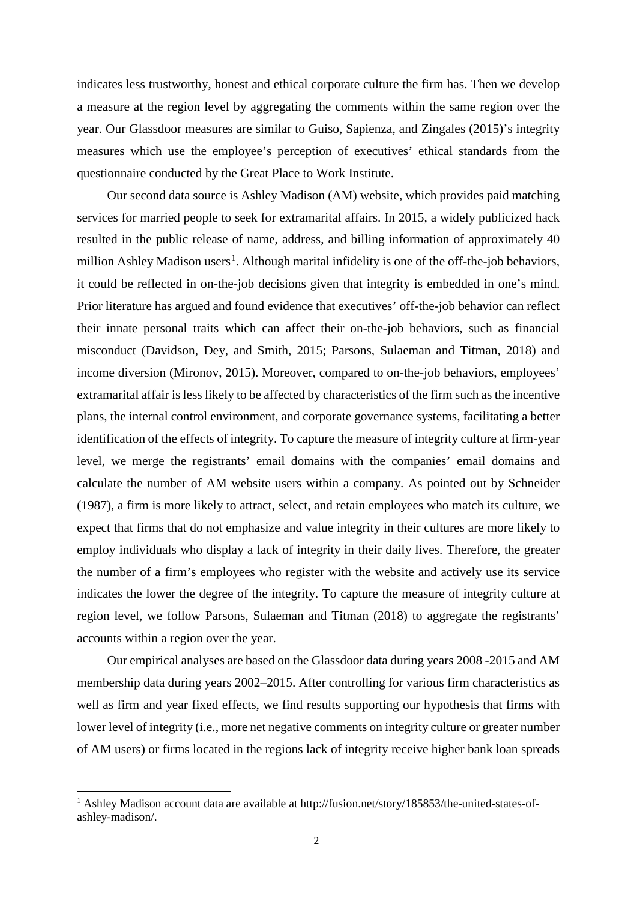indicates less trustworthy, honest and ethical corporate culture the firm has. Then we develop a measure at the region level by aggregating the comments within the same region over the year. Our Glassdoor measures are similar to Guiso, Sapienza, and Zingales (2015)'s integrity measures which use the employee's perception of executives' ethical standards from the questionnaire conducted by the Great Place to Work Institute.

Our second data source is Ashley Madison (AM) website, which provides paid matching services for married people to seek for extramarital affairs. In 2015, a widely publicized hack resulted in the public release of name, address, and billing information of approximately 40 million Ashley Madison users<sup>[1](#page-3-0)</sup>. Although marital infidelity is one of the off-the-job behaviors, it could be reflected in on-the-job decisions given that integrity is embedded in one's mind. Prior literature has argued and found evidence that executives' off-the-job behavior can reflect their innate personal traits which can affect their on-the-job behaviors, such as financial misconduct (Davidson, Dey, and Smith, 2015; Parsons, Sulaeman and Titman, 2018) and income diversion (Mironov, 2015). Moreover, compared to on-the-job behaviors, employees' extramarital affair is less likely to be affected by characteristics of the firm such as the incentive plans, the internal control environment, and corporate governance systems, facilitating a better identification of the effects of integrity. To capture the measure of integrity culture at firm-year level, we merge the registrants' email domains with the companies' email domains and calculate the number of AM website users within a company. As pointed out by Schneider (1987), a firm is more likely to attract, select, and retain employees who match its culture, we expect that firms that do not emphasize and value integrity in their cultures are more likely to employ individuals who display a lack of integrity in their daily lives. Therefore, the greater the number of a firm's employees who register with the website and actively use its service indicates the lower the degree of the integrity. To capture the measure of integrity culture at region level, we follow Parsons, Sulaeman and Titman (2018) to aggregate the registrants' accounts within a region over the year.

Our empirical analyses are based on the Glassdoor data during years 2008 -2015 and AM membership data during years 2002–2015. After controlling for various firm characteristics as well as firm and year fixed effects, we find results supporting our hypothesis that firms with lower level of integrity (i.e., more net negative comments on integrity culture or greater number of AM users) or firms located in the regions lack of integrity receive higher bank loan spreads

<span id="page-3-0"></span><sup>&</sup>lt;sup>1</sup> Ashley Madison account data are available at http://fusion.net/story/185853/the-united-states-ofashley-madison/.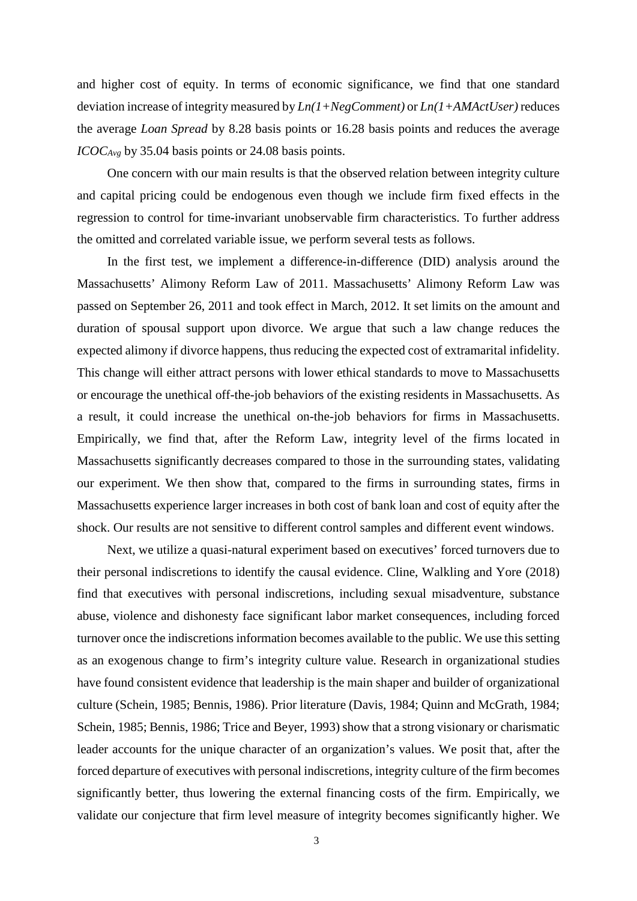and higher cost of equity. In terms of economic significance, we find that one standard deviation increase of integrity measured by *Ln(1+NegComment)* or *Ln(1+AMActUser)* reduces the average *Loan Spread* by 8.28 basis points or 16.28 basis points and reduces the average *ICOCAvg* by 35.04 basis points or 24.08 basis points.

One concern with our main results is that the observed relation between integrity culture and capital pricing could be endogenous even though we include firm fixed effects in the regression to control for time-invariant unobservable firm characteristics. To further address the omitted and correlated variable issue, we perform several tests as follows.

In the first test, we implement a difference-in-difference (DID) analysis around the Massachusetts' Alimony Reform Law of 2011. Massachusetts' Alimony Reform Law was passed on September 26, 2011 and took effect in March, 2012. It set limits on the amount and duration of spousal support upon divorce. We argue that such a law change reduces the expected alimony if divorce happens, thus reducing the expected cost of extramarital infidelity. This change will either attract persons with lower ethical standards to move to Massachusetts or encourage the unethical off-the-job behaviors of the existing residents in Massachusetts. As a result, it could increase the unethical on-the-job behaviors for firms in Massachusetts. Empirically, we find that, after the Reform Law, integrity level of the firms located in Massachusetts significantly decreases compared to those in the surrounding states, validating our experiment. We then show that, compared to the firms in surrounding states, firms in Massachusetts experience larger increases in both cost of bank loan and cost of equity after the shock. Our results are not sensitive to different control samples and different event windows.

Next, we utilize a quasi-natural experiment based on executives' forced turnovers due to their personal indiscretions to identify the causal evidence. Cline, Walkling and Yore (2018) find that executives with personal indiscretions, including sexual misadventure, substance abuse, violence and dishonesty face significant labor market consequences, including forced turnover once the indiscretions information becomes available to the public. We use this setting as an exogenous change to firm's integrity culture value. Research in organizational studies have found consistent evidence that leadership is the main shaper and builder of organizational culture (Schein, 1985; Bennis, 1986). Prior literature (Davis, 1984; Quinn and McGrath, 1984; Schein, 1985; Bennis, 1986; Trice and Beyer, 1993) show that a strong visionary or charismatic leader accounts for the unique character of an organization's values. We posit that, after the forced departure of executives with personal indiscretions, integrity culture of the firm becomes significantly better, thus lowering the external financing costs of the firm. Empirically, we validate our conjecture that firm level measure of integrity becomes significantly higher. We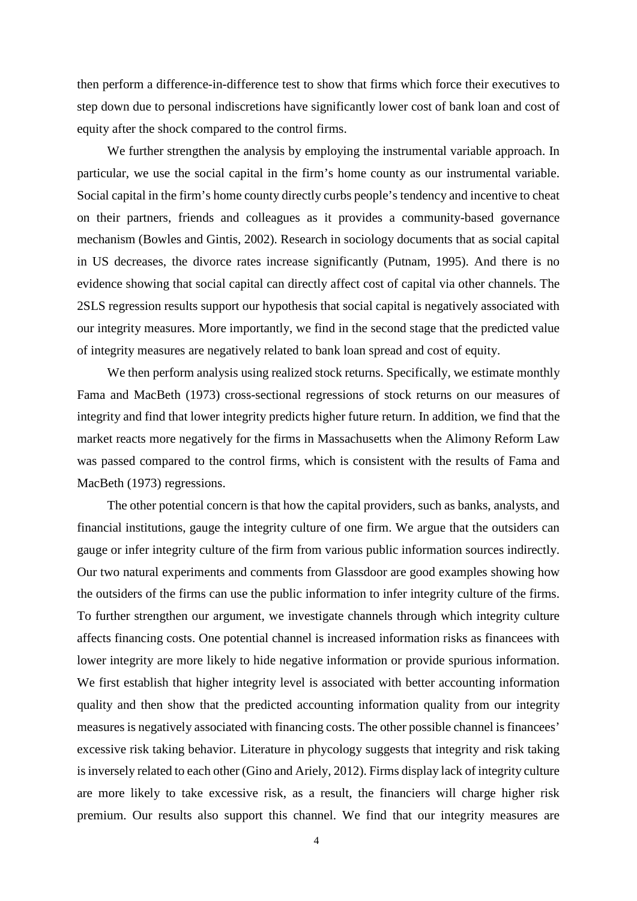then perform a difference-in-difference test to show that firms which force their executives to step down due to personal indiscretions have significantly lower cost of bank loan and cost of equity after the shock compared to the control firms.

We further strengthen the analysis by employing the instrumental variable approach. In particular, we use the social capital in the firm's home county as our instrumental variable. Social capital in the firm's home county directly curbs people's tendency and incentive to cheat on their partners, friends and colleagues as it provides a community-based governance mechanism (Bowles and Gintis, 2002). Research in sociology documents that as social capital in US decreases, the divorce rates increase significantly (Putnam, 1995). And there is no evidence showing that social capital can directly affect cost of capital via other channels. The 2SLS regression results support our hypothesis that social capital is negatively associated with our integrity measures. More importantly, we find in the second stage that the predicted value of integrity measures are negatively related to bank loan spread and cost of equity.

We then perform analysis using realized stock returns. Specifically, we estimate monthly Fama and MacBeth (1973) cross-sectional regressions of stock returns on our measures of integrity and find that lower integrity predicts higher future return. In addition, we find that the market reacts more negatively for the firms in Massachusetts when the Alimony Reform Law was passed compared to the control firms, which is consistent with the results of Fama and MacBeth (1973) regressions.

The other potential concern is that how the capital providers, such as banks, analysts, and financial institutions, gauge the integrity culture of one firm. We argue that the outsiders can gauge or infer integrity culture of the firm from various public information sources indirectly. Our two natural experiments and comments from Glassdoor are good examples showing how the outsiders of the firms can use the public information to infer integrity culture of the firms. To further strengthen our argument, we investigate channels through which integrity culture affects financing costs. One potential channel is increased information risks as financees with lower integrity are more likely to hide negative information or provide spurious information. We first establish that higher integrity level is associated with better accounting information quality and then show that the predicted accounting information quality from our integrity measures is negatively associated with financing costs. The other possible channel is financees' excessive risk taking behavior. Literature in phycology suggests that integrity and risk taking is inversely related to each other (Gino and Ariely, 2012). Firms display lack of integrity culture are more likely to take excessive risk, as a result, the financiers will charge higher risk premium. Our results also support this channel. We find that our integrity measures are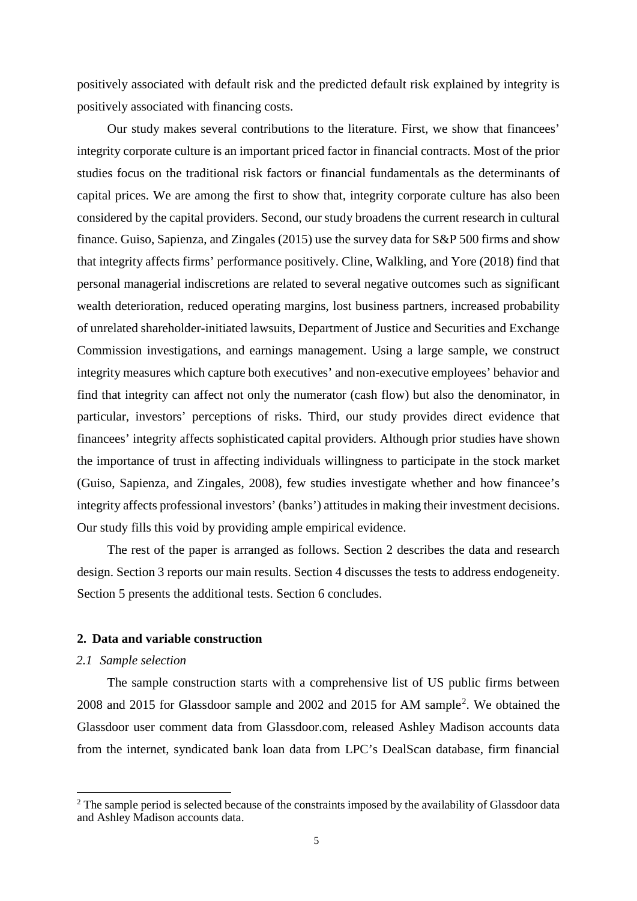positively associated with default risk and the predicted default risk explained by integrity is positively associated with financing costs.

Our study makes several contributions to the literature. First, we show that financees' integrity corporate culture is an important priced factor in financial contracts. Most of the prior studies focus on the traditional risk factors or financial fundamentals as the determinants of capital prices. We are among the first to show that, integrity corporate culture has also been considered by the capital providers. Second, our study broadens the current research in cultural finance. Guiso, Sapienza, and Zingales (2015) use the survey data for S&P 500 firms and show that integrity affects firms' performance positively. Cline, Walkling, and Yore (2018) find that personal managerial indiscretions are related to several negative outcomes such as significant wealth deterioration, reduced operating margins, lost business partners, increased probability of unrelated shareholder-initiated lawsuits, Department of Justice and Securities and Exchange Commission investigations, and earnings management. Using a large sample, we construct integrity measures which capture both executives' and non-executive employees' behavior and find that integrity can affect not only the numerator (cash flow) but also the denominator, in particular, investors' perceptions of risks. Third, our study provides direct evidence that financees' integrity affects sophisticated capital providers. Although prior studies have shown the importance of trust in affecting individuals willingness to participate in the stock market (Guiso, Sapienza, and Zingales, 2008), few studies investigate whether and how financee's integrity affects professional investors' (banks') attitudes in making their investment decisions. Our study fills this void by providing ample empirical evidence.

The rest of the paper is arranged as follows. Section 2 describes the data and research design. Section 3 reports our main results. Section 4 discusses the tests to address endogeneity. Section 5 presents the additional tests. Section 6 concludes.

### **2. Data and variable construction**

### *2.1 Sample selection*

The sample construction starts with a comprehensive list of US public firms between 2008 and 2015 for Glassdoor sample and 2002 and 2015 for AM sample[2](#page-6-0) . We obtained the Glassdoor user comment data from Glassdoor.com, released Ashley Madison accounts data from the internet, syndicated bank loan data from LPC's DealScan database, firm financial

<span id="page-6-0"></span><sup>&</sup>lt;sup>2</sup> The sample period is selected because of the constraints imposed by the availability of Glassdoor data and Ashley Madison accounts data.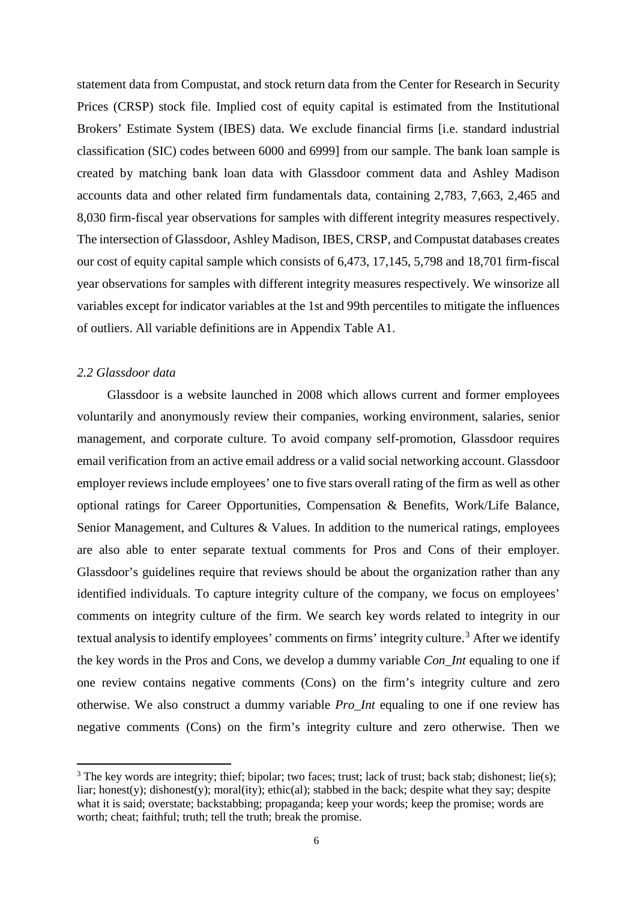statement data from Compustat, and stock return data from the Center for Research in Security Prices (CRSP) stock file. Implied cost of equity capital is estimated from the Institutional Brokers' Estimate System (IBES) data. We exclude financial firms [i.e. standard industrial classification (SIC) codes between 6000 and 6999] from our sample. The bank loan sample is created by matching bank loan data with Glassdoor comment data and Ashley Madison accounts data and other related firm fundamentals data, containing 2,783, 7,663, 2,465 and 8,030 firm-fiscal year observations for samples with different integrity measures respectively. The intersection of Glassdoor, Ashley Madison, IBES, CRSP, and Compustat databases creates our cost of equity capital sample which consists of 6,473, 17,145, 5,798 and 18,701 firm-fiscal year observations for samples with different integrity measures respectively. We winsorize all variables except for indicator variables at the 1st and 99th percentiles to mitigate the influences of outliers. All variable definitions are in Appendix Table A1.

### *2.2 Glassdoor data*

Glassdoor is a website launched in 2008 which allows current and former employees voluntarily and anonymously review their companies, working environment, salaries, senior management, and corporate culture. To avoid company self-promotion, Glassdoor requires email verification from an active email address or a valid social networking account. Glassdoor employer reviews include employees' one to five stars overall rating of the firm as well as other optional ratings for Career Opportunities, Compensation & Benefits, Work/Life Balance, Senior Management, and Cultures & Values. In addition to the numerical ratings, employees are also able to enter separate textual comments for Pros and Cons of their employer. Glassdoor's guidelines require that reviews should be about the organization rather than any identified individuals. To capture integrity culture of the company, we focus on employees' comments on integrity culture of the firm. We search key words related to integrity in our textual analysis to identify employees' comments on firms' integrity culture.<sup>[3](#page-7-0)</sup> After we identify the key words in the Pros and Cons, we develop a dummy variable *Con\_Int* equaling to one if one review contains negative comments (Cons) on the firm's integrity culture and zero otherwise. We also construct a dummy variable *Pro\_Int* equaling to one if one review has negative comments (Cons) on the firm's integrity culture and zero otherwise. Then we

<span id="page-7-0"></span><sup>&</sup>lt;sup>3</sup> The key words are integrity; thief; bipolar; two faces; trust; lack of trust; back stab; dishonest; lie(s); liar; honest(y); dishonest(y); moral(ity); ethic(al); stabbed in the back; despite what they say; despite what it is said; overstate; backstabbing; propaganda; keep your words; keep the promise; words are worth; cheat; faithful; truth; tell the truth; break the promise.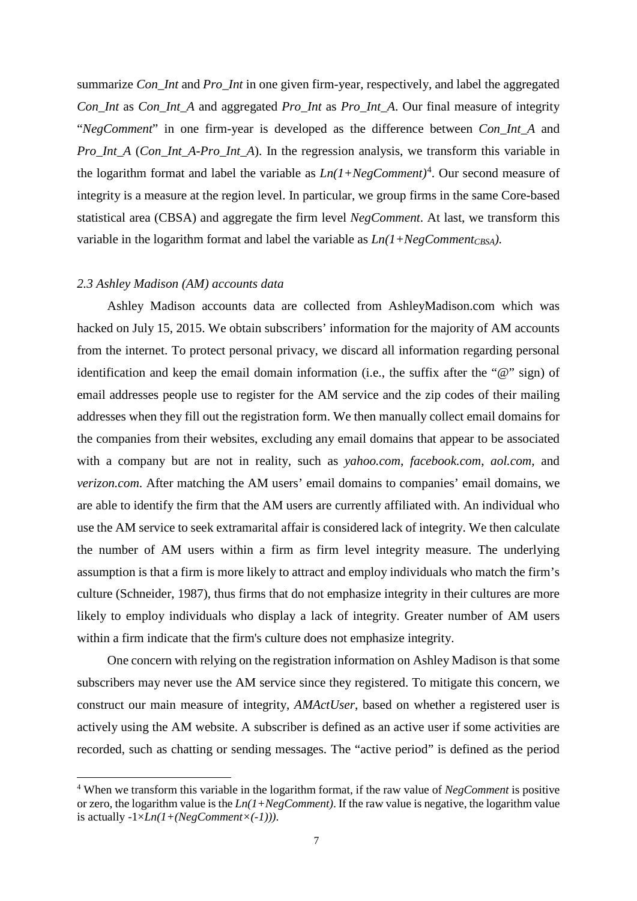summarize *Con\_Int* and *Pro\_Int* in one given firm-year, respectively, and label the aggregated *Con\_Int* as *Con\_Int\_A* and aggregated *Pro\_Int* as *Pro\_Int\_A*. Our final measure of integrity "*NegComment*" in one firm-year is developed as the difference between *Con\_Int\_A* and *Pro\_Int\_A* (*Con\_Int\_A*-*Pro\_Int\_A*). In the regression analysis, we transform this variable in the logarithm format and label the variable as  $Ln(1+NegComment)^4$  $Ln(1+NegComment)^4$ . Our second measure of integrity is a measure at the region level. In particular, we group firms in the same Core-based statistical area (CBSA) and aggregate the firm level *NegComment*. At last, we transform this variable in the logarithm format and label the variable as  $Ln(1+NegComment_{CSA})$ .

### *2.3 Ashley Madison (AM) accounts data*

Ashley Madison accounts data are collected from AshleyMadison.com which was hacked on July 15, 2015. We obtain subscribers' information for the majority of AM accounts from the internet. To protect personal privacy, we discard all information regarding personal identification and keep the email domain information (i.e., the suffix after the "@" sign) of email addresses people use to register for the AM service and the zip codes of their mailing addresses when they fill out the registration form. We then manually collect email domains for the companies from their websites, excluding any email domains that appear to be associated with a company but are not in reality, such as *yahoo.com*, *facebook.com*, *aol.com*, and *verizon.com*. After matching the AM users' email domains to companies' email domains, we are able to identify the firm that the AM users are currently affiliated with. An individual who use the AM service to seek extramarital affair is considered lack of integrity. We then calculate the number of AM users within a firm as firm level integrity measure. The underlying assumption is that a firm is more likely to attract and employ individuals who match the firm's culture (Schneider, 1987), thus firms that do not emphasize integrity in their cultures are more likely to employ individuals who display a lack of integrity. Greater number of AM users within a firm indicate that the firm's culture does not emphasize integrity.

One concern with relying on the registration information on Ashley Madison is that some subscribers may never use the AM service since they registered. To mitigate this concern, we construct our main measure of integrity, *AMActUser*, based on whether a registered user is actively using the AM website. A subscriber is defined as an active user if some activities are recorded, such as chatting or sending messages. The "active period" is defined as the period

<span id="page-8-0"></span><sup>4</sup> When we transform this variable in the logarithm format, if the raw value of *NegComment* is positive or zero, the logarithm value is the *Ln(1+NegComment)*. If the raw value is negative, the logarithm value is actually -1×*Ln(1+(NegComment×(-1)))*.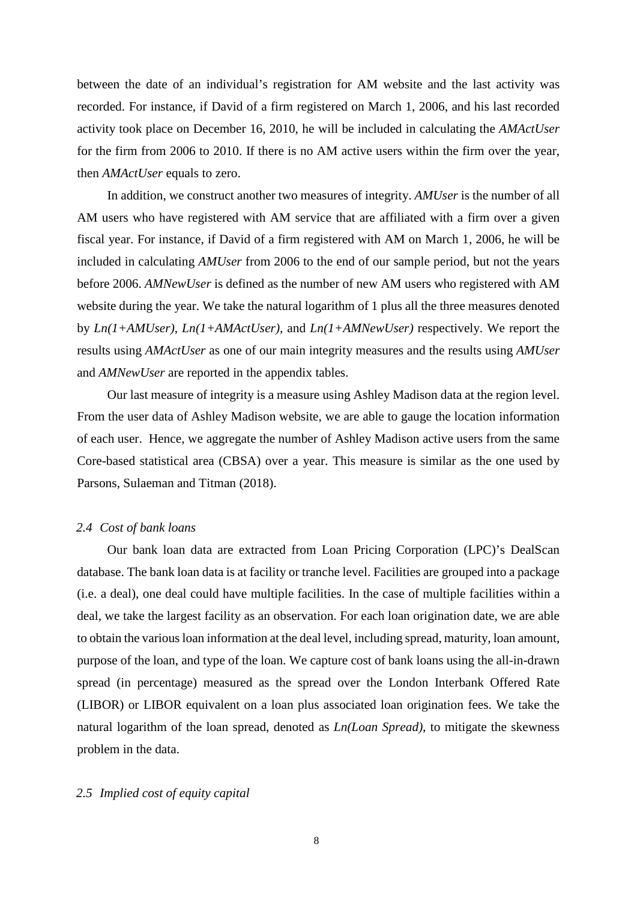between the date of an individual's registration for AM website and the last activity was recorded. For instance, if David of a firm registered on March 1, 2006, and his last recorded activity took place on December 16, 2010, he will be included in calculating the *AMActUser* for the firm from 2006 to 2010. If there is no AM active users within the firm over the year, then *AMActUser* equals to zero.

In addition, we construct another two measures of integrity. *AMUser* is the number of all AM users who have registered with AM service that are affiliated with a firm over a given fiscal year. For instance, if David of a firm registered with AM on March 1, 2006, he will be included in calculating *AMUser* from 2006 to the end of our sample period, but not the years before 2006. *AMNewUser* is defined as the number of new AM users who registered with AM website during the year. We take the natural logarithm of 1 plus all the three measures denoted by *Ln(1+AMUser)*, *Ln(1+AMActUser)*, and *Ln(1+AMNewUser)* respectively. We report the results using *AMActUser* as one of our main integrity measures and the results using *AMUser* and *AMNewUser* are reported in the appendix tables.

Our last measure of integrity is a measure using Ashley Madison data at the region level. From the user data of Ashley Madison website, we are able to gauge the location information of each user. Hence, we aggregate the number of Ashley Madison active users from the same Core-based statistical area (CBSA) over a year. This measure is similar as the one used by Parsons, Sulaeman and Titman (2018).

#### *2.4 Cost of bank loans*

Our bank loan data are extracted from Loan Pricing Corporation (LPC)'s DealScan database. The bank loan data is at facility or tranche level. Facilities are grouped into a package (i.e. a deal), one deal could have multiple facilities. In the case of multiple facilities within a deal, we take the largest facility as an observation. For each loan origination date, we are able to obtain the various loan information at the deal level, including spread, maturity, loan amount, purpose of the loan, and type of the loan. We capture cost of bank loans using the all-in-drawn spread (in percentage) measured as the spread over the London Interbank Offered Rate (LIBOR) or LIBOR equivalent on a loan plus associated loan origination fees. We take the natural logarithm of the loan spread, denoted as *Ln(Loan Spread)*, to mitigate the skewness problem in the data.

### *2.5 Implied cost of equity capital*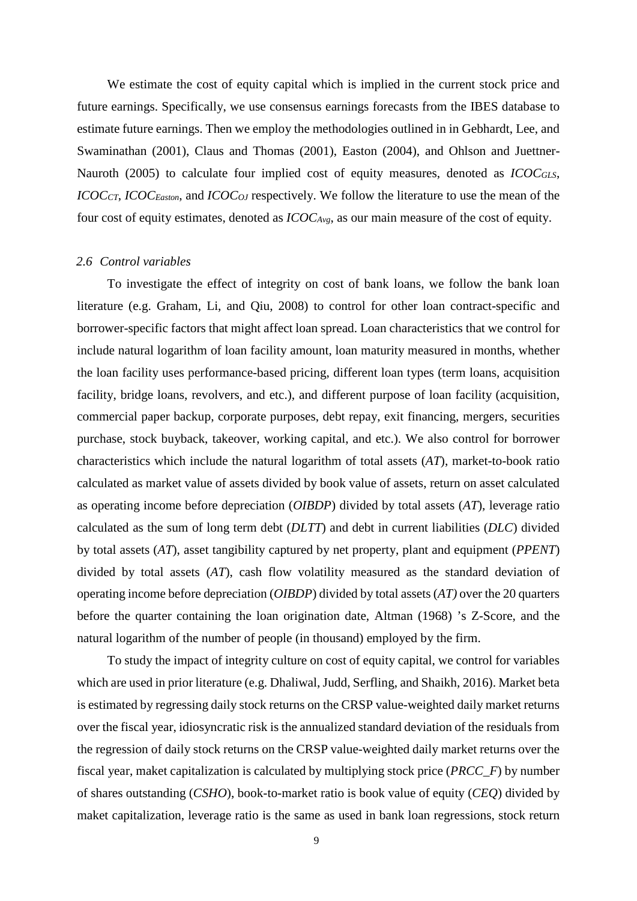We estimate the cost of equity capital which is implied in the current stock price and future earnings. Specifically, we use consensus earnings forecasts from the IBES database to estimate future earnings. Then we employ the methodologies outlined in in Gebhardt, Lee, and Swaminathan (2001), Claus and Thomas (2001), Easton (2004), and Ohlson and Juettner-Nauroth (2005) to calculate four implied cost of equity measures, denoted as *ICOCGLS*, *ICOC<sub>CT</sub>*, *ICOC<sub>Easton</sub>*, and *ICOC<sub>OJ</sub>* respectively. We follow the literature to use the mean of the four cost of equity estimates, denoted as *ICOCAvg*, as our main measure of the cost of equity.

#### *2.6 Control variables*

To investigate the effect of integrity on cost of bank loans, we follow the bank loan literature (e.g. Graham, Li, and Qiu, 2008) to control for other loan contract-specific and borrower-specific factors that might affect loan spread. Loan characteristics that we control for include natural logarithm of loan facility amount, loan maturity measured in months, whether the loan facility uses performance-based pricing, different loan types (term loans, acquisition facility, bridge loans, revolvers, and etc.), and different purpose of loan facility (acquisition, commercial paper backup, corporate purposes, debt repay, exit financing, mergers, securities purchase, stock buyback, takeover, working capital, and etc.). We also control for borrower characteristics which include the natural logarithm of total assets (*AT*), market-to-book ratio calculated as market value of assets divided by book value of assets, return on asset calculated as operating income before depreciation (*OIBDP*) divided by total assets (*AT*), leverage ratio calculated as the sum of long term debt (*DLTT*) and debt in current liabilities (*DLC*) divided by total assets (*AT*), asset tangibility captured by net property, plant and equipment (*PPENT*) divided by total assets (*AT*), cash flow volatility measured as the standard deviation of operating income before depreciation (*OIBDP*) divided by total assets (*AT)* over the 20 quarters before the quarter containing the loan origination date, Altman (1968) 's Z-Score, and the natural logarithm of the number of people (in thousand) employed by the firm.

To study the impact of integrity culture on cost of equity capital, we control for variables which are used in prior literature (e.g. Dhaliwal, Judd, Serfling, and Shaikh, 2016). Market beta is estimated by regressing daily stock returns on the CRSP value-weighted daily market returns over the fiscal year, idiosyncratic risk is the annualized standard deviation of the residuals from the regression of daily stock returns on the CRSP value-weighted daily market returns over the fiscal year, maket capitalization is calculated by multiplying stock price (*PRCC\_F*) by number of shares outstanding (*CSHO*), book-to-market ratio is book value of equity (*CEQ*) divided by maket capitalization, leverage ratio is the same as used in bank loan regressions, stock return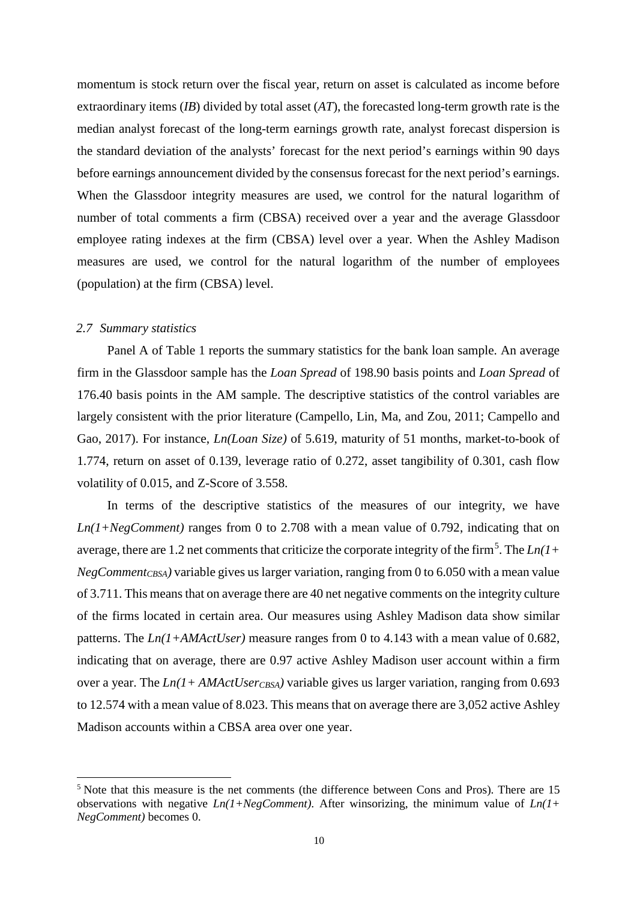momentum is stock return over the fiscal year, return on asset is calculated as income before extraordinary items (*IB*) divided by total asset (*AT*), the forecasted long-term growth rate is the median analyst forecast of the long-term earnings growth rate, analyst forecast dispersion is the standard deviation of the analysts' forecast for the next period's earnings within 90 days before earnings announcement divided by the consensus forecast for the next period's earnings. When the Glassdoor integrity measures are used, we control for the natural logarithm of number of total comments a firm (CBSA) received over a year and the average Glassdoor employee rating indexes at the firm (CBSA) level over a year. When the Ashley Madison measures are used, we control for the natural logarithm of the number of employees (population) at the firm (CBSA) level.

### *2.7 Summary statistics*

Panel A of Table 1 reports the summary statistics for the bank loan sample. An average firm in the Glassdoor sample has the *Loan Spread* of 198.90 basis points and *Loan Spread* of 176.40 basis points in the AM sample. The descriptive statistics of the control variables are largely consistent with the prior literature (Campello, Lin, Ma, and Zou, 2011; Campello and Gao, 2017). For instance, *Ln(Loan Size)* of 5.619, maturity of 51 months, market-to-book of 1.774, return on asset of 0.139, leverage ratio of 0.272, asset tangibility of 0.301, cash flow volatility of 0.015, and Z-Score of 3.558.

In terms of the descriptive statistics of the measures of our integrity, we have *Ln(1+NegComment)* ranges from 0 to 2.708 with a mean value of 0.792, indicating that on average, there are 1.2 net comments that criticize the corporate integrity of the firm<sup>[5](#page-11-0)</sup>. The  $Ln(1+$  $NegComment<sub>CBSA</sub>$ ) variable gives us larger variation, ranging from 0 to 6.050 with a mean value of 3.711. This means that on average there are 40 net negative comments on the integrity culture of the firms located in certain area. Our measures using Ashley Madison data show similar patterns. The *Ln(1+AMActUser)* measure ranges from 0 to 4.143 with a mean value of 0.682, indicating that on average, there are 0.97 active Ashley Madison user account within a firm over a year. The  $Ln(1+AMActUser_{CBSA})$  variable gives us larger variation, ranging from 0.693 to 12.574 with a mean value of 8.023. This means that on average there are 3,052 active Ashley Madison accounts within a CBSA area over one year.

<span id="page-11-0"></span><sup>5</sup> Note that this measure is the net comments (the difference between Cons and Pros). There are 15 observations with negative *Ln(1+NegComment)*. After winsorizing, the minimum value of *Ln(1+ NegComment)* becomes 0.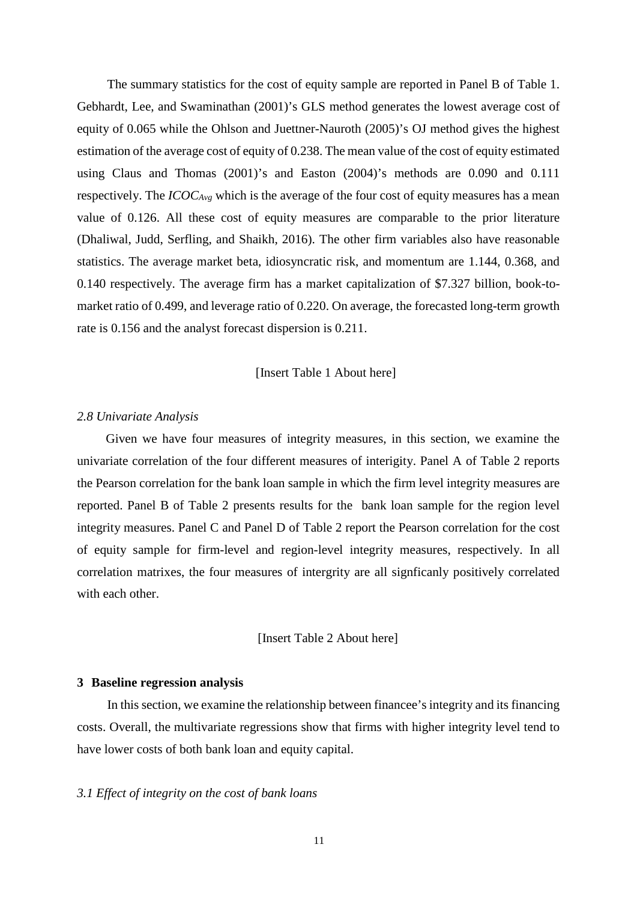The summary statistics for the cost of equity sample are reported in Panel B of Table 1. Gebhardt, Lee, and Swaminathan (2001)'s GLS method generates the lowest average cost of equity of 0.065 while the Ohlson and Juettner-Nauroth (2005)'s OJ method gives the highest estimation of the average cost of equity of 0.238. The mean value of the cost of equity estimated using Claus and Thomas (2001)'s and Easton (2004)'s methods are 0.090 and 0.111 respectively. The *ICOCAvg* which is the average of the four cost of equity measures has a mean value of 0.126. All these cost of equity measures are comparable to the prior literature (Dhaliwal, Judd, Serfling, and Shaikh, 2016). The other firm variables also have reasonable statistics. The average market beta, idiosyncratic risk, and momentum are 1.144, 0.368, and 0.140 respectively. The average firm has a market capitalization of \$7.327 billion, book-tomarket ratio of 0.499, and leverage ratio of 0.220. On average, the forecasted long-term growth rate is 0.156 and the analyst forecast dispersion is 0.211.

[Insert Table 1 About here]

### *2.8 Univariate Analysis*

 Given we have four measures of integrity measures, in this section, we examine the univariate correlation of the four different measures of interigity. Panel A of Table 2 reports the Pearson correlation for the bank loan sample in which the firm level integrity measures are reported. Panel B of Table 2 presents results for the bank loan sample for the region level integrity measures. Panel C and Panel D of Table 2 report the Pearson correlation for the cost of equity sample for firm-level and region-level integrity measures, respectively. In all correlation matrixes, the four measures of intergrity are all signficanly positively correlated with each other.

[Insert Table 2 About here]

#### **3 Baseline regression analysis**

In this section, we examine the relationship between financee's integrity and its financing costs. Overall, the multivariate regressions show that firms with higher integrity level tend to have lower costs of both bank loan and equity capital.

### *3.1 Effect of integrity on the cost of bank loans*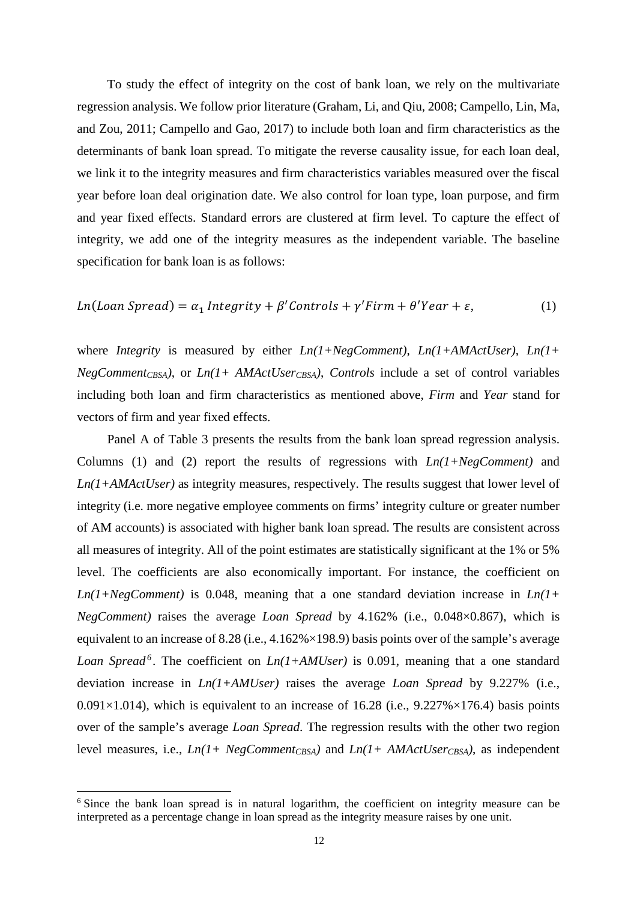To study the effect of integrity on the cost of bank loan, we rely on the multivariate regression analysis. We follow prior literature (Graham, Li, and Qiu, 2008; Campello, Lin, Ma, and Zou, 2011; Campello and Gao, 2017) to include both loan and firm characteristics as the determinants of bank loan spread. To mitigate the reverse causality issue, for each loan deal, we link it to the integrity measures and firm characteristics variables measured over the fiscal year before loan deal origination date. We also control for loan type, loan purpose, and firm and year fixed effects. Standard errors are clustered at firm level. To capture the effect of integrity, we add one of the integrity measures as the independent variable. The baseline specification for bank loan is as follows:

$$
Ln(Loan\,Speed) = \alpha_1 \,Integrity + \beta' Controls + \gamma' Firm + \theta' Year + \varepsilon,\tag{1}
$$

where *Integrity* is measured by either *Ln(1+NegComment)*, *Ln(1+AMActUser)*, *Ln(1+*  $NegComment_{CBSA}$ , or  $Ln(1+AMActUser_{CBSA})$ , *Controls* include a set of control variables including both loan and firm characteristics as mentioned above, *Firm* and *Year* stand for vectors of firm and year fixed effects.

Panel A of Table 3 presents the results from the bank loan spread regression analysis. Columns (1) and (2) report the results of regressions with *Ln(1+NegComment)* and *Ln(1+AMActUser)* as integrity measures, respectively. The results suggest that lower level of integrity (i.e. more negative employee comments on firms' integrity culture or greater number of AM accounts) is associated with higher bank loan spread. The results are consistent across all measures of integrity. All of the point estimates are statistically significant at the 1% or 5% level. The coefficients are also economically important. For instance, the coefficient on *Ln(1+NegComment)* is 0.048, meaning that a one standard deviation increase in *Ln(1+ NegComment)* raises the average *Loan Spread* by 4.162% (i.e., 0.048×0.867), which is equivalent to an increase of 8.28 (i.e.,  $4.162\% \times 198.9$ ) basis points over of the sample's average *Loan Spread[6](#page-13-0)* . The coefficient on *Ln(1+AMUser)* is 0.091, meaning that a one standard deviation increase in *Ln(1+AMUser)* raises the average *Loan Spread* by 9.227% (i.e.,  $0.091\times1.014$ ), which is equivalent to an increase of 16.28 (i.e.,  $9.227\% \times 176.4$ ) basis points over of the sample's average *Loan Spread*. The regression results with the other two region level measures, i.e.,  $Ln(1+NegComment<sub>CBSA</sub>)$  and  $Ln(1+AMActUser<sub>CBSA</sub>)$ , as independent

<span id="page-13-0"></span> $6$  Since the bank loan spread is in natural logarithm, the coefficient on integrity measure can be interpreted as a percentage change in loan spread as the integrity measure raises by one unit.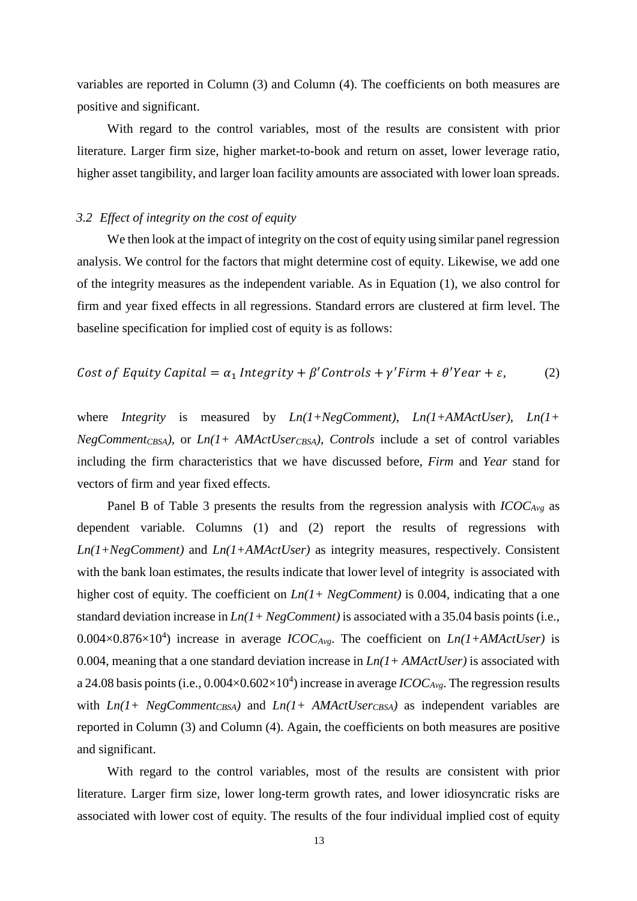variables are reported in Column (3) and Column (4). The coefficients on both measures are positive and significant.

With regard to the control variables, most of the results are consistent with prior literature. Larger firm size, higher market-to-book and return on asset, lower leverage ratio, higher asset tangibility, and larger loan facility amounts are associated with lower loan spreads.

### *3.2 Effect of integrity on the cost of equity*

We then look at the impact of integrity on the cost of equity using similar panel regression analysis. We control for the factors that might determine cost of equity. Likewise, we add one of the integrity measures as the independent variable. As in Equation (1), we also control for firm and year fixed effects in all regressions. Standard errors are clustered at firm level. The baseline specification for implied cost of equity is as follows:

Cost of Equity Capital = 
$$
\alpha_1
$$
 Integrity +  $\beta$ 'Contents +  $\gamma$ 'Firm +  $\theta$ 'Year +  $\varepsilon$ , (2)

where *Integrity* is measured by *Ln(1+NegComment)*, *Ln(1+AMActUser)*, *Ln(1+ NegCommentCBSA)*, or *Ln(1+ AMActUserCBSA)*, *Controls* include a set of control variables including the firm characteristics that we have discussed before, *Firm* and *Year* stand for vectors of firm and year fixed effects.

Panel B of Table 3 presents the results from the regression analysis with *ICOCAvg* as dependent variable. Columns (1) and (2) report the results of regressions with *Ln(1+NegComment)* and *Ln(1+AMActUser)* as integrity measures, respectively. Consistent with the bank loan estimates, the results indicate that lower level of integrity is associated with higher cost of equity. The coefficient on *Ln(1+ NegComment)* is 0.004, indicating that a one standard deviation increase in *Ln(1+ NegComment)* is associated with a 35.04 basis points (i.e.,  $0.004 \times 0.876 \times 10^4$ ) increase in average *ICOC<sub>Avg</sub>*. The coefficient on *Ln(1+AMActUser)* is 0.004, meaning that a one standard deviation increase in *Ln(1+ AMActUser)* is associated with a 24.08 basis points (i.e.,  $0.004 \times 0.602 \times 10^4$ ) increase in average *ICOC<sub>Avg</sub>*. The regression results with  $Ln(1+NegComment_{CBSA})$  and  $Ln(1+AMActUser_{CBSA})$  as independent variables are reported in Column (3) and Column (4). Again, the coefficients on both measures are positive and significant.

With regard to the control variables, most of the results are consistent with prior literature. Larger firm size, lower long-term growth rates, and lower idiosyncratic risks are associated with lower cost of equity. The results of the four individual implied cost of equity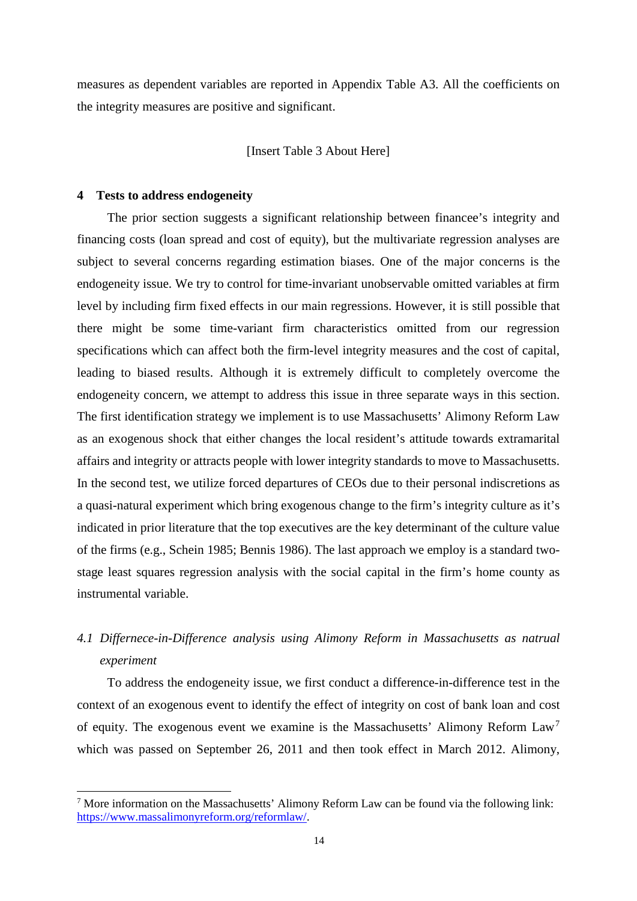measures as dependent variables are reported in Appendix Table A3. All the coefficients on the integrity measures are positive and significant.

### [Insert Table 3 About Here]

#### **4 Tests to address endogeneity**

The prior section suggests a significant relationship between financee's integrity and financing costs (loan spread and cost of equity), but the multivariate regression analyses are subject to several concerns regarding estimation biases. One of the major concerns is the endogeneity issue. We try to control for time-invariant unobservable omitted variables at firm level by including firm fixed effects in our main regressions. However, it is still possible that there might be some time-variant firm characteristics omitted from our regression specifications which can affect both the firm-level integrity measures and the cost of capital, leading to biased results. Although it is extremely difficult to completely overcome the endogeneity concern, we attempt to address this issue in three separate ways in this section. The first identification strategy we implement is to use Massachusetts' Alimony Reform Law as an exogenous shock that either changes the local resident's attitude towards extramarital affairs and integrity or attracts people with lower integrity standards to move to Massachusetts. In the second test, we utilize forced departures of CEOs due to their personal indiscretions as a quasi-natural experiment which bring exogenous change to the firm's integrity culture as it's indicated in prior literature that the top executives are the key determinant of the culture value of the firms (e.g., Schein 1985; Bennis 1986). The last approach we employ is a standard twostage least squares regression analysis with the social capital in the firm's home county as instrumental variable.

# *4.1 Differnece-in-Difference analysis using Alimony Reform in Massachusetts as natrual experiment*

To address the endogeneity issue, we first conduct a difference-in-difference test in the context of an exogenous event to identify the effect of integrity on cost of bank loan and cost of equity. The exogenous event we examine is the Massachusetts' Alimony Reform Law[7](#page-15-0) which was passed on September 26, 2011 and then took effect in March 2012. Alimony,

<span id="page-15-0"></span><sup>&</sup>lt;sup>7</sup> More information on the Massachusetts' Alimony Reform Law can be found via the following link: [https://www.massalimonyreform.org/reformlaw/.](https://www.massalimonyreform.org/reformlaw/)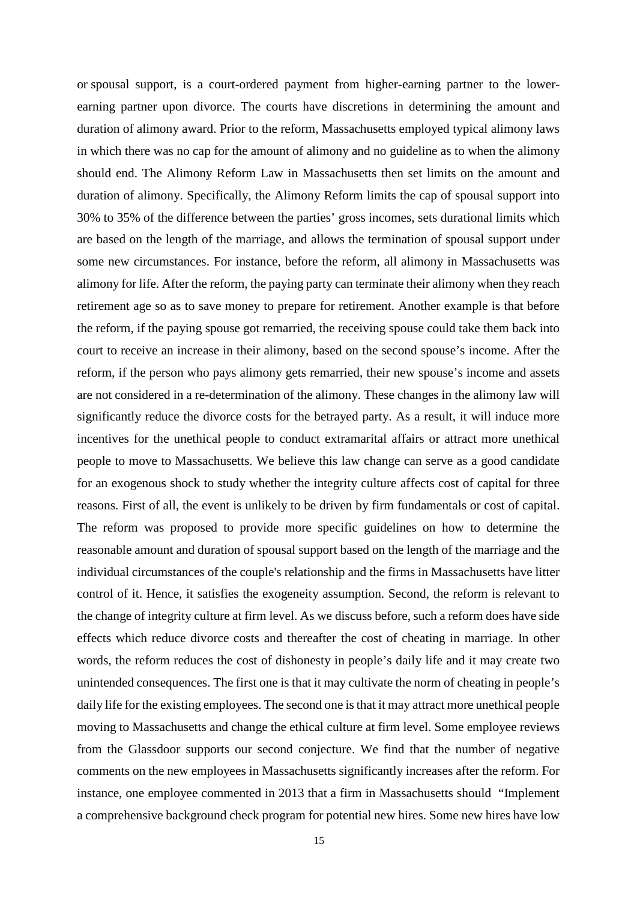or [spousal support,](http://www.sederlaw.com/Family-Law/Divorce/) is a court-ordered payment from higher-earning partner to the lowerearning partner upon divorce. The courts have discretions in determining the amount and duration of alimony award. Prior to the reform, Massachusetts employed typical alimony laws in which there was no cap for the amount of alimony and no guideline as to when the alimony should end. The Alimony Reform Law in Massachusetts then set limits on the amount and duration of alimony. Specifically, the Alimony Reform limits the cap of spousal support into 30% to 35% of the difference between the parties' gross incomes, sets durational limits which are based on the length of the marriage, and allows the termination of spousal support under some new circumstances. For instance, before the reform, all alimony in Massachusetts was alimony for life. After the reform, the paying party can terminate their alimony when they reach retirement age so as to save money to prepare for retirement. Another example is that before the reform, if the paying spouse got remarried, the receiving spouse could take them back into court to receive an increase in their alimony, based on the second spouse's income. After the reform, if the person who pays alimony gets remarried, their new spouse's income and assets are not considered in a re-determination of the alimony. These changes in the alimony law will significantly reduce the divorce costs for the betrayed party. As a result, it will induce more incentives for the unethical people to conduct extramarital affairs or attract more unethical people to move to Massachusetts. We believe this law change can serve as a good candidate for an exogenous shock to study whether the integrity culture affects cost of capital for three reasons. First of all, the event is unlikely to be driven by firm fundamentals or cost of capital. The reform was proposed to provide more specific guidelines on how to determine the reasonable amount and duration of [spousal support](http://www.sederlaw.com/Family-Law/Divorce/) based on the length of the marriage and the individual circumstances of the couple's relationship and the firms in Massachusetts have litter control of it. Hence, it satisfies the exogeneity assumption. Second, the reform is relevant to the change of integrity culture at firm level. As we discuss before, such a reform does have side effects which reduce divorce costs and thereafter the cost of cheating in marriage. In other words, the reform reduces the cost of dishonesty in people's daily life and it may create two unintended consequences. The first one is that it may cultivate the norm of cheating in people's daily life for the existing employees. The second one is that it may attract more unethical people moving to Massachusetts and change the ethical culture at firm level. Some employee reviews from the Glassdoor supports our second conjecture. We find that the number of negative comments on the new employees in Massachusetts significantly increases after the reform. For instance, one employee commented in 2013 that a firm in Massachusetts should "Implement a comprehensive background check program for potential new hires. Some new hires have low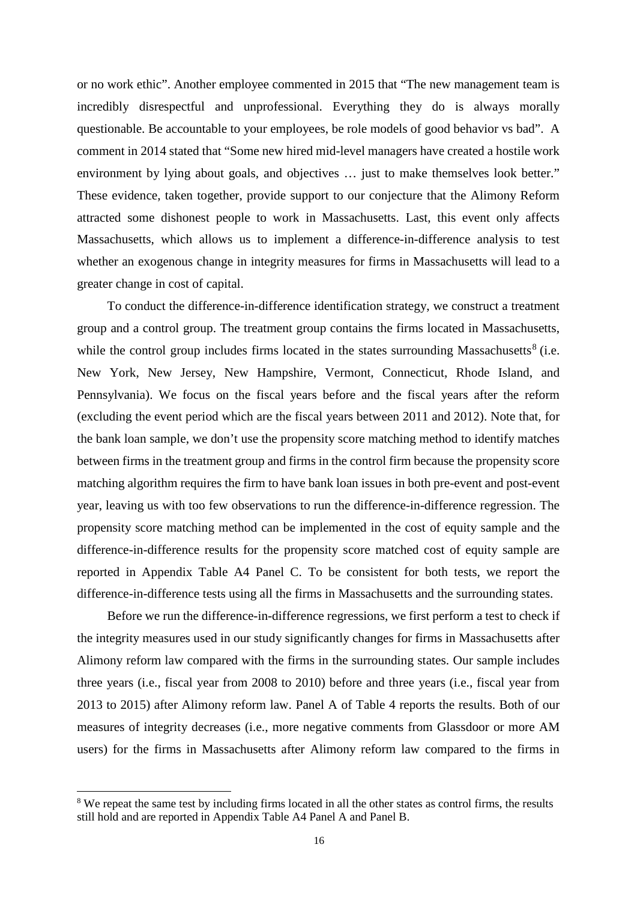or no work ethic". Another employee commented in 2015 that "The new management team is incredibly disrespectful and unprofessional. Everything they do is always morally questionable. Be accountable to your employees, be role models of good behavior vs bad". A comment in 2014 stated that "Some new hired mid-level managers have created a hostile work environment by lying about goals, and objectives ... just to make themselves look better." These evidence, taken together, provide support to our conjecture that the Alimony Reform attracted some dishonest people to work in Massachusetts. Last, this event only affects Massachusetts, which allows us to implement a difference-in-difference analysis to test whether an exogenous change in integrity measures for firms in Massachusetts will lead to a greater change in cost of capital.

To conduct the difference-in-difference identification strategy, we construct a treatment group and a control group. The treatment group contains the firms located in Massachusetts, while the control group includes firms located in the states surrounding Massachusetts<sup>[8](#page-17-0)</sup> (i.e. New York, New Jersey, New Hampshire, Vermont, Connecticut, Rhode Island, and Pennsylvania). We focus on the fiscal years before and the fiscal years after the reform (excluding the event period which are the fiscal years between 2011 and 2012). Note that, for the bank loan sample, we don't use the propensity score matching method to identify matches between firms in the treatment group and firms in the control firm because the propensity score matching algorithm requires the firm to have bank loan issues in both pre-event and post-event year, leaving us with too few observations to run the difference-in-difference regression. The propensity score matching method can be implemented in the cost of equity sample and the difference-in-difference results for the propensity score matched cost of equity sample are reported in Appendix Table A4 Panel C. To be consistent for both tests, we report the difference-in-difference tests using all the firms in Massachusetts and the surrounding states.

Before we run the difference-in-difference regressions, we first perform a test to check if the integrity measures used in our study significantly changes for firms in Massachusetts after Alimony reform law compared with the firms in the surrounding states. Our sample includes three years (i.e., fiscal year from 2008 to 2010) before and three years (i.e., fiscal year from 2013 to 2015) after Alimony reform law. Panel A of Table 4 reports the results. Both of our measures of integrity decreases (i.e., more negative comments from Glassdoor or more AM users) for the firms in Massachusetts after Alimony reform law compared to the firms in

<span id="page-17-0"></span><sup>&</sup>lt;sup>8</sup> We repeat the same test by including firms located in all the other states as control firms, the results still hold and are reported in Appendix Table A4 Panel A and Panel B.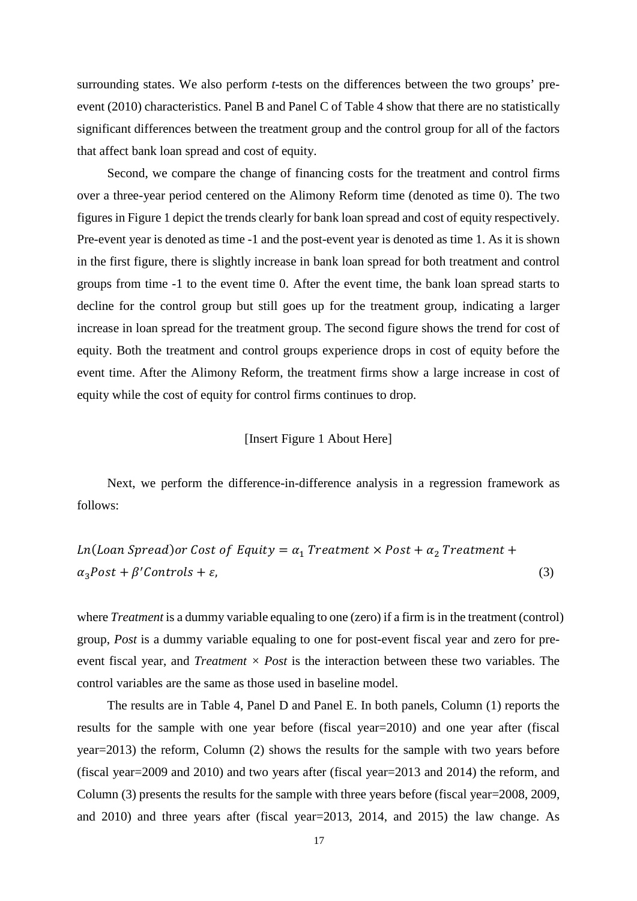surrounding states. We also perform *t*-tests on the differences between the two groups' preevent (2010) characteristics. Panel B and Panel C of Table 4 show that there are no statistically significant differences between the treatment group and the control group for all of the factors that affect bank loan spread and cost of equity.

Second, we compare the change of financing costs for the treatment and control firms over a three-year period centered on the Alimony Reform time (denoted as time 0). The two figures in Figure 1 depict the trends clearly for bank loan spread and cost of equity respectively. Pre-event year is denoted as time -1 and the post-event year is denoted as time 1. As it is shown in the first figure, there is slightly increase in bank loan spread for both treatment and control groups from time -1 to the event time 0. After the event time, the bank loan spread starts to decline for the control group but still goes up for the treatment group, indicating a larger increase in loan spread for the treatment group. The second figure shows the trend for cost of equity. Both the treatment and control groups experience drops in cost of equity before the event time. After the Alimony Reform, the treatment firms show a large increase in cost of equity while the cost of equity for control firms continues to drop.

### [Insert Figure 1 About Here]

Next, we perform the difference-in-difference analysis in a regression framework as follows:

$$
Ln(Loan\,Speed) or\,Cost\, of\, Equity = \alpha_1\, Treatment \times Post + \alpha_2\, Treatment + \alpha_3Post + \beta'Controls + \varepsilon,
$$
\n(3)

where *Treatment* is a dummy variable equaling to one (zero) if a firm is in the treatment (control) group, *Post* is a dummy variable equaling to one for post-event fiscal year and zero for preevent fiscal year, and *Treatment × Post* is the interaction between these two variables. The control variables are the same as those used in baseline model.

The results are in Table 4, Panel D and Panel E. In both panels, Column (1) reports the results for the sample with one year before (fiscal year=2010) and one year after (fiscal year=2013) the reform, Column (2) shows the results for the sample with two years before (fiscal year=2009 and 2010) and two years after (fiscal year=2013 and 2014) the reform, and Column (3) presents the results for the sample with three years before (fiscal year=2008, 2009, and 2010) and three years after (fiscal year=2013, 2014, and 2015) the law change. As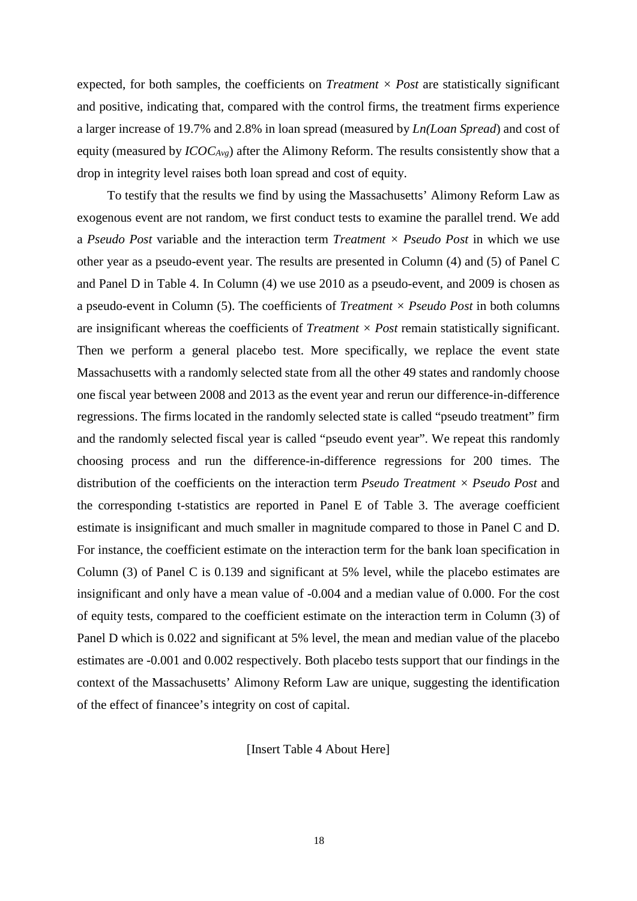expected, for both samples, the coefficients on *Treatment*  $\times$  *Post* are statistically significant and positive, indicating that, compared with the control firms, the treatment firms experience a larger increase of 19.7% and 2.8% in loan spread (measured by *Ln(Loan Spread*) and cost of equity (measured by *ICOCAvg*) after the Alimony Reform. The results consistently show that a drop in integrity level raises both loan spread and cost of equity.

To testify that the results we find by using the Massachusetts' Alimony Reform Law as exogenous event are not random, we first conduct tests to examine the parallel trend. We add a *Pseudo Post* variable and the interaction term *Treatment × Pseudo Post* in which we use other year as a pseudo-event year. The results are presented in Column (4) and (5) of Panel C and Panel D in Table 4. In Column (4) we use 2010 as a pseudo-event, and 2009 is chosen as a pseudo-event in Column (5). The coefficients of *Treatment × Pseudo Post* in both columns are insignificant whereas the coefficients of *Treatment × Post* remain statistically significant. Then we perform a general placebo test. More specifically, we replace the event state Massachusetts with a randomly selected state from all the other 49 states and randomly choose one fiscal year between 2008 and 2013 as the event year and rerun our difference-in-difference regressions. The firms located in the randomly selected state is called "pseudo treatment" firm and the randomly selected fiscal year is called "pseudo event year". We repeat this randomly choosing process and run the difference-in-difference regressions for 200 times. The distribution of the coefficients on the interaction term *Pseudo Treatment × Pseudo Post* and the corresponding t-statistics are reported in Panel E of Table 3. The average coefficient estimate is insignificant and much smaller in magnitude compared to those in Panel C and D. For instance, the coefficient estimate on the interaction term for the bank loan specification in Column (3) of Panel C is 0.139 and significant at 5% level, while the placebo estimates are insignificant and only have a mean value of -0.004 and a median value of 0.000. For the cost of equity tests, compared to the coefficient estimate on the interaction term in Column (3) of Panel D which is 0.022 and significant at 5% level, the mean and median value of the placebo estimates are -0.001 and 0.002 respectively. Both placebo tests support that our findings in the context of the Massachusetts' Alimony Reform Law are unique, suggesting the identification of the effect of financee's integrity on cost of capital.

[Insert Table 4 About Here]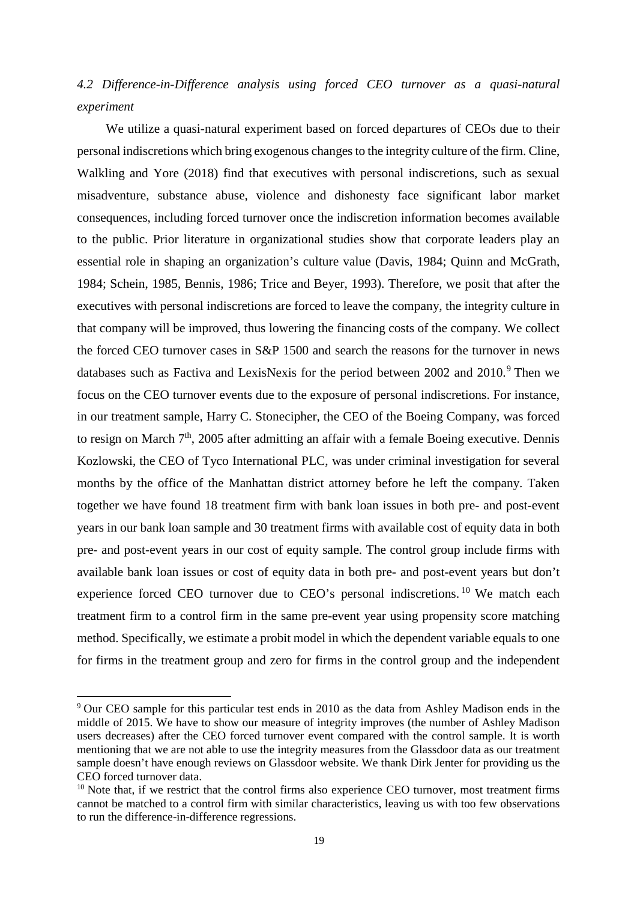# *4.2 Difference-in-Difference analysis using forced CEO turnover as a quasi-natural experiment*

 We utilize a quasi-natural experiment based on forced departures of CEOs due to their personal indiscretions which bring exogenous changes to the integrity culture of the firm. Cline, Walkling and Yore (2018) find that executives with personal indiscretions, such as sexual misadventure, substance abuse, violence and dishonesty face significant labor market consequences, including forced turnover once the indiscretion information becomes available to the public. Prior literature in organizational studies show that corporate leaders play an essential role in shaping an organization's culture value (Davis, 1984; Quinn and McGrath, 1984; Schein, 1985, Bennis, 1986; Trice and Beyer, 1993). Therefore, we posit that after the executives with personal indiscretions are forced to leave the company, the integrity culture in that company will be improved, thus lowering the financing costs of the company. We collect the forced CEO turnover cases in S&P 1500 and search the reasons for the turnover in news databases such as Factiva and LexisNexis for the period between 2002 and  $2010$ .<sup>[9](#page-20-0)</sup> Then we focus on the CEO turnover events due to the exposure of personal indiscretions. For instance, in our treatment sample, Harry C. Stonecipher, the CEO of the Boeing Company, was forced to resign on March  $7<sup>th</sup>$ , 2005 after admitting an affair with a female Boeing executive. Dennis Kozlowski, the CEO of Tyco International PLC, was under criminal investigation for several months by the office of the Manhattan district attorney before he left the company. Taken together we have found 18 treatment firm with bank loan issues in both pre- and post-event years in our bank loan sample and 30 treatment firms with available cost of equity data in both pre- and post-event years in our cost of equity sample. The control group include firms with available bank loan issues or cost of equity data in both pre- and post-event years but don't experience forced CEO turnover due to CEO's personal indiscretions.<sup>[10](#page-20-1)</sup> We match each treatment firm to a control firm in the same pre-event year using propensity score matching method. Specifically, we estimate a probit model in which the dependent variable equals to one for firms in the treatment group and zero for firms in the control group and the independent

<span id="page-20-0"></span><sup>&</sup>lt;sup>9</sup> Our CEO sample for this particular test ends in 2010 as the data from Ashley Madison ends in the middle of 2015. We have to show our measure of integrity improves (the number of Ashley Madison users decreases) after the CEO forced turnover event compared with the control sample. It is worth mentioning that we are not able to use the integrity measures from the Glassdoor data as our treatment sample doesn't have enough reviews on Glassdoor website. We thank Dirk Jenter for providing us the CEO forced turnover data.

<span id="page-20-1"></span> $10$  Note that, if we restrict that the control firms also experience CEO turnover, most treatment firms cannot be matched to a control firm with similar characteristics, leaving us with too few observations to run the difference-in-difference regressions.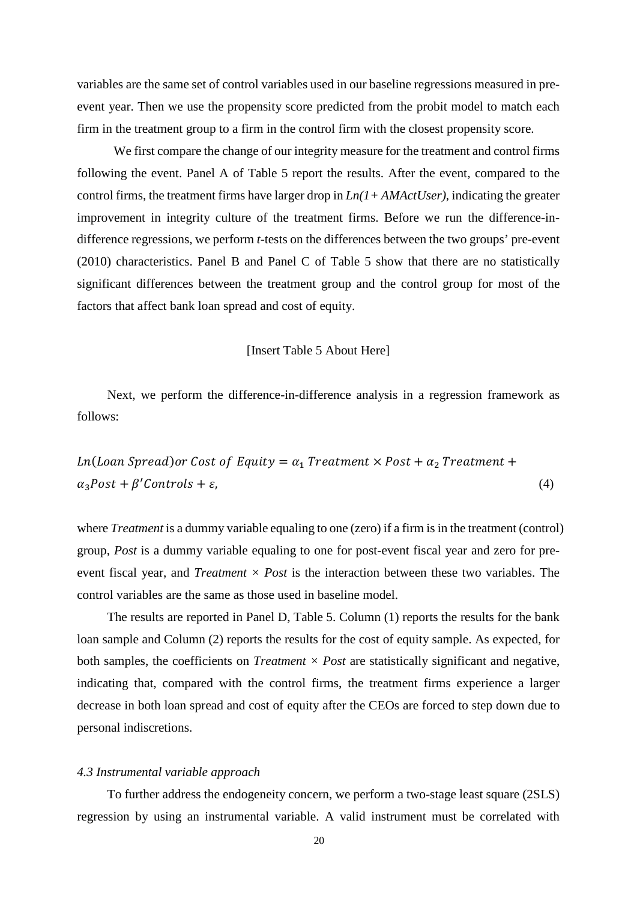variables are the same set of control variables used in our baseline regressions measured in preevent year. Then we use the propensity score predicted from the probit model to match each firm in the treatment group to a firm in the control firm with the closest propensity score.

 We first compare the change of our integrity measure for the treatment and control firms following the event. Panel A of Table 5 report the results. After the event, compared to the control firms, the treatment firms have larger drop in *Ln(1+ AMActUser)*, indicating the greater improvement in integrity culture of the treatment firms. Before we run the difference-indifference regressions, we perform *t*-tests on the differences between the two groups' pre-event (2010) characteristics. Panel B and Panel C of Table 5 show that there are no statistically significant differences between the treatment group and the control group for most of the factors that affect bank loan spread and cost of equity.

### [Insert Table 5 About Here]

Next, we perform the difference-in-difference analysis in a regression framework as follows:

 $Ln($ Loan Spread) or Cost of Equity =  $\alpha_1$  Treatment  $\times$  Post +  $\alpha_2$  Treatment +  $\alpha_3 Post + \beta' Controls + \varepsilon,$  (4)

where *Treatment* is a dummy variable equaling to one (zero) if a firm is in the treatment (control) group, *Post* is a dummy variable equaling to one for post-event fiscal year and zero for preevent fiscal year, and *Treatment × Post* is the interaction between these two variables. The control variables are the same as those used in baseline model.

The results are reported in Panel D, Table 5. Column (1) reports the results for the bank loan sample and Column (2) reports the results for the cost of equity sample. As expected, for both samples, the coefficients on *Treatment*  $\times$  *Post* are statistically significant and negative, indicating that, compared with the control firms, the treatment firms experience a larger decrease in both loan spread and cost of equity after the CEOs are forced to step down due to personal indiscretions.

### *4.3 Instrumental variable approach*

To further address the endogeneity concern, we perform a two-stage least square (2SLS) regression by using an instrumental variable. A valid instrument must be correlated with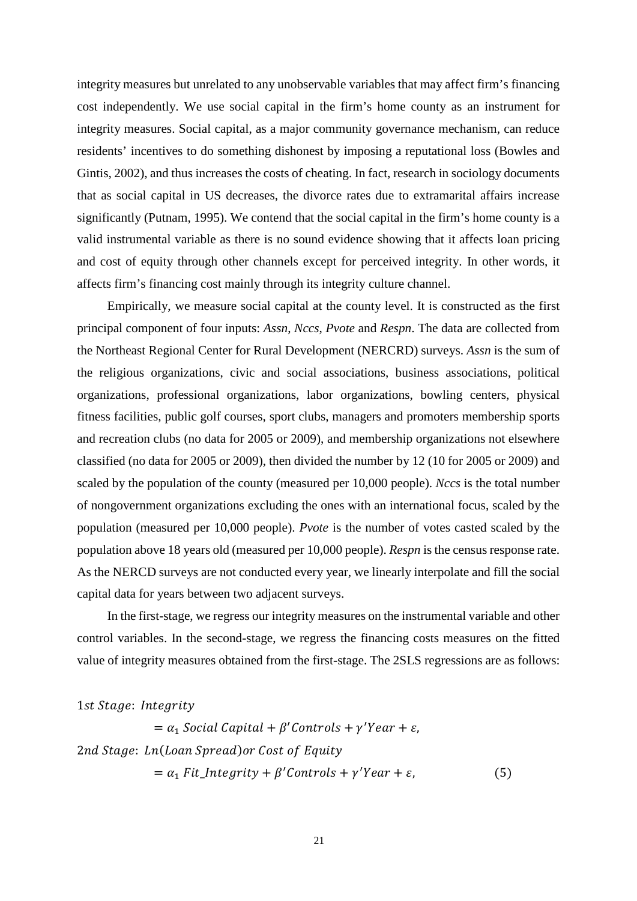integrity measures but unrelated to any unobservable variables that may affect firm's financing cost independently. We use social capital in the firm's home county as an instrument for integrity measures. Social capital, as a major community governance mechanism, can reduce residents' incentives to do something dishonest by imposing a reputational loss (Bowles and Gintis, 2002), and thus increases the costs of cheating. In fact, research in sociology documents that as social capital in US decreases, the divorce rates due to extramarital affairs increase significantly (Putnam, 1995). We contend that the social capital in the firm's home county is a valid instrumental variable as there is no sound evidence showing that it affects loan pricing and cost of equity through other channels except for perceived integrity. In other words, it affects firm's financing cost mainly through its integrity culture channel.

Empirically, we measure social capital at the county level. It is constructed as the first principal component of four inputs: *Assn*, *Nccs*, *Pvote* and *Respn*. The data are collected from the Northeast Regional Center for Rural Development (NERCRD) surveys. *Assn* is the sum of the religious organizations, civic and social associations, business associations, political organizations, professional organizations, labor organizations, bowling centers, physical fitness facilities, public golf courses, sport clubs, managers and promoters membership sports and recreation clubs (no data for 2005 or 2009), and membership organizations not elsewhere classified (no data for 2005 or 2009), then divided the number by 12 (10 for 2005 or 2009) and scaled by the population of the county (measured per 10,000 people). *Nccs* is the total number of nongovernment organizations excluding the ones with an international focus, scaled by the population (measured per 10,000 people). *Pvote* is the number of votes casted scaled by the population above 18 years old (measured per 10,000 people). *Respn* is the census response rate. As the NERCD surveys are not conducted every year, we linearly interpolate and fill the social capital data for years between two adjacent surveys.

In the first-stage, we regress our integrity measures on the instrumental variable and other control variables. In the second-stage, we regress the financing costs measures on the fitted value of integrity measures obtained from the first-stage. The 2SLS regressions are as follows:

1st Stage: Integrity

 $= \alpha_1$  Social Capital +  $\beta'$ Controls +  $\gamma'$ Year +  $\varepsilon$ , 2nd Stage: Ln(Loan Spread) or Cost of Equity  $= \alpha_1 \text{ Fit\_Integrity} + \beta' \text{Contents} + \gamma' \text{Year} + \varepsilon,$  (5)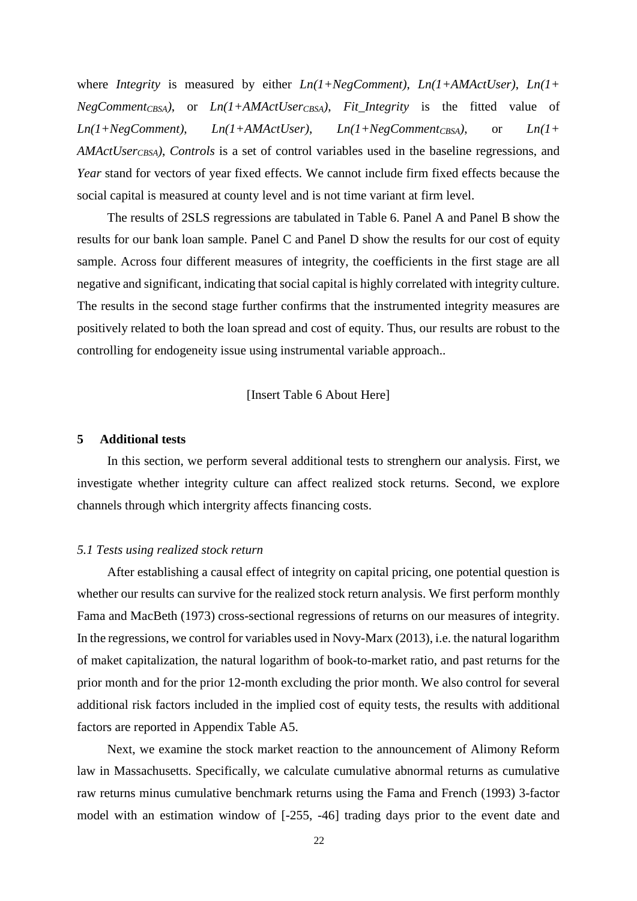where *Integrity* is measured by either *Ln(1+NegComment)*, *Ln(1+AMActUser)*, *Ln(1+ NegCommentCBSA)*, or *Ln(1+AMActUserCBSA)*, *Fit\_Integrity* is the fitted value of *Ln(1+NegComment)*, *Ln(1+AMActUser)*, *Ln(1+NegCommentCBSA)*, or *Ln(1+ AMActUserCBSA)*, *Controls* is a set of control variables used in the baseline regressions, and *Year* stand for vectors of year fixed effects. We cannot include firm fixed effects because the social capital is measured at county level and is not time variant at firm level.

The results of 2SLS regressions are tabulated in Table 6. Panel A and Panel B show the results for our bank loan sample. Panel C and Panel D show the results for our cost of equity sample. Across four different measures of integrity, the coefficients in the first stage are all negative and significant, indicating that social capital is highly correlated with integrity culture. The results in the second stage further confirms that the instrumented integrity measures are positively related to both the loan spread and cost of equity. Thus, our results are robust to the controlling for endogeneity issue using instrumental variable approach..

[Insert Table 6 About Here]

### **5 Additional tests**

In this section, we perform several additional tests to strenghern our analysis. First, we investigate whether integrity culture can affect realized stock returns. Second, we explore channels through which intergrity affects financing costs.

#### *5.1 Tests using realized stock return*

After establishing a causal effect of integrity on capital pricing, one potential question is whether our results can survive for the realized stock return analysis. We first perform monthly Fama and MacBeth (1973) cross-sectional regressions of returns on our measures of integrity. In the regressions, we control for variables used in Novy-Marx (2013), i.e. the natural logarithm of maket capitalization, the natural logarithm of book-to-market ratio, and past returns for the prior month and for the prior 12-month excluding the prior month. We also control for several additional risk factors included in the implied cost of equity tests, the results with additional factors are reported in Appendix Table A5.

Next, we examine the stock market reaction to the announcement of Alimony Reform law in Massachusetts. Specifically, we calculate cumulative abnormal returns as cumulative raw returns minus cumulative benchmark returns using the Fama and French (1993) 3-factor model with an estimation window of [-255, -46] trading days prior to the event date and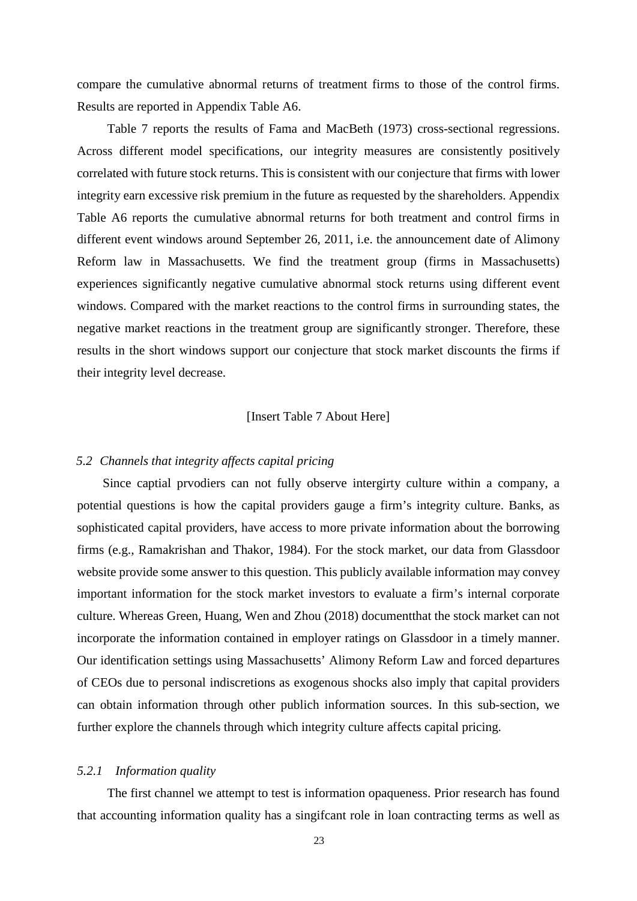compare the cumulative abnormal returns of treatment firms to those of the control firms. Results are reported in Appendix Table A6.

Table 7 reports the results of Fama and MacBeth (1973) cross-sectional regressions. Across different model specifications, our integrity measures are consistently positively correlated with future stock returns. This is consistent with our conjecture that firms with lower integrity earn excessive risk premium in the future as requested by the shareholders. Appendix Table A6 reports the cumulative abnormal returns for both treatment and control firms in different event windows around September 26, 2011, i.e. the announcement date of Alimony Reform law in Massachusetts. We find the treatment group (firms in Massachusetts) experiences significantly negative cumulative abnormal stock returns using different event windows. Compared with the market reactions to the control firms in surrounding states, the negative market reactions in the treatment group are significantly stronger. Therefore, these results in the short windows support our conjecture that stock market discounts the firms if their integrity level decrease.

### [Insert Table 7 About Here]

### *5.2 Channels that integrity affects capital pricing*

 Since captial prvodiers can not fully observe intergirty culture within a company, a potential questions is how the capital providers gauge a firm's integrity culture. Banks, as sophisticated capital providers, have access to more private information about the borrowing firms (e.g., Ramakrishan and Thakor, 1984). For the stock market, our data from Glassdoor website provide some answer to this question. This publicly available information may convey important information for the stock market investors to evaluate a firm's internal corporate culture. Whereas Green, Huang, Wen and Zhou (2018) documentthat the stock market can not incorporate the information contained in employer ratings on Glassdoor in a timely manner. Our identification settings using Massachusetts' Alimony Reform Law and forced departures of CEOs due to personal indiscretions as exogenous shocks also imply that capital providers can obtain information through other publich information sources. In this sub-section, we further explore the channels through which integrity culture affects capital pricing.

### *5.2.1 Information quality*

The first channel we attempt to test is information opaqueness. Prior research has found that accounting information quality has a singifcant role in loan contracting terms as well as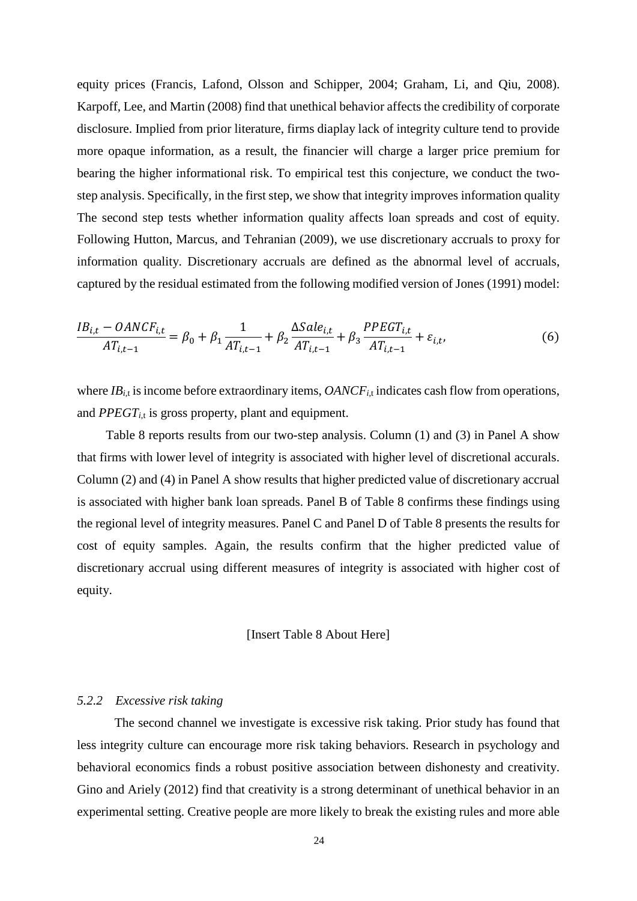equity prices (Francis, Lafond, Olsson and Schipper, 2004; Graham, Li, and Qiu, 2008). Karpoff, Lee, and Martin (2008) find that unethical behavior affects the credibility of corporate disclosure. Implied from prior literature, firms diaplay lack of integrity culture tend to provide more opaque information, as a result, the financier will charge a larger price premium for bearing the higher informational risk. To empirical test this conjecture, we conduct the twostep analysis. Specifically, in the first step, we show that integrity improves information quality The second step tests whether information quality affects loan spreads and cost of equity. Following Hutton, Marcus, and Tehranian (2009), we use discretionary accruals to proxy for information quality. Discretionary accruals are defined as the abnormal level of accruals, captured by the residual estimated from the following modified version of Jones (1991) model:

$$
\frac{IB_{i,t} - OANCE_{i,t}}{AT_{i,t-1}} = \beta_0 + \beta_1 \frac{1}{AT_{i,t-1}} + \beta_2 \frac{\Delta Sale_{i,t}}{AT_{i,t-1}} + \beta_3 \frac{PPEGT_{i,t}}{AT_{i,t-1}} + \varepsilon_{i,t},
$$
(6)

where *IB<sub>i,t</sub>* is income before extraordinary items, *OANCF<sub>i,t</sub>* indicates cash flow from operations, and  $PPECT_{i,t}$  is gross property, plant and equipment.

 Table 8 reports results from our two-step analysis. Column (1) and (3) in Panel A show that firms with lower level of integrity is associated with higher level of discretional accurals. Column (2) and (4) in Panel A show results that higher predicted value of discretionary accrual is associated with higher bank loan spreads. Panel B of Table 8 confirms these findings using the regional level of integrity measures. Panel C and Panel D of Table 8 presents the results for cost of equity samples. Again, the results confirm that the higher predicted value of discretionary accrual using different measures of integrity is associated with higher cost of equity.

### [Insert Table 8 About Here]

### *5.2.2 Excessive risk taking*

 The second channel we investigate is excessive risk taking. Prior study has found that less integrity culture can encourage more risk taking behaviors. Research in psychology and behavioral economics finds a robust positive association between dishonesty and creativity. Gino and Ariely (2012) find that creativity is a strong determinant of unethical behavior in an experimental setting. Creative people are more likely to break the existing rules and more able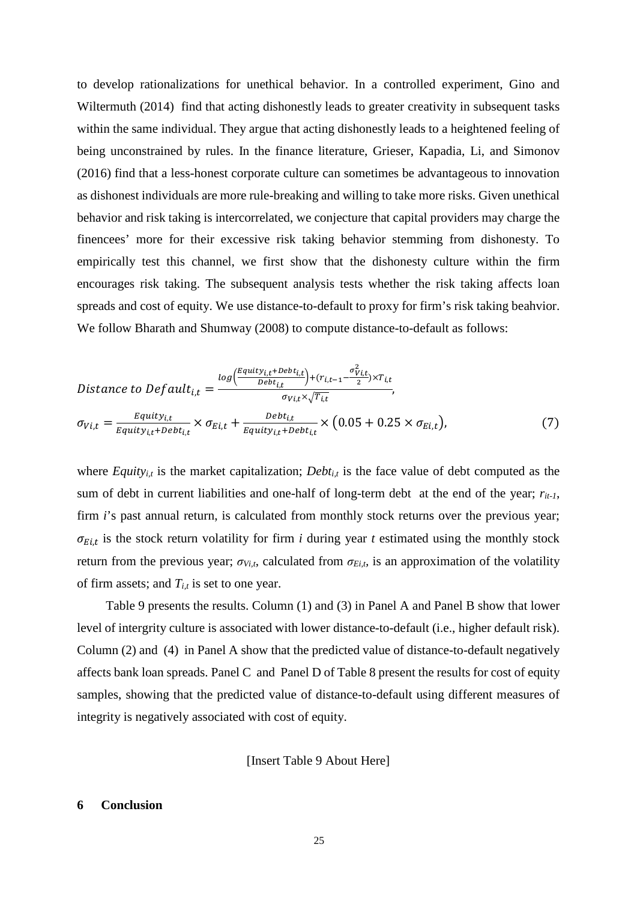to develop rationalizations for unethical behavior. In a controlled experiment, Gino and Wiltermuth (2014) find that acting dishonestly leads to greater creativity in subsequent tasks within the same individual. They argue that acting dishonestly leads to a heightened feeling of being unconstrained by rules. In the finance literature, Grieser, Kapadia, Li, and Simonov (2016) find that a less-honest corporate culture can sometimes be advantageous to innovation as dishonest individuals are more rule-breaking and willing to take more risks. Given unethical behavior and risk taking is intercorrelated, we conjecture that capital providers may charge the finencees' more for their excessive risk taking behavior stemming from dishonesty. To empirically test this channel, we first show that the dishonesty culture within the firm encourages risk taking. The subsequent analysis tests whether the risk taking affects loan spreads and cost of equity. We use distance-to-default to proxy for firm's risk taking beahvior. We follow Bharath and Shumway (2008) to compute distance-to-default as follows:

$$
Distance to Default_{i,t} = \frac{log(\frac{Equity_{i,t} + Debt_{i,t}}{Debt_{i,t}}) + (r_{i,t-1} - \frac{\sigma_{Vi,t}^2}{2}) \times T_{i,t}}{\sigma_{Vi,t} \times \sqrt{T_{i,t}}},
$$
  

$$
\sigma_{Vi,t} = \frac{Equity_{i,t}}{Equity_{i,t} + Debt_{i,t}} \times \sigma_{Ei,t} + \frac{Debt_{i,t}}{Equity_{i,t} + Debt_{i,t}} \times (0.05 + 0.25 \times \sigma_{Ei,t}),
$$
 (7)

where *Equity<sub>i,t</sub>* is the market capitalization; *Debt<sub>i,t</sub>* is the face value of debt computed as the sum of debt in current liabilities and one-half of long-term debt at the end of the year;  $r_{it-1}$ , firm *i*'s past annual return, is calculated from monthly stock returns over the previous year;  $\sigma_{E i,t}$  is the stock return volatility for firm *i* during year *t* estimated using the monthly stock return from the previous year;  $\sigma_{V_{i,t}}$ , calculated from  $\sigma_{E_{i,t}}$  is an approximation of the volatility of firm assets; and  $T_{i,t}$  is set to one year.

 Table 9 presents the results. Column (1) and (3) in Panel A and Panel B show that lower level of intergrity culture is associated with lower distance-to-default (i.e., higher default risk). Column (2) and (4) in Panel A show that the predicted value of distance-to-default negatively affects bank loan spreads. Panel C and Panel D of Table 8 present the results for cost of equity samples, showing that the predicted value of distance-to-default using different measures of integrity is negatively associated with cost of equity.

[Insert Table 9 About Here]

#### **6 Conclusion**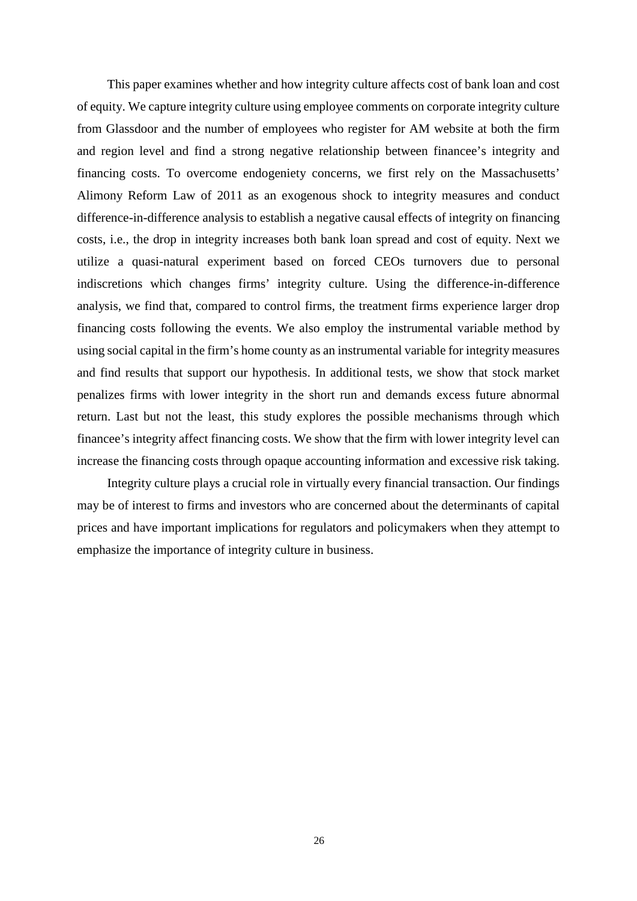This paper examines whether and how integrity culture affects cost of bank loan and cost of equity. We capture integrity culture using employee comments on corporate integrity culture from Glassdoor and the number of employees who register for AM website at both the firm and region level and find a strong negative relationship between financee's integrity and financing costs. To overcome endogeniety concerns, we first rely on the Massachusetts' Alimony Reform Law of 2011 as an exogenous shock to integrity measures and conduct difference-in-difference analysis to establish a negative causal effects of integrity on financing costs, i.e., the drop in integrity increases both bank loan spread and cost of equity. Next we utilize a quasi-natural experiment based on forced CEOs turnovers due to personal indiscretions which changes firms' integrity culture. Using the difference-in-difference analysis, we find that, compared to control firms, the treatment firms experience larger drop financing costs following the events. We also employ the instrumental variable method by using social capital in the firm's home county as an instrumental variable for integrity measures and find results that support our hypothesis. In additional tests, we show that stock market penalizes firms with lower integrity in the short run and demands excess future abnormal return. Last but not the least, this study explores the possible mechanisms through which financee's integrity affect financing costs. We show that the firm with lower integrity level can increase the financing costs through opaque accounting information and excessive risk taking.

Integrity culture plays a crucial role in virtually every financial transaction. Our findings may be of interest to firms and investors who are concerned about the determinants of capital prices and have important implications for regulators and policymakers when they attempt to emphasize the importance of integrity culture in business.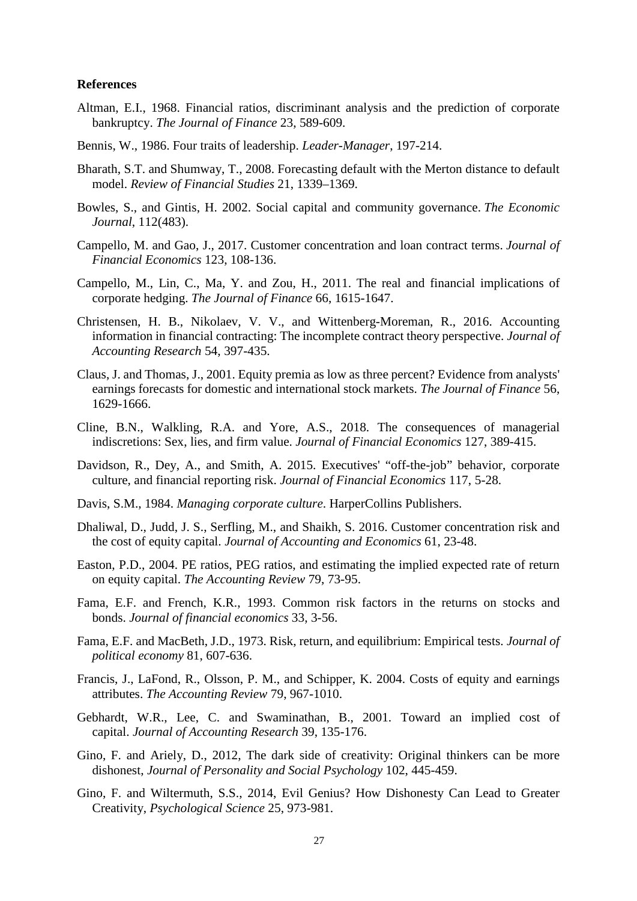### **References**

- Altman, E.I., 1968. Financial ratios, discriminant analysis and the prediction of corporate bankruptcy. *The Journal of Finance* 23, 589-609.
- Bennis, W., 1986. Four traits of leadership. *Leader-Manager*, 197-214.
- Bharath, S.T. and Shumway, T., 2008. Forecasting default with the Merton distance to default model. *Review of Financial Studies* 21, 1339–1369.
- Bowles, S., and Gintis, H. 2002. Social capital and community governance. *The Economic Journal*, 112(483).
- Campello, M. and Gao, J., 2017. Customer concentration and loan contract terms. *Journal of Financial Economics* 123, 108-136.
- Campello, M., Lin, C., Ma, Y. and Zou, H., 2011. The real and financial implications of corporate hedging. *The Journal of Finance* 66, 1615-1647.
- Christensen, H. B., Nikolaev, V. V., and Wittenberg-Moreman, R., 2016. Accounting information in financial contracting: The incomplete contract theory perspective. *Journal of Accounting Research* 54, 397-435.
- Claus, J. and Thomas, J., 2001. Equity premia as low as three percent? Evidence from analysts' earnings forecasts for domestic and international stock markets. *The Journal of Finance* 56, 1629-1666.
- Cline, B.N., Walkling, R.A. and Yore, A.S., 2018. The consequences of managerial indiscretions: Sex, lies, and firm value. *Journal of Financial Economics* 127, 389-415.
- Davidson, R., Dey, A., and Smith, A. 2015. Executives' "off-the-job" behavior, corporate culture, and financial reporting risk. *Journal of Financial Economics* 117, 5-28.
- Davis, S.M., 1984. *Managing corporate culture*. HarperCollins Publishers.
- Dhaliwal, D., Judd, J. S., Serfling, M., and Shaikh, S. 2016. Customer concentration risk and the cost of equity capital. *Journal of Accounting and Economics* 61, 23-48.
- Easton, P.D., 2004. PE ratios, PEG ratios, and estimating the implied expected rate of return on equity capital. *The Accounting Review* 79, 73-95.
- Fama, E.F. and French, K.R., 1993. Common risk factors in the returns on stocks and bonds. *Journal of financial economics* 33, 3-56.
- Fama, E.F. and MacBeth, J.D., 1973. Risk, return, and equilibrium: Empirical tests. *Journal of political economy* 81, 607-636.
- Francis, J., LaFond, R., Olsson, P. M., and Schipper, K. 2004. Costs of equity and earnings attributes. *The Accounting Review* 79, 967-1010.
- Gebhardt, W.R., Lee, C. and Swaminathan, B., 2001. Toward an implied cost of capital. *Journal of Accounting Research* 39, 135-176.
- Gino, F. and Ariely, D., 2012, The dark side of creativity: Original thinkers can be more dishonest, *Journal of Personality and Social Psychology* 102, 445-459.
- Gino, F. and Wiltermuth, S.S., 2014, Evil Genius? How Dishonesty Can Lead to Greater Creativity, *Psychological Science* 25, 973-981.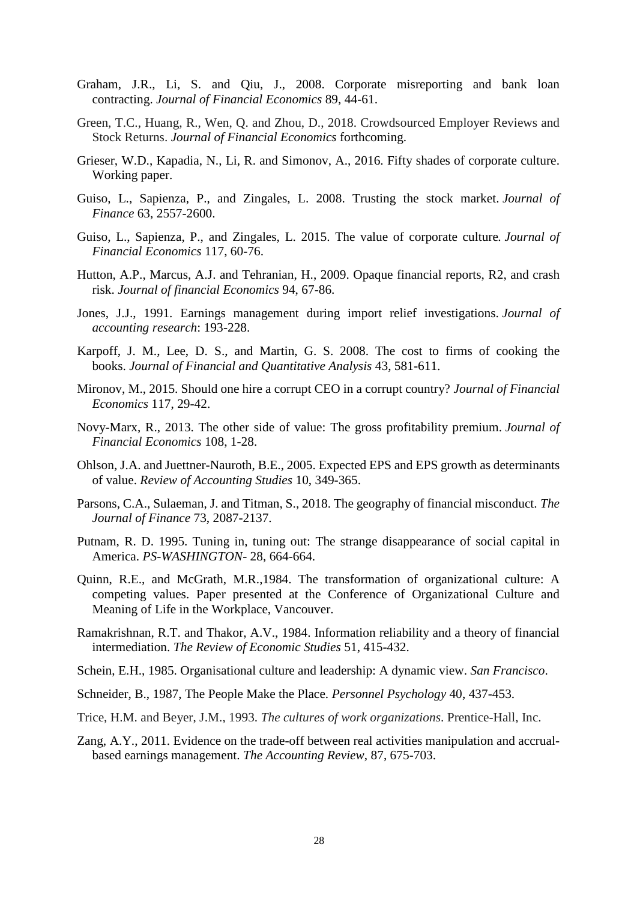- Graham, J.R., Li, S. and Qiu, J., 2008. Corporate misreporting and bank loan contracting. *Journal of Financial Economics* 89, 44-61.
- Green, T.C., Huang, R., Wen, Q. and Zhou, D., 2018. Crowdsourced Employer Reviews and Stock Returns. *Journal of Financial Economics* forthcoming.
- Grieser, W.D., Kapadia, N., Li, R. and Simonov, A., 2016. Fifty shades of corporate culture. Working paper.
- Guiso, L., Sapienza, P., and Zingales, L. 2008. Trusting the stock market. *Journal of Finance* 63, 2557-2600.
- Guiso, L., Sapienza, P., and Zingales, L. 2015. The value of corporate culture*. Journal of Financial Economics* 117, 60-76.
- Hutton, A.P., Marcus, A.J. and Tehranian, H., 2009. Opaque financial reports, R2, and crash risk. *Journal of financial Economics* 94, 67-86.
- Jones, J.J., 1991. Earnings management during import relief investigations. *Journal of accounting research*: 193-228.
- Karpoff, J. M., Lee, D. S., and Martin, G. S. 2008. The cost to firms of cooking the books. *Journal of Financial and Quantitative Analysis* 43, 581-611.
- Mironov, M., 2015. Should one hire a corrupt CEO in a corrupt country? *Journal of Financial Economics* 117, 29-42.
- Novy-Marx, R., 2013. The other side of value: The gross profitability premium. *Journal of Financial Economics* 108, 1-28.
- Ohlson, J.A. and Juettner-Nauroth, B.E., 2005. Expected EPS and EPS growth as determinants of value. *Review of Accounting Studies* 10, 349-365.
- Parsons, C.A., Sulaeman, J. and Titman, S., 2018. The geography of financial misconduct. *The Journal of Finance* 73, 2087-2137.
- Putnam, R. D. 1995. Tuning in, tuning out: The strange disappearance of social capital in America. *PS-WASHINGTON-* 28, 664-664.
- Quinn, R.E., and McGrath, M.R.,1984. The transformation of organizational culture: A competing values. Paper presented at the Conference of Organizational Culture and Meaning of Life in the Workplace, Vancouver.
- Ramakrishnan, R.T. and Thakor, A.V., 1984. Information reliability and a theory of financial intermediation. *The Review of Economic Studies* 51, 415-432.
- Schein, E.H., 1985. Organisational culture and leadership: A dynamic view. *San Francisco*.
- Schneider, B., 1987, The People Make the Place. *Personnel Psychology* 40, 437-453.
- Trice, H.M. and Beyer, J.M., 1993. *The cultures of work organizations*. Prentice-Hall, Inc.
- Zang, A.Y., 2011. Evidence on the trade-off between real activities manipulation and accrualbased earnings management. *The Accounting Review*, 87, 675-703.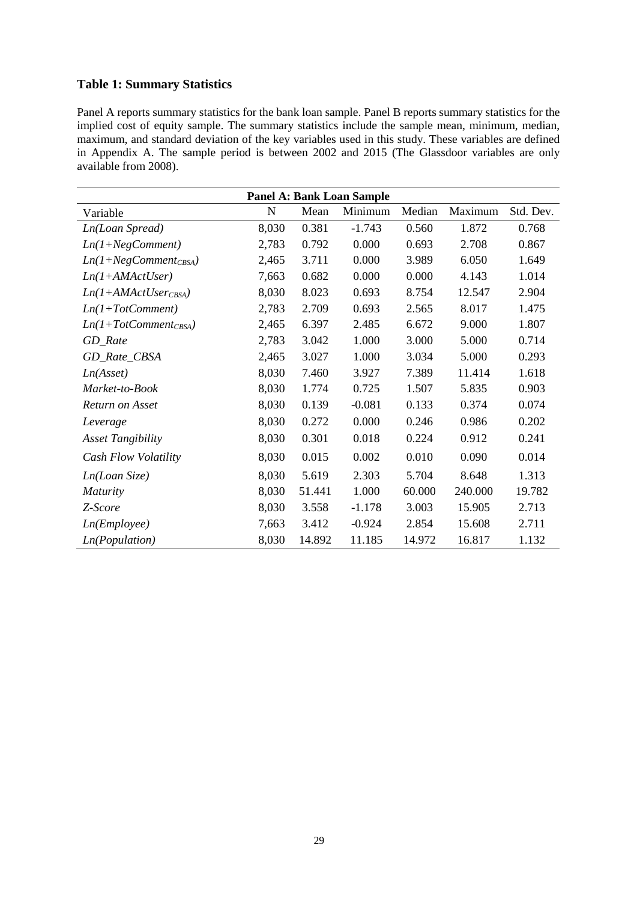### **Table 1: Summary Statistics**

Panel A reports summary statistics for the bank loan sample. Panel B reports summary statistics for the implied cost of equity sample. The summary statistics include the sample mean, minimum, median, maximum, and standard deviation of the key variables used in this study. These variables are defined in Appendix A. The sample period is between 2002 and 2015 (The Glassdoor variables are only available from 2008).

| <b>Panel A: Bank Loan Sample</b> |       |        |          |        |         |           |  |
|----------------------------------|-------|--------|----------|--------|---------|-----------|--|
| Variable                         | N     | Mean   | Minimum  | Median | Maximum | Std. Dev. |  |
| Ln(Loan Spread)                  | 8,030 | 0.381  | $-1.743$ | 0.560  | 1.872   | 0.768     |  |
| $Ln(1+NegComment)$               | 2,783 | 0.792  | 0.000    | 0.693  | 2.708   | 0.867     |  |
| $Ln(1+NegComment_{CBSA})$        | 2,465 | 3.711  | 0.000    | 3.989  | 6.050   | 1.649     |  |
| $Ln(1+AMActUser)$                | 7,663 | 0.682  | 0.000    | 0.000  | 4.143   | 1.014     |  |
| $Ln(1+AMActUser_{CBSA})$         | 8,030 | 8.023  | 0.693    | 8.754  | 12.547  | 2.904     |  |
| $Ln(1+TotComment)$               | 2,783 | 2.709  | 0.693    | 2.565  | 8.017   | 1.475     |  |
| $Ln(1+TotComment_{CBSA})$        | 2,465 | 6.397  | 2.485    | 6.672  | 9.000   | 1.807     |  |
| GD_Rate                          | 2,783 | 3.042  | 1.000    | 3.000  | 5.000   | 0.714     |  |
| GD_Rate_CBSA                     | 2,465 | 3.027  | 1.000    | 3.034  | 5.000   | 0.293     |  |
| Ln(Asset)                        | 8,030 | 7.460  | 3.927    | 7.389  | 11.414  | 1.618     |  |
| Market-to-Book                   | 8,030 | 1.774  | 0.725    | 1.507  | 5.835   | 0.903     |  |
| Return on Asset                  | 8,030 | 0.139  | $-0.081$ | 0.133  | 0.374   | 0.074     |  |
| Leverage                         | 8,030 | 0.272  | 0.000    | 0.246  | 0.986   | 0.202     |  |
| <b>Asset Tangibility</b>         | 8,030 | 0.301  | 0.018    | 0.224  | 0.912   | 0.241     |  |
| Cash Flow Volatility             | 8,030 | 0.015  | 0.002    | 0.010  | 0.090   | 0.014     |  |
| Ln(Loan Size)                    | 8,030 | 5.619  | 2.303    | 5.704  | 8.648   | 1.313     |  |
| <b>Maturity</b>                  | 8,030 | 51.441 | 1.000    | 60.000 | 240.000 | 19.782    |  |
| Z-Score                          | 8,030 | 3.558  | $-1.178$ | 3.003  | 15.905  | 2.713     |  |
| Ln(Employee)                     | 7,663 | 3.412  | $-0.924$ | 2.854  | 15.608  | 2.711     |  |
| Ln(Population)                   | 8,030 | 14.892 | 11.185   | 14.972 | 16.817  | 1.132     |  |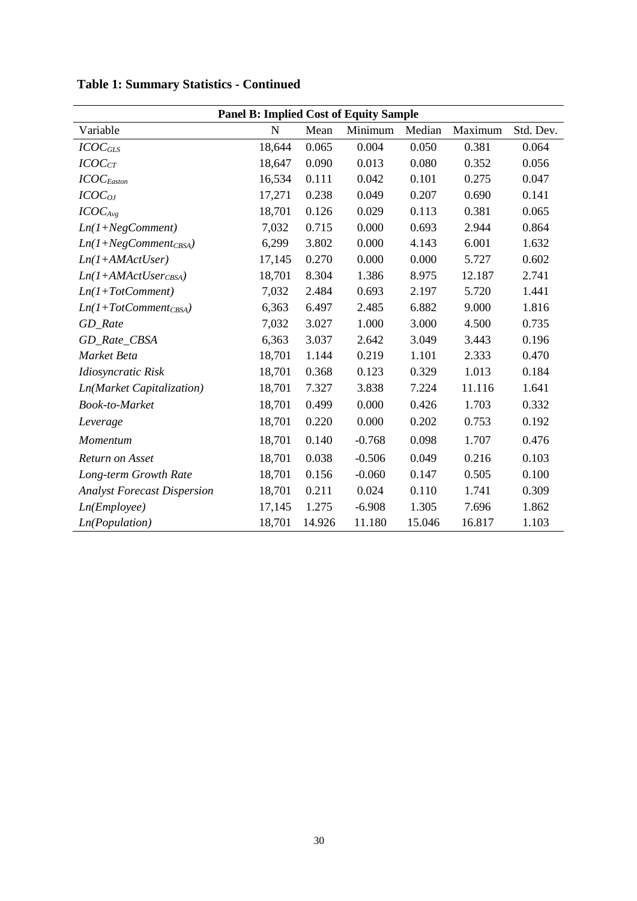| <b>Panel B: Implied Cost of Equity Sample</b> |             |        |          |        |         |           |
|-----------------------------------------------|-------------|--------|----------|--------|---------|-----------|
| Variable                                      | $\mathbf N$ | Mean   | Minimum  | Median | Maximum | Std. Dev. |
| ICOC <sub>GLS</sub>                           | 18,644      | 0.065  | 0.004    | 0.050  | 0.381   | 0.064     |
| ICOC <sub>CT</sub>                            | 18,647      | 0.090  | 0.013    | 0.080  | 0.352   | 0.056     |
| $ICOC_{Easton}$                               | 16,534      | 0.111  | 0.042    | 0.101  | 0.275   | 0.047     |
| $ICOC_{OJ}$                                   | 17,271      | 0.238  | 0.049    | 0.207  | 0.690   | 0.141     |
| ICOC <sub>Avg</sub>                           | 18,701      | 0.126  | 0.029    | 0.113  | 0.381   | 0.065     |
| $Ln(1+NegComment)$                            | 7,032       | 0.715  | 0.000    | 0.693  | 2.944   | 0.864     |
| $Ln(1+NegComment_{CBSA})$                     | 6,299       | 3.802  | 0.000    | 4.143  | 6.001   | 1.632     |
| $Ln(1+AMActUser)$                             | 17,145      | 0.270  | 0.000    | 0.000  | 5.727   | 0.602     |
| $Ln(1+AMActUser_{CBSA})$                      | 18,701      | 8.304  | 1.386    | 8.975  | 12.187  | 2.741     |
| $Ln(1+TotComment)$                            | 7,032       | 2.484  | 0.693    | 2.197  | 5.720   | 1.441     |
| $Ln(1+TotComment_{CBSA})$                     | 6,363       | 6.497  | 2.485    | 6.882  | 9.000   | 1.816     |
| GD_Rate                                       | 7,032       | 3.027  | 1.000    | 3.000  | 4.500   | 0.735     |
| GD_Rate_CBSA                                  | 6,363       | 3.037  | 2.642    | 3.049  | 3.443   | 0.196     |
| Market Beta                                   | 18,701      | 1.144  | 0.219    | 1.101  | 2.333   | 0.470     |
| Idiosyncratic Risk                            | 18,701      | 0.368  | 0.123    | 0.329  | 1.013   | 0.184     |
| <b>Ln(Market Capitalization)</b>              | 18,701      | 7.327  | 3.838    | 7.224  | 11.116  | 1.641     |
| Book-to-Market                                | 18,701      | 0.499  | 0.000    | 0.426  | 1.703   | 0.332     |
| Leverage                                      | 18,701      | 0.220  | 0.000    | 0.202  | 0.753   | 0.192     |
| Momentum                                      | 18,701      | 0.140  | $-0.768$ | 0.098  | 1.707   | 0.476     |
| Return on Asset                               | 18,701      | 0.038  | $-0.506$ | 0.049  | 0.216   | 0.103     |
| Long-term Growth Rate                         | 18,701      | 0.156  | $-0.060$ | 0.147  | 0.505   | 0.100     |
| <b>Analyst Forecast Dispersion</b>            | 18,701      | 0.211  | 0.024    | 0.110  | 1.741   | 0.309     |
| Ln(Em ployee)                                 | 17,145      | 1.275  | $-6.908$ | 1.305  | 7.696   | 1.862     |
| Ln(Population)                                | 18,701      | 14.926 | 11.180   | 15.046 | 16.817  | 1.103     |

# **Table 1: Summary Statistics - Continued**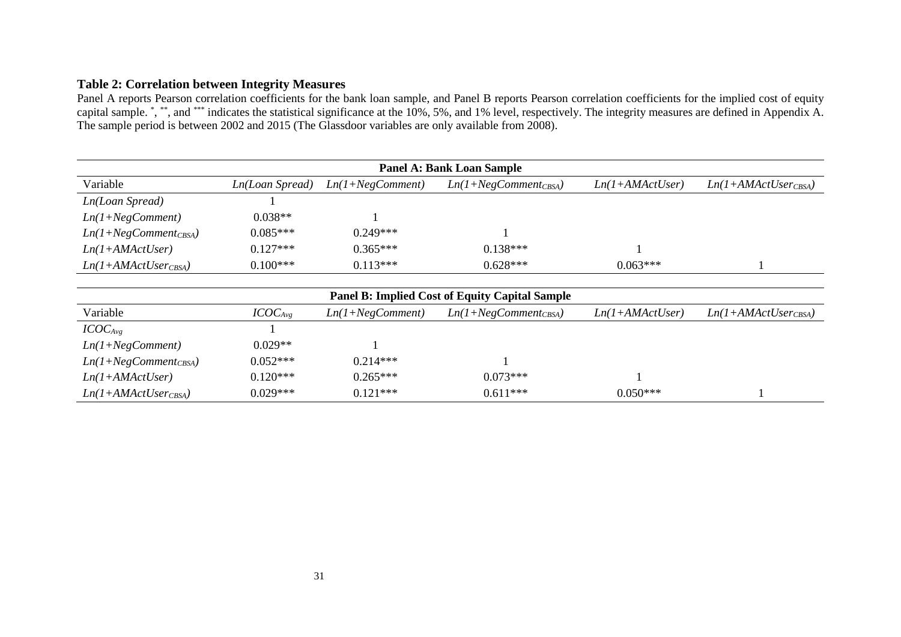# **Table 2: Correlation between Integrity Measures**

Panel A reports Pearson correlation coefficients for the bank loan sample, and Panel B reports Pearson correlation coefficients for the implied cost of equity capital sample. \* , \*\*, and \*\*\* indicates the statistical significance at the 10%, 5%, and 1% level, respectively. The integrity measures are defined in Appendix A. The sample period is between 2002 and 2015 (The Glassdoor variables are only available from 2008).

| <b>Panel A: Bank Loan Sample</b> |                 |                    |                           |                   |                          |  |  |  |
|----------------------------------|-----------------|--------------------|---------------------------|-------------------|--------------------------|--|--|--|
| Variable                         | Ln(Loan Spread) | $Ln(1+NegComment)$ | $Ln(1+NegComment_{CBSA})$ | $Ln(1+AMActUser)$ | $Ln(1+AMActUser_{CBSA})$ |  |  |  |
| Ln(Loan Spread)                  |                 |                    |                           |                   |                          |  |  |  |
| $Ln(1+NegComment)$               | $0.038**$       |                    |                           |                   |                          |  |  |  |
| $Ln(1+NegComment_{CBSA})$        | $0.085***$      | $0.249***$         |                           |                   |                          |  |  |  |
| $Ln(1+AMActUser)$                | $0.127***$      | $0.365***$         | $0.138***$                |                   |                          |  |  |  |
| $Ln(1+AMActUser_{CBSA})$         | $0.100***$      | $0.113***$         | $0.628***$                | $0.063***$        |                          |  |  |  |

| <b>Panel B: Implied Cost of Equity Capital Sample</b> |              |                    |                           |                   |                          |  |  |  |
|-------------------------------------------------------|--------------|--------------------|---------------------------|-------------------|--------------------------|--|--|--|
| Variable                                              | $ICOC_{Avg}$ | $Ln(1+NegComment)$ | $Ln(1+NegComment_{CBSA})$ | $Ln(1+AMActUser)$ | $Ln(1+AMActUser_{CRSA})$ |  |  |  |
| $ICOC_{Avg}$                                          |              |                    |                           |                   |                          |  |  |  |
| $Ln(1+NegComment)$                                    | $0.029**$    |                    |                           |                   |                          |  |  |  |
| $Ln(1+NegComment_{CBSA})$                             | $0.052***$   | $0.214***$         |                           |                   |                          |  |  |  |
| $Ln(1+AMActUser)$                                     | $0.120***$   | $0.265***$         | $0.073***$                |                   |                          |  |  |  |
| $Ln(1+AMActUser_{CBSA})$                              | $0.029***$   | $0.121***$         | $0.611***$                | $0.050***$        |                          |  |  |  |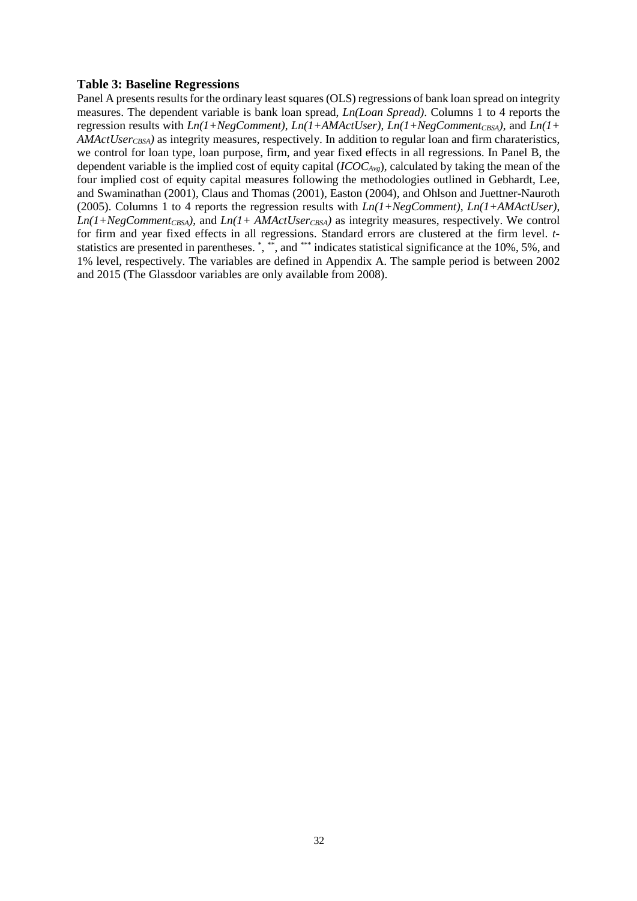### **Table 3: Baseline Regressions**

Panel A presents results for the ordinary least squares (OLS) regressions of bank loan spread on integrity measures. The dependent variable is bank loan spread, *Ln(Loan Spread)*. Columns 1 to 4 reports the regression results with  $Ln(1+NegComment)$ ,  $Ln(1+AMActUser)$ ,  $Ln(1+NegComment_{CRS4})$ , and  $Ln(1+$ *AMActUser<sub>CBSA</sub>*) as integrity measures, respectively. In addition to regular loan and firm charateristics, we control for loan type, loan purpose, firm, and year fixed effects in all regressions. In Panel B, the dependent variable is the implied cost of equity capital (*ICOCAvg*), calculated by taking the mean of the four implied cost of equity capital measures following the methodologies outlined in Gebhardt, Lee, and Swaminathan (2001), Claus and Thomas (2001), Easton (2004), and Ohlson and Juettner-Nauroth (2005). Columns 1 to 4 reports the regression results with *Ln(1+NegComment)*, *Ln(1+AMActUser)*,  $Ln(1+NegComment_{CBSA})$ , and  $Ln(1+AMActUser_{CBSA})$  as integrity measures, respectively. We control for firm and year fixed effects in all regressions. Standard errors are clustered at the firm level. *t*statistics are presented in parentheses. \*, \*\*, and \*\*\* indicates statistical significance at the 10%, 5%, and 1% level, respectively. The variables are defined in Appendix A. The sample period is between 2002 and 2015 (The Glassdoor variables are only available from 2008).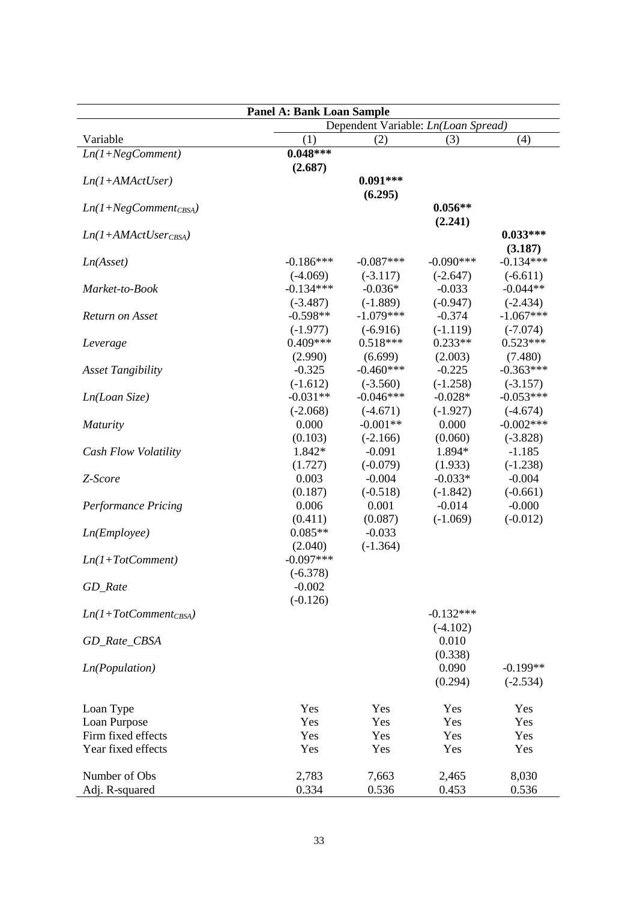| <b>Panel A: Bank Loan Sample</b> |                     |                                     |                     |                           |  |  |  |  |  |
|----------------------------------|---------------------|-------------------------------------|---------------------|---------------------------|--|--|--|--|--|
|                                  |                     | Dependent Variable: Ln(Loan Spread) |                     |                           |  |  |  |  |  |
| Variable                         | (1)                 | (2)                                 | (3)                 | (4)                       |  |  |  |  |  |
| $Ln(1+NegComment)$               | $0.048***$          |                                     |                     |                           |  |  |  |  |  |
|                                  | (2.687)             |                                     |                     |                           |  |  |  |  |  |
| $Ln(1+AMActUser)$                |                     | $0.091***$                          |                     |                           |  |  |  |  |  |
|                                  |                     | (6.295)                             |                     |                           |  |  |  |  |  |
| $Ln(1+NegComment_{CBSA})$        |                     |                                     | $0.056**$           |                           |  |  |  |  |  |
|                                  |                     |                                     | (2.241)             |                           |  |  |  |  |  |
| $Ln(1+AMActUserCBSA)$            |                     |                                     |                     | $0.033***$                |  |  |  |  |  |
|                                  |                     |                                     |                     | (3.187)                   |  |  |  |  |  |
| Ln(Asset)                        | $-0.186***$         | $-0.087***$                         | $-0.090***$         | $-0.134***$               |  |  |  |  |  |
|                                  | $(-4.069)$          | $(-3.117)$                          | $(-2.647)$          | $(-6.611)$                |  |  |  |  |  |
| Market-to-Book                   | $-0.134***$         | $-0.036*$                           | $-0.033$            | $-0.044**$                |  |  |  |  |  |
|                                  | $(-3.487)$          | $(-1.889)$                          | $(-0.947)$          | $(-2.434)$                |  |  |  |  |  |
| <b>Return on Asset</b>           | $-0.598**$          | $-1.079***$                         | $-0.374$            | $-1.067***$               |  |  |  |  |  |
|                                  | $(-1.977)$          | $(-6.916)$                          | $(-1.119)$          | $(-7.074)$                |  |  |  |  |  |
| Leverage                         | $0.409***$          | $0.518***$                          | $0.233**$           | $0.523***$                |  |  |  |  |  |
|                                  | (2.990)             | (6.699)                             | (2.003)             | (7.480)                   |  |  |  |  |  |
| <b>Asset Tangibility</b>         | $-0.325$            | $-0.460***$                         | $-0.225$            | $-0.363***$               |  |  |  |  |  |
|                                  | $(-1.612)$          | $(-3.560)$<br>$-0.046***$           | $(-1.258)$          | $(-3.157)$                |  |  |  |  |  |
| Ln(Loan Size)                    | $-0.031**$          |                                     | $-0.028*$           | $-0.053***$               |  |  |  |  |  |
|                                  | $(-2.068)$<br>0.000 | $(-4.671)$<br>$-0.001**$            | $(-1.927)$<br>0.000 | $(-4.674)$<br>$-0.002***$ |  |  |  |  |  |
| <i>Maturity</i>                  |                     | $(-2.166)$                          |                     | $(-3.828)$                |  |  |  |  |  |
|                                  | (0.103)<br>1.842*   | $-0.091$                            | (0.060)<br>1.894*   | $-1.185$                  |  |  |  |  |  |
| Cash Flow Volatility             | (1.727)             | $(-0.079)$                          | (1.933)             | $(-1.238)$                |  |  |  |  |  |
| Z-Score                          | 0.003               | $-0.004$                            | $-0.033*$           | $-0.004$                  |  |  |  |  |  |
|                                  | (0.187)             | $(-0.518)$                          | $(-1.842)$          | $(-0.661)$                |  |  |  |  |  |
| <b>Performance Pricing</b>       | 0.006               | 0.001                               | $-0.014$            | $-0.000$                  |  |  |  |  |  |
|                                  | (0.411)             | (0.087)                             | $(-1.069)$          | $(-0.012)$                |  |  |  |  |  |
| Ln(Em plove)                     | $0.085**$           | $-0.033$                            |                     |                           |  |  |  |  |  |
|                                  | (2.040)             | $(-1.364)$                          |                     |                           |  |  |  |  |  |
| $Ln(1+TotComment)$               | $-0.097***$         |                                     |                     |                           |  |  |  |  |  |
|                                  | $(-6.378)$          |                                     |                     |                           |  |  |  |  |  |
| GD_Rate                          | $-0.002$            |                                     |                     |                           |  |  |  |  |  |
|                                  | $(-0.126)$          |                                     |                     |                           |  |  |  |  |  |
| $Ln(1+TotComment_{CBSA})$        |                     |                                     | $-0.132***$         |                           |  |  |  |  |  |
|                                  |                     |                                     | $(-4.102)$          |                           |  |  |  |  |  |
| GD_Rate_CBSA                     |                     |                                     | 0.010               |                           |  |  |  |  |  |
|                                  |                     |                                     | (0.338)             |                           |  |  |  |  |  |
| <i>Ln</i> (Population)           |                     |                                     | 0.090               | $-0.199**$                |  |  |  |  |  |
|                                  |                     |                                     | (0.294)             | $(-2.534)$                |  |  |  |  |  |
|                                  |                     |                                     |                     |                           |  |  |  |  |  |
| Loan Type                        | Yes                 | Yes                                 | Yes                 | Yes                       |  |  |  |  |  |
| Loan Purpose                     | Yes                 | Yes                                 | Yes                 | Yes                       |  |  |  |  |  |
| Firm fixed effects               | Yes                 | Yes                                 | Yes                 | Yes                       |  |  |  |  |  |
| Year fixed effects               | Yes                 | Yes                                 | Yes                 | Yes                       |  |  |  |  |  |
|                                  |                     |                                     |                     |                           |  |  |  |  |  |
| Number of Obs                    | 2,783               | 7,663                               | 2,465               | 8,030                     |  |  |  |  |  |
| Adj. R-squared                   | 0.334               | 0.536                               | 0.453               | 0.536                     |  |  |  |  |  |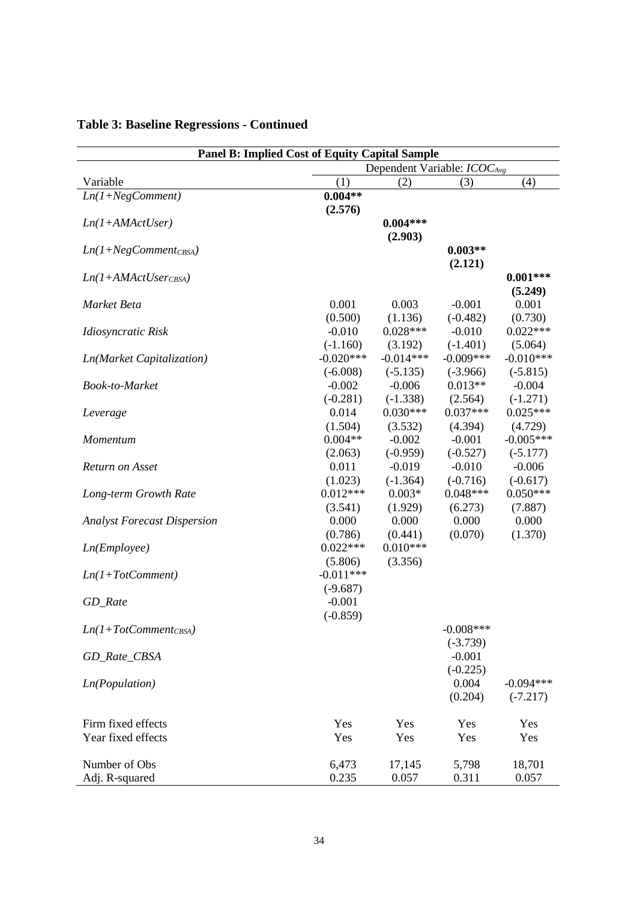| <b>Panel B: Implied Cost of Equity Capital Sample</b> |             |                                         |              |             |  |  |
|-------------------------------------------------------|-------------|-----------------------------------------|--------------|-------------|--|--|
|                                                       |             | Dependent Variable: ICOC <sub>Avg</sub> |              |             |  |  |
| Variable                                              | (1)         | (2)                                     | (3)          | (4)         |  |  |
| $Ln(1+NegComment)$                                    | $0.004**$   |                                         |              |             |  |  |
|                                                       | (2.576)     |                                         |              |             |  |  |
| $Ln(1+AMActUser)$                                     |             | $0.004***$                              |              |             |  |  |
|                                                       |             | (2.903)                                 |              |             |  |  |
| $Ln(1+NegComment_{CBSA})$                             |             |                                         | $0.003**$    |             |  |  |
|                                                       |             |                                         | (2.121)      |             |  |  |
| $Ln(1+AMActUser_{CBSA})$                              |             |                                         |              | $0.001***$  |  |  |
|                                                       |             |                                         |              | (5.249)     |  |  |
| Market Beta                                           | 0.001       | 0.003                                   | $-0.001$     | 0.001       |  |  |
|                                                       | (0.500)     | (1.136)                                 | $(-0.482)$   | (0.730)     |  |  |
| Idiosyncratic Risk                                    | $-0.010$    | $0.028***$                              | $-0.010$     | $0.022***$  |  |  |
|                                                       | $(-1.160)$  | (3.192)                                 | $(-1.401)$   | (5.064)     |  |  |
| Ln(Market Capitalization)                             | $-0.020***$ | $-0.014***$                             | $-0.009***$  | $-0.010***$ |  |  |
|                                                       | $(-6.008)$  | $(-5.135)$                              | $(-3.966)$   | $(-5.815)$  |  |  |
| <b>Book-to-Market</b>                                 | $-0.002$    | $-0.006$                                | $0.013**$    | $-0.004$    |  |  |
|                                                       | $(-0.281)$  | $(-1.338)$                              | (2.564)      | $(-1.271)$  |  |  |
| Leverage                                              | 0.014       | $0.030***$                              | $0.037***$   | $0.025***$  |  |  |
|                                                       | (1.504)     | (3.532)                                 | (4.394)      | (4.729)     |  |  |
| Momentum                                              | $0.004**$   | $-0.002$                                | $-0.001$     | $-0.005***$ |  |  |
|                                                       | (2.063)     | $(-0.959)$                              | $(-0.527)$   | $(-5.177)$  |  |  |
| Return on Asset                                       | 0.011       | $-0.019$                                | $-0.010$     | $-0.006$    |  |  |
|                                                       | (1.023)     | $(-1.364)$                              | $(-0.716)$   | $(-0.617)$  |  |  |
| Long-term Growth Rate                                 | $0.012***$  | $0.003*$                                | $0.048***$   | $0.050***$  |  |  |
|                                                       | (3.541)     | (1.929)                                 | (6.273)      | (7.887)     |  |  |
| <b>Analyst Forecast Dispersion</b>                    | 0.000       | 0.000                                   | 0.000        | 0.000       |  |  |
|                                                       | (0.786)     | (0.441)                                 | (0.070)      | (1.370)     |  |  |
| Ln(Em plope)                                          | $0.022***$  | $0.010***$                              |              |             |  |  |
|                                                       | (5.806)     | (3.356)                                 |              |             |  |  |
| $Ln(1+TotComment)$                                    | $-0.011***$ |                                         |              |             |  |  |
|                                                       | $(-9.687)$  |                                         |              |             |  |  |
| GD_Rate                                               | $-0.001$    |                                         |              |             |  |  |
|                                                       | $(-0.859)$  |                                         |              |             |  |  |
| $Ln(1+TotComment_{CBSA})$                             |             |                                         | $-0.008$ *** |             |  |  |
|                                                       |             |                                         | $(-3.739)$   |             |  |  |
| GD_Rate_CBSA                                          |             |                                         | $-0.001$     |             |  |  |
|                                                       |             |                                         | $(-0.225)$   |             |  |  |
| <i>Ln</i> (Population)                                |             |                                         | 0.004        | $-0.094***$ |  |  |
|                                                       |             |                                         | (0.204)      | $(-7.217)$  |  |  |
|                                                       |             |                                         |              |             |  |  |
| Firm fixed effects                                    | Yes         | Yes                                     | Yes          | Yes         |  |  |
| Year fixed effects                                    | Yes         | Yes                                     | Yes          | Yes         |  |  |
|                                                       |             |                                         |              |             |  |  |
| Number of Obs                                         | 6,473       | 17,145                                  | 5,798        | 18,701      |  |  |
| Adj. R-squared                                        | 0.235       | 0.057                                   | 0.311        | 0.057       |  |  |

# **Table 3: Baseline Regressions - Continued**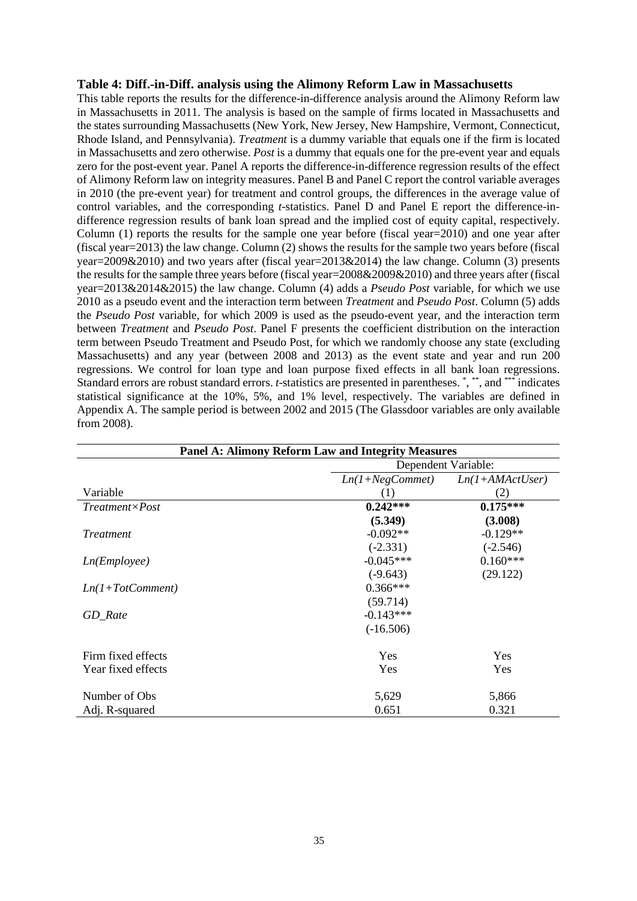### **Table 4: Diff.-in-Diff. analysis using the Alimony Reform Law in Massachusetts**

This table reports the results for the difference-in-difference analysis around the Alimony Reform law in Massachusetts in 2011. The analysis is based on the sample of firms located in Massachusetts and the states surrounding Massachusetts (New York, New Jersey, New Hampshire, Vermont, Connecticut, Rhode Island, and Pennsylvania). *Treatment* is a dummy variable that equals one if the firm is located in Massachusetts and zero otherwise. *Post* is a dummy that equals one for the pre-event year and equals zero for the post-event year. Panel A reports the difference-in-difference regression results of the effect of Alimony Reform law on integrity measures. Panel B and Panel C report the control variable averages in 2010 (the pre-event year) for treatment and control groups, the differences in the average value of control variables, and the corresponding *t*-statistics. Panel D and Panel E report the difference-indifference regression results of bank loan spread and the implied cost of equity capital, respectively. Column (1) reports the results for the sample one year before (fiscal year=2010) and one year after (fiscal year=2013) the law change. Column (2) shows the results for the sample two years before (fiscal year=2009&2010) and two years after (fiscal year=2013&2014) the law change. Column (3) presents the results for the sample three years before (fiscal year=2008&2009&2010) and three years after (fiscal year=2013&2014&2015) the law change. Column (4) adds a *Pseudo Post* variable, for which we use 2010 as a pseudo event and the interaction term between *Treatment* and *Pseudo Post*. Column (5) adds the *Pseudo Post* variable, for which 2009 is used as the pseudo-event year, and the interaction term between *Treatment* and *Pseudo Post*. Panel F presents the coefficient distribution on the interaction term between Pseudo Treatment and Pseudo Post, for which we randomly choose any state (excluding Massachusetts) and any year (between 2008 and 2013) as the event state and year and run 200 regressions. We control for loan type and loan purpose fixed effects in all bank loan regressions. Standard errors are robust standard errors. *t*-statistics are presented in parentheses. \*, \*\*, and \*\*\* indicates statistical significance at the 10%, 5%, and 1% level, respectively. The variables are defined in Appendix A. The sample period is between 2002 and 2015 (The Glassdoor variables are only available from 2008).

|                         | <b>Panel A: Alimony Reform Law and Integrity Measures</b> |                     |
|-------------------------|-----------------------------------------------------------|---------------------|
|                         |                                                           | Dependent Variable: |
|                         | $Ln(1+NegComment)$                                        | $Ln(1+AMActUser)$   |
| Variable                | (1)                                                       | (2)                 |
| $Treatment \times Post$ | $0.242***$                                                | $0.175***$          |
|                         | (5.349)                                                   | (3.008)             |
| Treatment               | $-0.092**$                                                | $-0.129**$          |
|                         | $(-2.331)$                                                | $(-2.546)$          |
| Ln(Em ployee)           | $-0.045***$                                               | $0.160***$          |
|                         | $(-9.643)$                                                | (29.122)            |
| $Ln(1+TotComment)$      | $0.366***$                                                |                     |
|                         | (59.714)                                                  |                     |
| GD Rate                 | $-0.143***$                                               |                     |
|                         | $(-16.506)$                                               |                     |
| Firm fixed effects      | Yes                                                       | Yes                 |
| Year fixed effects      | Yes                                                       | Yes                 |
| Number of Obs           | 5,629                                                     | 5,866               |
| Adj. R-squared          | 0.651                                                     | 0.321               |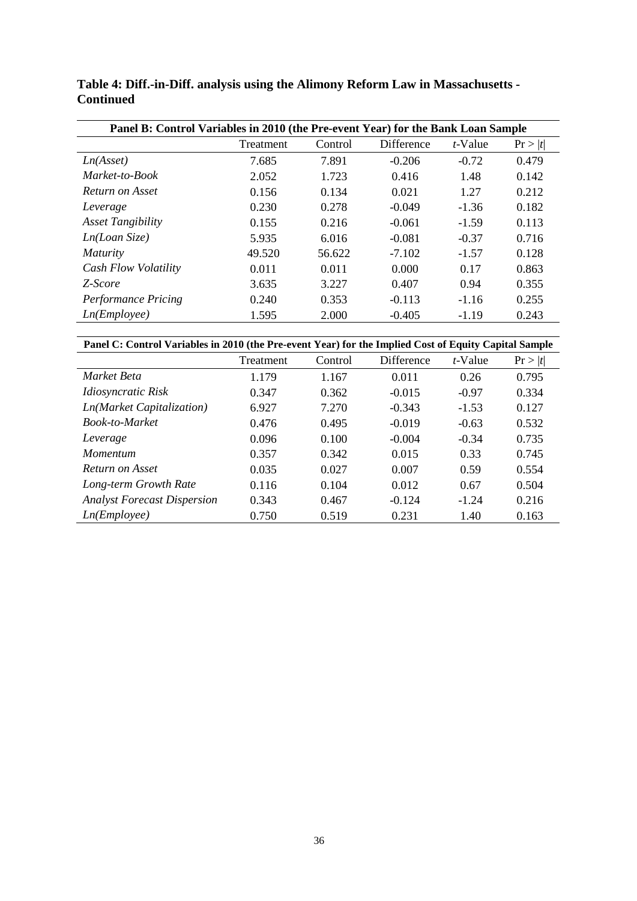| Panel B: Control Variables in 2010 (the Pre-event Year) for the Bank Loan Sample |           |         |            |            |         |
|----------------------------------------------------------------------------------|-----------|---------|------------|------------|---------|
|                                                                                  | Treatment | Control | Difference | $t$ -Value | Pr >  t |
| Ln(Asset)                                                                        | 7.685     | 7.891   | $-0.206$   | $-0.72$    | 0.479   |
| Market-to-Book                                                                   | 2.052     | 1.723   | 0.416      | 1.48       | 0.142   |
| Return on Asset                                                                  | 0.156     | 0.134   | 0.021      | 1.27       | 0.212   |
| Leverage                                                                         | 0.230     | 0.278   | $-0.049$   | $-1.36$    | 0.182   |
| <b>Asset Tangibility</b>                                                         | 0.155     | 0.216   | $-0.061$   | $-1.59$    | 0.113   |
| Ln(Loan Size)                                                                    | 5.935     | 6.016   | $-0.081$   | $-0.37$    | 0.716   |
| <i>Maturity</i>                                                                  | 49.520    | 56.622  | $-7.102$   | $-1.57$    | 0.128   |
| Cash Flow Volatility                                                             | 0.011     | 0.011   | 0.000      | 0.17       | 0.863   |
| Z-Score                                                                          | 3.635     | 3.227   | 0.407      | 0.94       | 0.355   |
| <b>Performance Pricing</b>                                                       | 0.240     | 0.353   | $-0.113$   | $-1.16$    | 0.255   |
| Ln(Em plovee)                                                                    | 1.595     | 2.000   | $-0.405$   | $-1.19$    | 0.243   |

**Table 4: Diff.-in-Diff. analysis using the Alimony Reform Law in Massachusetts - Continued**

**Panel C: Control Variables in 2010 (the Pre-event Year) for the Implied Cost of Equity Capital Sample**

|                                    | Treatment | Control | Difference | $t$ -Value | Pr >  t |
|------------------------------------|-----------|---------|------------|------------|---------|
| Market Beta                        | 1.179     | 1.167   | 0.011      | 0.26       | 0.795   |
| Idiosyncratic Risk                 | 0.347     | 0.362   | $-0.015$   | $-0.97$    | 0.334   |
| Ln(Market Capitalization)          | 6.927     | 7.270   | $-0.343$   | $-1.53$    | 0.127   |
| Book-to-Market                     | 0.476     | 0.495   | $-0.019$   | $-0.63$    | 0.532   |
| Leverage                           | 0.096     | 0.100   | $-0.004$   | $-0.34$    | 0.735   |
| <i>Momentum</i>                    | 0.357     | 0.342   | 0.015      | 0.33       | 0.745   |
| Return on Asset                    | 0.035     | 0.027   | 0.007      | 0.59       | 0.554   |
| Long-term Growth Rate              | 0.116     | 0.104   | 0.012      | 0.67       | 0.504   |
| <b>Analyst Forecast Dispersion</b> | 0.343     | 0.467   | $-0.124$   | $-1.24$    | 0.216   |
| Ln(Em plovee)                      | 0.750     | 0.519   | 0.231      | 1.40       | 0.163   |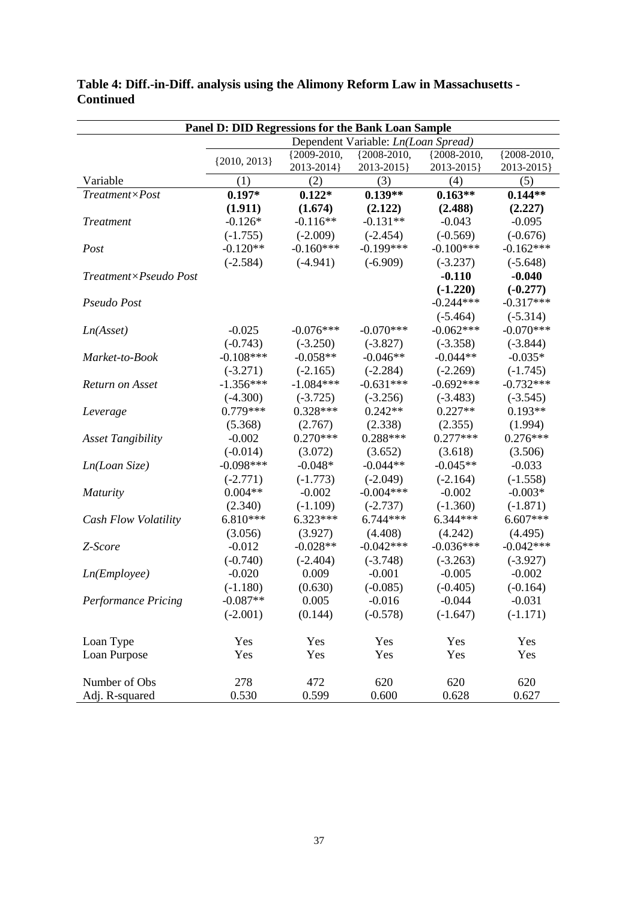| Panel D: DID Regressions for the Bank Loan Sample |                  |             |                                     |             |                 |  |  |  |
|---------------------------------------------------|------------------|-------------|-------------------------------------|-------------|-----------------|--|--|--|
|                                                   |                  |             | Dependent Variable: Ln(Loan Spread) |             |                 |  |  |  |
|                                                   | $\{2010, 2013\}$ | {2009-2010, | ${2008 - 2010,$                     | {2008-2010, | ${2008 - 2010,$ |  |  |  |
|                                                   |                  | 2013-2014}  | 2013-2015}                          | 2013-2015}  | 2013-2015}      |  |  |  |
| Variable                                          | (1)              | (2)         | (3)                                 | (4)         | (5)             |  |  |  |
| Treatment×Post                                    | $0.197*$         | $0.122*$    | $0.139**$                           | $0.163**$   | $0.144**$       |  |  |  |
|                                                   | (1.911)          | (1.674)     | (2.122)                             | (2.488)     | (2.227)         |  |  |  |
| <b>Treatment</b>                                  | $-0.126*$        | $-0.116**$  | $-0.131**$                          | $-0.043$    | $-0.095$        |  |  |  |
|                                                   | $(-1.755)$       | $(-2.009)$  | $(-2.454)$                          | $(-0.569)$  | $(-0.676)$      |  |  |  |
| Post                                              | $-0.120**$       | $-0.160***$ | $-0.199***$                         | $-0.100***$ | $-0.162***$     |  |  |  |
|                                                   | $(-2.584)$       | $(-4.941)$  | $(-6.909)$                          | $(-3.237)$  | $(-5.648)$      |  |  |  |
| Treatment×Pseudo Post                             |                  |             |                                     | $-0.110$    | $-0.040$        |  |  |  |
|                                                   |                  |             |                                     | $(-1.220)$  | $(-0.277)$      |  |  |  |
| Pseudo Post                                       |                  |             |                                     | $-0.244***$ | $-0.317***$     |  |  |  |
|                                                   |                  |             |                                     | $(-5.464)$  | $(-5.314)$      |  |  |  |
| Ln(Asset)                                         | $-0.025$         | $-0.076***$ | $-0.070***$                         | $-0.062***$ | $-0.070***$     |  |  |  |
|                                                   | $(-0.743)$       | $(-3.250)$  | $(-3.827)$                          | $(-3.358)$  | $(-3.844)$      |  |  |  |
| Market-to-Book                                    | $-0.108***$      | $-0.058**$  | $-0.046**$                          | $-0.044**$  | $-0.035*$       |  |  |  |
|                                                   | $(-3.271)$       | $(-2.165)$  | $(-2.284)$                          | $(-2.269)$  | $(-1.745)$      |  |  |  |
| Return on Asset                                   | $-1.356***$      | $-1.084***$ | $-0.631***$                         | $-0.692***$ | $-0.732***$     |  |  |  |
|                                                   | $(-4.300)$       | $(-3.725)$  | $(-3.256)$                          | $(-3.483)$  | $(-3.545)$      |  |  |  |
| Leverage                                          | 0.779***         | $0.328***$  | $0.242**$                           | $0.227**$   | $0.193**$       |  |  |  |
|                                                   | (5.368)          | (2.767)     | (2.338)                             | (2.355)     | (1.994)         |  |  |  |
| <b>Asset Tangibility</b>                          | $-0.002$         | $0.270***$  | $0.288***$                          | $0.277***$  | $0.276***$      |  |  |  |
|                                                   | $(-0.014)$       | (3.072)     | (3.652)                             | (3.618)     | (3.506)         |  |  |  |
| Ln(Loan Size)                                     | $-0.098***$      | $-0.048*$   | $-0.044**$                          | $-0.045**$  | $-0.033$        |  |  |  |
|                                                   | $(-2.771)$       | $(-1.773)$  | $(-2.049)$                          | $(-2.164)$  | $(-1.558)$      |  |  |  |
| <b>Maturity</b>                                   | $0.004**$        | $-0.002$    | $-0.004***$                         | $-0.002$    | $-0.003*$       |  |  |  |
|                                                   | (2.340)          | $(-1.109)$  | $(-2.737)$                          | $(-1.360)$  | $(-1.871)$      |  |  |  |
| Cash Flow Volatility                              | $6.810***$       | $6.323***$  | $6.744***$                          | $6.344***$  | $6.607***$      |  |  |  |
|                                                   | (3.056)          | (3.927)     | (4.408)                             | (4.242)     | (4.495)         |  |  |  |
| Z-Score                                           | $-0.012$         | $-0.028**$  | $-0.042***$                         | $-0.036***$ | $-0.042***$     |  |  |  |
|                                                   | $(-0.740)$       | $(-2.404)$  | $(-3.748)$                          | $(-3.263)$  | $(-3.927)$      |  |  |  |
| Ln(Em ployee)                                     | $-0.020$         | 0.009       | $-0.001$                            | $-0.005$    | $-0.002$        |  |  |  |
|                                                   | $(-1.180)$       | (0.630)     | $(-0.085)$                          | $(-0.405)$  | $(-0.164)$      |  |  |  |
| Performance Pricing                               | $-0.087**$       | 0.005       | $-0.016$                            | $-0.044$    | $-0.031$        |  |  |  |
|                                                   | $(-2.001)$       | (0.144)     | $(-0.578)$                          | $(-1.647)$  | $(-1.171)$      |  |  |  |
| Loan Type                                         | Yes              | Yes         | Yes                                 | Yes         | Yes             |  |  |  |
| Loan Purpose                                      | Yes              | Yes         | Yes                                 | Yes         | Yes             |  |  |  |
|                                                   |                  |             |                                     |             |                 |  |  |  |
| Number of Obs                                     | 278              | 472         | 620                                 | 620         | 620             |  |  |  |
| Adj. R-squared                                    | 0.530            | 0.599       | 0.600                               | 0.628       | 0.627           |  |  |  |

**Table 4: Diff.-in-Diff. analysis using the Alimony Reform Law in Massachusetts - Continued**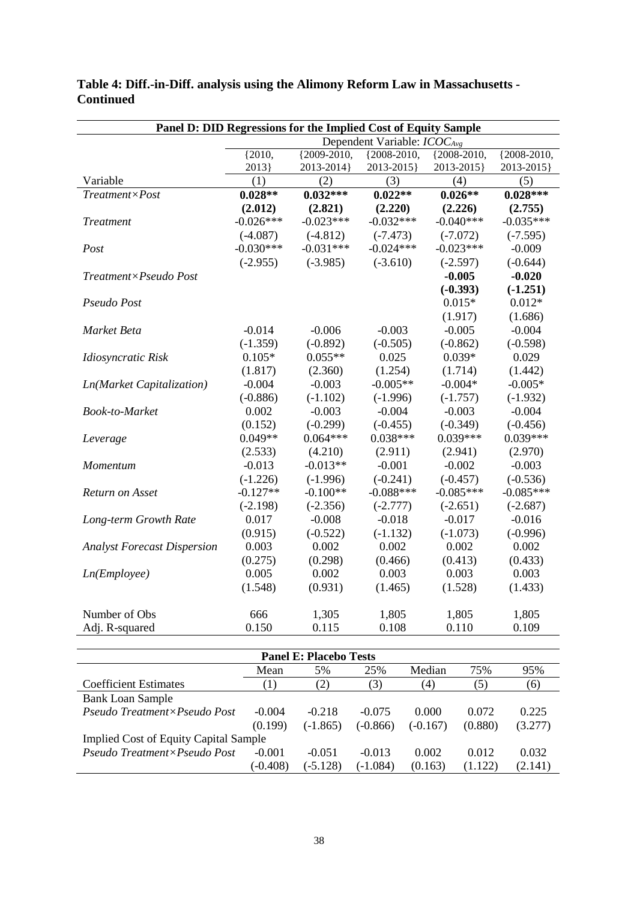| Panel D: DID Regressions for the Implied Cost of Equity Sample |                                  |                 |                 |             |                 |  |  |
|----------------------------------------------------------------|----------------------------------|-----------------|-----------------|-------------|-----------------|--|--|
|                                                                | Dependent Variable: $ICOC_{Avg}$ |                 |                 |             |                 |  |  |
|                                                                | ${2010,$                         | ${2009 - 2010,$ | ${2008 - 2010,$ | {2008-2010, | ${2008 - 2010,$ |  |  |
|                                                                | 2013                             | 2013-2014}      | 2013-2015}      | 2013-2015}  | 2013-2015}      |  |  |
| Variable                                                       | (1)                              | (2)             | (3)             | (4)         | (5)             |  |  |
| $Treatment \times Post$                                        | $0.028**$                        | $0.032***$      | $0.022**$       | $0.026**$   | $0.028***$      |  |  |
|                                                                | (2.012)                          | (2.821)         | (2.220)         | (2.226)     | (2.755)         |  |  |
| <b>Treatment</b>                                               | $-0.026***$                      | $-0.023***$     | $-0.032***$     | $-0.040***$ | $-0.035***$     |  |  |
|                                                                | $(-4.087)$                       | $(-4.812)$      | $(-7.473)$      | $(-7.072)$  | $(-7.595)$      |  |  |
| Post                                                           | $-0.030***$                      | $-0.031***$     | $-0.024***$     | $-0.023***$ | $-0.009$        |  |  |
|                                                                | $(-2.955)$                       | $(-3.985)$      | $(-3.610)$      | $(-2.597)$  | $(-0.644)$      |  |  |
| Treatment×Pseudo Post                                          |                                  |                 |                 | $-0.005$    | $-0.020$        |  |  |
|                                                                |                                  |                 |                 | $(-0.393)$  | $(-1.251)$      |  |  |
| Pseudo Post                                                    |                                  |                 |                 | $0.015*$    | $0.012*$        |  |  |
|                                                                |                                  |                 |                 | (1.917)     | (1.686)         |  |  |
| Market Beta                                                    | $-0.014$                         | $-0.006$        | $-0.003$        | $-0.005$    | $-0.004$        |  |  |
|                                                                | $(-1.359)$                       | $(-0.892)$      | $(-0.505)$      | $(-0.862)$  | $(-0.598)$      |  |  |
| Idiosyncratic Risk                                             | $0.105*$                         | $0.055**$       | 0.025           | $0.039*$    | 0.029           |  |  |
|                                                                | (1.817)                          | (2.360)         | (1.254)         | (1.714)     | (1.442)         |  |  |
| Ln(Market Capitalization)                                      | $-0.004$                         | $-0.003$        | $-0.005**$      | $-0.004*$   | $-0.005*$       |  |  |
|                                                                | $(-0.886)$                       | $(-1.102)$      | $(-1.996)$      | $(-1.757)$  | $(-1.932)$      |  |  |
| <b>Book-to-Market</b>                                          | 0.002                            | $-0.003$        | $-0.004$        | $-0.003$    | $-0.004$        |  |  |
|                                                                | (0.152)                          | $(-0.299)$      | $(-0.455)$      | $(-0.349)$  | $(-0.456)$      |  |  |
| Leverage                                                       | $0.049**$                        | $0.064***$      | $0.038***$      | $0.039***$  | $0.039***$      |  |  |
|                                                                | (2.533)                          | (4.210)         | (2.911)         | (2.941)     | (2.970)         |  |  |
| Momentum                                                       | $-0.013$                         | $-0.013**$      | $-0.001$        | $-0.002$    | $-0.003$        |  |  |
|                                                                | $(-1.226)$                       | $(-1.996)$      | $(-0.241)$      | $(-0.457)$  | $(-0.536)$      |  |  |
| Return on Asset                                                | $-0.127**$                       | $-0.100**$      | $-0.088***$     | $-0.085***$ | $-0.085***$     |  |  |
|                                                                | $(-2.198)$                       | $(-2.356)$      | $(-2.777)$      | $(-2.651)$  | $(-2.687)$      |  |  |
| Long-term Growth Rate                                          | 0.017                            | $-0.008$        | $-0.018$        | $-0.017$    | $-0.016$        |  |  |
|                                                                | (0.915)                          | $(-0.522)$      | $(-1.132)$      | $(-1.073)$  | $(-0.996)$      |  |  |
| <b>Analyst Forecast Dispersion</b>                             | 0.003                            | 0.002           | 0.002           | 0.002       | 0.002           |  |  |
|                                                                | (0.275)                          | (0.298)         | (0.466)         | (0.413)     | (0.433)         |  |  |
| Ln(Em ployee)                                                  | 0.005                            | 0.002           | 0.003           | 0.003       | 0.003           |  |  |
|                                                                | (1.548)                          | (0.931)         | (1.465)         | (1.528)     | (1.433)         |  |  |
|                                                                |                                  |                 |                 |             |                 |  |  |
| Number of Obs                                                  | 666                              | 1,305           | 1,805           | 1,805       | 1,805           |  |  |
| Adj. R-squared                                                 | 0.150                            | 0.115           | 0.108           | 0.110       | 0.109           |  |  |

### **Table 4: Diff.-in-Diff. analysis using the Alimony Reform Law in Massachusetts - Continued**

| <b>Panel E: Placebo Tests</b>                |                  |            |            |                   |         |         |  |  |
|----------------------------------------------|------------------|------------|------------|-------------------|---------|---------|--|--|
|                                              | Mean             | 5%         | 25%        | Median            | 75%     | 95%     |  |  |
| <b>Coefficient Estimates</b>                 | $\left(1\right)$ | (2)        | (3)        | $\left( 4\right)$ | (5)     | (6)     |  |  |
| <b>Bank Loan Sample</b>                      |                  |            |            |                   |         |         |  |  |
| Pseudo Treatment×Pseudo Post                 | $-0.004$         | $-0.218$   | $-0.075$   | 0.000             | 0.072   | 0.225   |  |  |
|                                              | (0.199)          | $(-1.865)$ | $(-0.866)$ | $(-0.167)$        | (0.880) | (3.277) |  |  |
| <b>Implied Cost of Equity Capital Sample</b> |                  |            |            |                   |         |         |  |  |
| Pseudo Treatment×Pseudo Post                 | $-0.001$         | $-0.051$   | $-0.013$   | 0.002             | 0.012   | 0.032   |  |  |
|                                              | $(-0.408)$       | $(-5.128)$ | $(-1.084)$ | (0.163)           | (1.122) | (2.141) |  |  |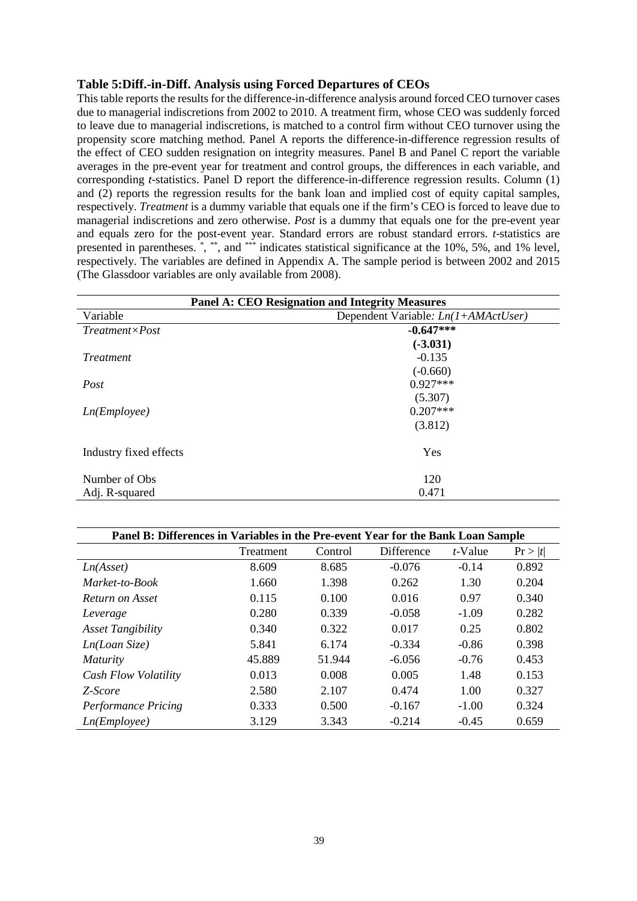### **Table 5:Diff.-in-Diff. Analysis using Forced Departures of CEOs**

This table reports the results for the difference-in-difference analysis around forced CEO turnover cases due to managerial indiscretions from 2002 to 2010. A treatment firm, whose CEO was suddenly forced to leave due to managerial indiscretions, is matched to a control firm without CEO turnover using the propensity score matching method. Panel A reports the difference-in-difference regression results of the effect of CEO sudden resignation on integrity measures. Panel B and Panel C report the variable averages in the pre-event year for treatment and control groups, the differences in each variable, and corresponding *t*-statistics. Panel D report the difference-in-difference regression results. Column (1) and (2) reports the regression results for the bank loan and implied cost of equity capital samples, respectively. *Treatment* is a dummy variable that equals one if the firm's CEO is forced to leave due to managerial indiscretions and zero otherwise. *Post* is a dummy that equals one for the pre-event year and equals zero for the post-event year. Standard errors are robust standard errors. *t*-statistics are presented in parentheses. \*, \*\*, and \*\*\* indicates statistical significance at the 10%, 5%, and 1% level, respectively. The variables are defined in Appendix A. The sample period is between 2002 and 2015 (The Glassdoor variables are only available from 2008).

| <b>Panel A: CEO Resignation and Integrity Measures</b> |                                       |  |  |
|--------------------------------------------------------|---------------------------------------|--|--|
| Variable                                               | Dependent Variable: $Ln(I+AMActUser)$ |  |  |
| $Treatment \times Post$                                | $-0.647***$                           |  |  |
|                                                        | $(-3.031)$                            |  |  |
| <i>Treatment</i>                                       | $-0.135$                              |  |  |
|                                                        | $(-0.660)$                            |  |  |
| Post                                                   | $0.927***$                            |  |  |
|                                                        | (5.307)                               |  |  |
| Ln(Em ployee)                                          | $0.207***$                            |  |  |
|                                                        | (3.812)                               |  |  |
| Industry fixed effects                                 | Yes                                   |  |  |
| Number of Obs.                                         | 120                                   |  |  |
| Adj. R-squared                                         | 0.471                                 |  |  |

| Panel B: Differences in Variables in the Pre-event Year for the Bank Loan Sample |           |         |            |            |         |  |
|----------------------------------------------------------------------------------|-----------|---------|------------|------------|---------|--|
|                                                                                  | Treatment | Control | Difference | $t$ -Value | Pr >  t |  |
| Ln(Asset)                                                                        | 8.609     | 8.685   | $-0.076$   | $-0.14$    | 0.892   |  |
| Market-to-Book                                                                   | 1.660     | 1.398   | 0.262      | 1.30       | 0.204   |  |
| Return on Asset                                                                  | 0.115     | 0.100   | 0.016      | 0.97       | 0.340   |  |
| Leverage                                                                         | 0.280     | 0.339   | $-0.058$   | $-1.09$    | 0.282   |  |
| <b>Asset Tangibility</b>                                                         | 0.340     | 0.322   | 0.017      | 0.25       | 0.802   |  |
| Ln(Loan Size)                                                                    | 5.841     | 6.174   | $-0.334$   | $-0.86$    | 0.398   |  |
| <i>Maturity</i>                                                                  | 45.889    | 51.944  | $-6.056$   | $-0.76$    | 0.453   |  |
| Cash Flow Volatility                                                             | 0.013     | 0.008   | 0.005      | 1.48       | 0.153   |  |
| Z-Score                                                                          | 2.580     | 2.107   | 0.474      | 1.00       | 0.327   |  |
| <b>Performance Pricing</b>                                                       | 0.333     | 0.500   | $-0.167$   | $-1.00$    | 0.324   |  |
| Ln(Em plovee)                                                                    | 3.129     | 3.343   | $-0.214$   | $-0.45$    | 0.659   |  |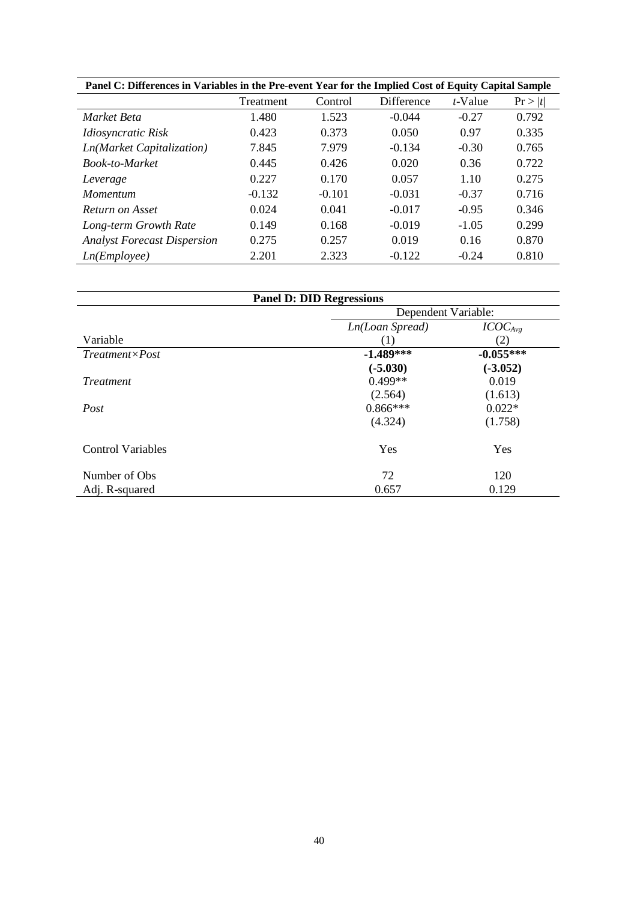| Panel C: Differences in Variables in the Pre-event Year for the Implied Cost of Equity Capital Sample |          |          |          |         |       |  |  |
|-------------------------------------------------------------------------------------------------------|----------|----------|----------|---------|-------|--|--|
| Difference<br>$t$ -Value<br>Treatment<br>Control<br>Pr >  t                                           |          |          |          |         |       |  |  |
| Market Beta                                                                                           | 1.480    | 1.523    | $-0.044$ | $-0.27$ | 0.792 |  |  |
| Idiosyncratic Risk                                                                                    | 0.423    | 0.373    | 0.050    | 0.97    | 0.335 |  |  |
| Ln(Market Capitalization)                                                                             | 7.845    | 7.979    | $-0.134$ | $-0.30$ | 0.765 |  |  |
| <b>Book-to-Market</b>                                                                                 | 0.445    | 0.426    | 0.020    | 0.36    | 0.722 |  |  |
| Leverage                                                                                              | 0.227    | 0.170    | 0.057    | 1.10    | 0.275 |  |  |
| <i>Momentum</i>                                                                                       | $-0.132$ | $-0.101$ | $-0.031$ | $-0.37$ | 0.716 |  |  |
| Return on Asset                                                                                       | 0.024    | 0.041    | $-0.017$ | $-0.95$ | 0.346 |  |  |
| Long-term Growth Rate                                                                                 | 0.149    | 0.168    | $-0.019$ | $-1.05$ | 0.299 |  |  |
| <b>Analyst Forecast Dispersion</b>                                                                    | 0.275    | 0.257    | 0.019    | 0.16    | 0.870 |  |  |
| Ln(Em plovee)                                                                                         | 2.201    | 2.323    | $-0.122$ | $-0.24$ | 0.810 |  |  |

| <b>Panel D: DID Regressions</b> |                 |                     |  |  |  |
|---------------------------------|-----------------|---------------------|--|--|--|
|                                 |                 | Dependent Variable: |  |  |  |
|                                 | Ln(Loan Spread) | ICOC <sub>Avg</sub> |  |  |  |
| Variable                        | (1)             | (2)                 |  |  |  |
| $Treatment \times Post$         | $-1.489***$     | $-0.055***$         |  |  |  |
|                                 | $(-5.030)$      | $(-3.052)$          |  |  |  |
| <i>Treatment</i>                | $0.499**$       | 0.019               |  |  |  |
|                                 | (2.564)         | (1.613)             |  |  |  |
| Post                            | $0.866***$      | $0.022*$            |  |  |  |
|                                 | (4.324)         | (1.758)             |  |  |  |
| <b>Control Variables</b>        | Yes             | Yes                 |  |  |  |
| Number of Obs                   | 72              | 120                 |  |  |  |
| Adj. R-squared                  | 0.657           | 0.129               |  |  |  |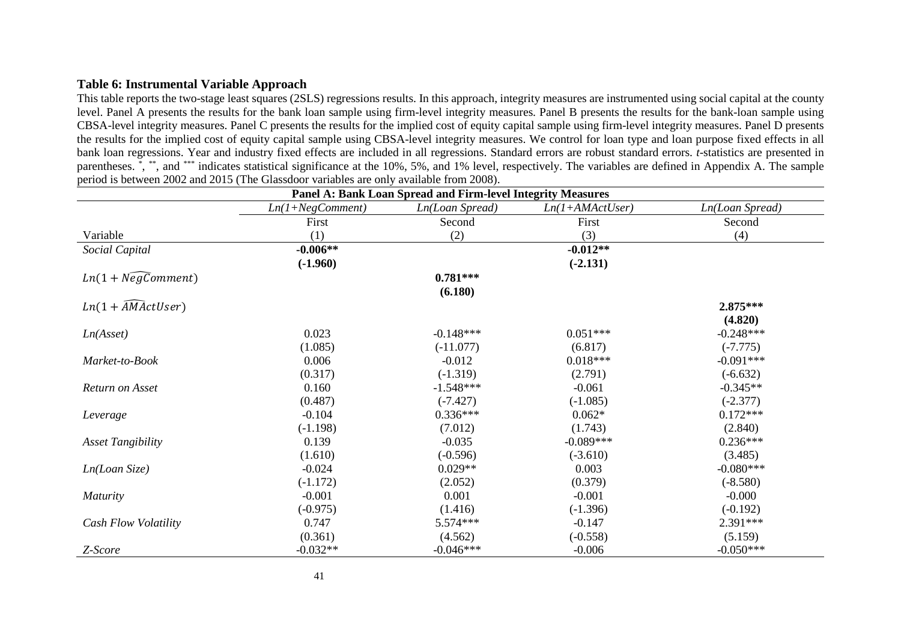### **Table 6: Instrumental Variable Approach**

This table reports the two-stage least squares (2SLS) regressions results. In this approach, integrity measures are instrumented using social capital at the county level. Panel A presents the results for the bank loan sample using firm-level integrity measures. Panel B presents the results for the bank-loan sample using CBSA-level integrity measures. Panel C presents the results for the implied cost of equity capital sample using firm-level integrity measures. Panel D presents the results for the implied cost of equity capital sample using CBSA-level integrity measures. We control for loan type and loan purpose fixed effects in all bank loan regressions. Year and industry fixed effects are included in all regressions. Standard errors are robust standard errors. *t*-statistics are presented in parentheses. \*, \*\*, and \*\*\* indicates statistical significance at the 10%, 5%, and 1% level, respectively. The variables are defined in Appendix A. The sample period is between 2002 and 2015 (The Glassdoor variables are only available from 2008).

| Panel A: Bank Loan Spread and Firm-level Integrity Measures |                    |                 |                   |                 |  |
|-------------------------------------------------------------|--------------------|-----------------|-------------------|-----------------|--|
|                                                             | $Ln(1+NegComment)$ | Ln(Loan Spread) | $Ln(1+AMActUser)$ | Ln(Loan Spread) |  |
|                                                             | First              | Second          | First             | Second          |  |
| Variable                                                    | (1)                | (2)             | (3)               | (4)             |  |
| Social Capital                                              | $-0.006**$         |                 | $-0.012**$        |                 |  |
|                                                             | $(-1.960)$         |                 | $(-2.131)$        |                 |  |
| $Ln(1 + N\widehat{egComment})$                              |                    | $0.781***$      |                   |                 |  |
|                                                             |                    | (6.180)         |                   |                 |  |
| $Ln(1 + \widehat{AM}(\text{ActUser}))$                      |                    |                 |                   | 2.875***        |  |
|                                                             |                    |                 |                   | (4.820)         |  |
| Ln(Asset)                                                   | 0.023              | $-0.148***$     | $0.051***$        | $-0.248***$     |  |
|                                                             | (1.085)            | $(-11.077)$     | (6.817)           | $(-7.775)$      |  |
| Market-to-Book                                              | 0.006              | $-0.012$        | $0.018***$        | $-0.091***$     |  |
|                                                             | (0.317)            | $(-1.319)$      | (2.791)           | $(-6.632)$      |  |
| Return on Asset                                             | 0.160              | $-1.548***$     | $-0.061$          | $-0.345**$      |  |
|                                                             | (0.487)            | $(-7.427)$      | $(-1.085)$        | $(-2.377)$      |  |
| Leverage                                                    | $-0.104$           | $0.336***$      | $0.062*$          | $0.172***$      |  |
|                                                             | $(-1.198)$         | (7.012)         | (1.743)           | (2.840)         |  |
| <b>Asset Tangibility</b>                                    | 0.139              | $-0.035$        | $-0.089***$       | $0.236***$      |  |
|                                                             | (1.610)            | $(-0.596)$      | $(-3.610)$        | (3.485)         |  |
| Ln(Loan Size)                                               | $-0.024$           | $0.029**$       | 0.003             | $-0.080***$     |  |
|                                                             | $(-1.172)$         | (2.052)         | (0.379)           | $(-8.580)$      |  |
| <b>Maturity</b>                                             | $-0.001$           | 0.001           | $-0.001$          | $-0.000$        |  |
|                                                             | $(-0.975)$         | (1.416)         | $(-1.396)$        | $(-0.192)$      |  |
| Cash Flow Volatility                                        | 0.747              | 5.574***        | $-0.147$          | 2.391***        |  |
|                                                             | (0.361)            | (4.562)         | $(-0.558)$        | (5.159)         |  |
| Z-Score                                                     | $-0.032**$         | $-0.046***$     | $-0.006$          | $-0.050***$     |  |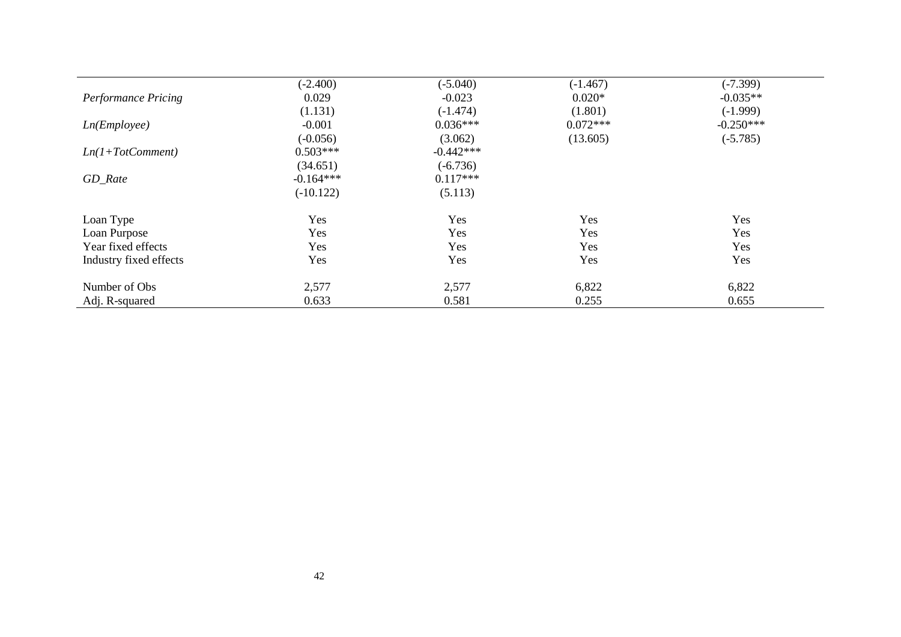|                            | $(-2.400)$  | $(-5.040)$  | $(-1.467)$ | $(-7.399)$  |
|----------------------------|-------------|-------------|------------|-------------|
| <b>Performance Pricing</b> | 0.029       | $-0.023$    | $0.020*$   | $-0.035**$  |
|                            | (1.131)     | $(-1.474)$  | (1.801)    | $(-1.999)$  |
| Ln(Em ployee)              | $-0.001$    | $0.036***$  | $0.072***$ | $-0.250***$ |
|                            | $(-0.056)$  | (3.062)     | (13.605)   | $(-5.785)$  |
| $Ln(1+TotComment)$         | $0.503***$  | $-0.442***$ |            |             |
|                            | (34.651)    | $(-6.736)$  |            |             |
| GD_Rate                    | $-0.164***$ | $0.117***$  |            |             |
|                            | $(-10.122)$ | (5.113)     |            |             |
| Loan Type                  | Yes         | Yes         | Yes        | Yes         |
| Loan Purpose               | Yes         | Yes         | Yes        | Yes         |
| Year fixed effects         | Yes         | Yes         | Yes        | Yes         |
| Industry fixed effects     | Yes         | Yes         | Yes        | Yes         |
| Number of Obs              | 2,577       | 2,577       | 6,822      | 6,822       |
| Adj. R-squared             | 0.633       | 0.581       | 0.255      | 0.655       |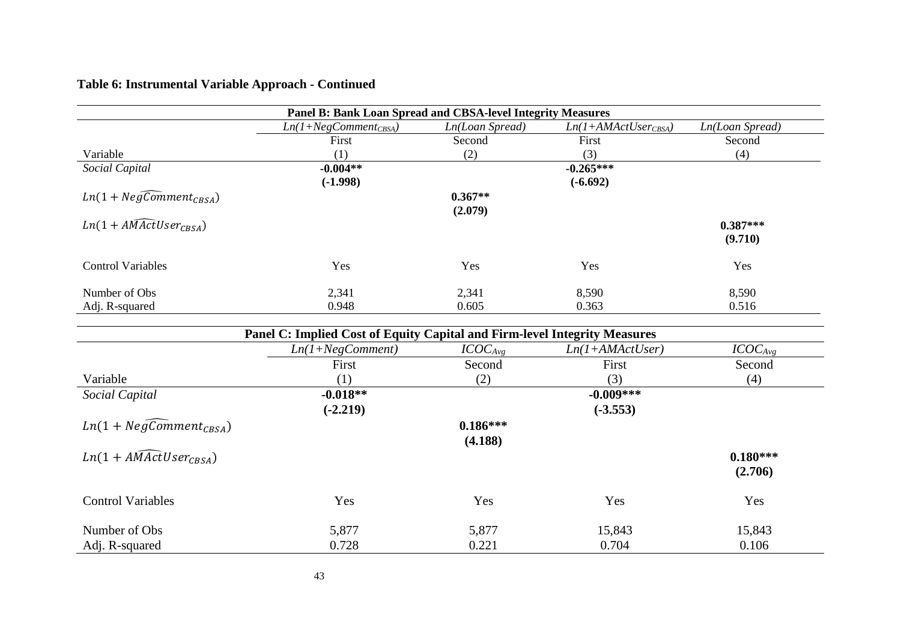# **Table 6: Instrumental Variable Approach - Continued**

| Panel B: Bank Loan Spread and CBSA-level Integrity Measures |                           |                 |                          |                 |  |
|-------------------------------------------------------------|---------------------------|-----------------|--------------------------|-----------------|--|
|                                                             | $Ln(1+NegComment_{CBSA})$ | Ln(Loan Spread) | $Ln(1+AMActUser_{CBSA})$ | Ln(Loan Spread) |  |
|                                                             | First                     | Second          | First                    | Second          |  |
| Variable                                                    | $\left( 1\right)$         | (2)             | (3)                      | (4)             |  |
| Social Capital                                              | $-0.004**$                |                 | $-0.265***$              |                 |  |
|                                                             | $(-1.998)$                |                 | $(-6.692)$               |                 |  |
| $Ln(1+NegComment_{CRSA})$                                   |                           | $0.367**$       |                          |                 |  |
|                                                             |                           | (2.079)         |                          |                 |  |
| $Ln(1 + AMActUser_{CRSA})$                                  |                           |                 |                          | $0.387***$      |  |
|                                                             |                           |                 |                          | (9.710)         |  |
|                                                             |                           |                 |                          |                 |  |
| <b>Control Variables</b>                                    | Yes                       | Yes             | Yes                      | Yes             |  |
|                                                             |                           |                 |                          |                 |  |
| Number of Obs                                               | 2,341                     | 2,341           | 8,590                    | 8,590           |  |
| Adj. R-squared                                              | 0.948                     | 0.605           | 0.363                    | 0.516           |  |

| Panel C: Implied Cost of Equity Capital and Firm-level Integrity Measures |                    |              |                   |              |  |  |
|---------------------------------------------------------------------------|--------------------|--------------|-------------------|--------------|--|--|
|                                                                           | $Ln(1+NegComment)$ | $ICOC_{Avg}$ | $Ln(I+AMActUser)$ | $ICOC_{Avg}$ |  |  |
|                                                                           | First              | Second       | First             | Second       |  |  |
| Variable                                                                  | (1)                | (2)          | (3)               | (4)          |  |  |
| Social Capital                                                            | $-0.018**$         |              | $-0.009***$       |              |  |  |
|                                                                           | $(-2.219)$         |              | $(-3.553)$        |              |  |  |
| $Ln(1+NegComment_{CRSA})$                                                 |                    | $0.186***$   |                   |              |  |  |
|                                                                           |                    | (4.188)      |                   |              |  |  |
| $Ln(1 + AMActUser_{CRSA})$                                                |                    |              |                   | $0.180***$   |  |  |
|                                                                           |                    |              |                   | (2.706)      |  |  |
|                                                                           |                    |              |                   |              |  |  |
| <b>Control Variables</b>                                                  | Yes                | Yes          | Yes               | Yes          |  |  |
|                                                                           |                    |              |                   |              |  |  |
| Number of Obs                                                             | 5,877              | 5,877        | 15,843            | 15,843       |  |  |
| Adj. R-squared                                                            | 0.728              | 0.221        | 0.704             | 0.106        |  |  |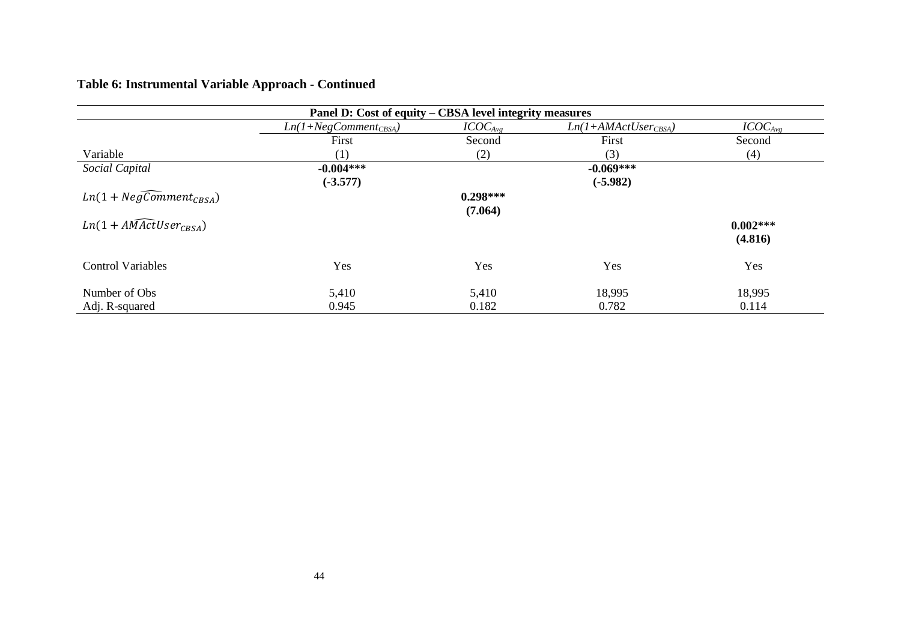# **Table 6: Instrumental Variable Approach - Continued**

| Panel D: Cost of equity – CBSA level integrity measures |                           |                     |                       |              |  |  |
|---------------------------------------------------------|---------------------------|---------------------|-----------------------|--------------|--|--|
|                                                         | $Ln(1+NegComment_{CBSA})$ | ICOC <sub>Avg</sub> | $Ln(1+AMActUserCBSA)$ | $ICOC_{Avg}$ |  |  |
|                                                         | First                     | Second              | First                 | Second       |  |  |
| Variable                                                | (1)                       | (2)                 | (3)                   | (4)          |  |  |
| Social Capital                                          | $-0.004***$               |                     | $-0.069***$           |              |  |  |
|                                                         | $(-3.577)$                |                     | $(-5.982)$            |              |  |  |
| $Ln(1+NegComment_{CRSA})$                               |                           | $0.298***$          |                       |              |  |  |
|                                                         |                           | (7.064)             |                       |              |  |  |
| $Ln(1 + AMActUser_{CRSA})$                              |                           |                     |                       | $0.002***$   |  |  |
|                                                         |                           |                     |                       | (4.816)      |  |  |
|                                                         |                           |                     |                       |              |  |  |
| <b>Control Variables</b>                                | Yes                       | Yes                 | Yes                   | Yes          |  |  |
|                                                         |                           |                     |                       |              |  |  |
| Number of Obs                                           | 5,410                     | 5,410               | 18,995                | 18,995       |  |  |
| Adj. R-squared                                          | 0.945                     | 0.182               | 0.782                 | 0.114        |  |  |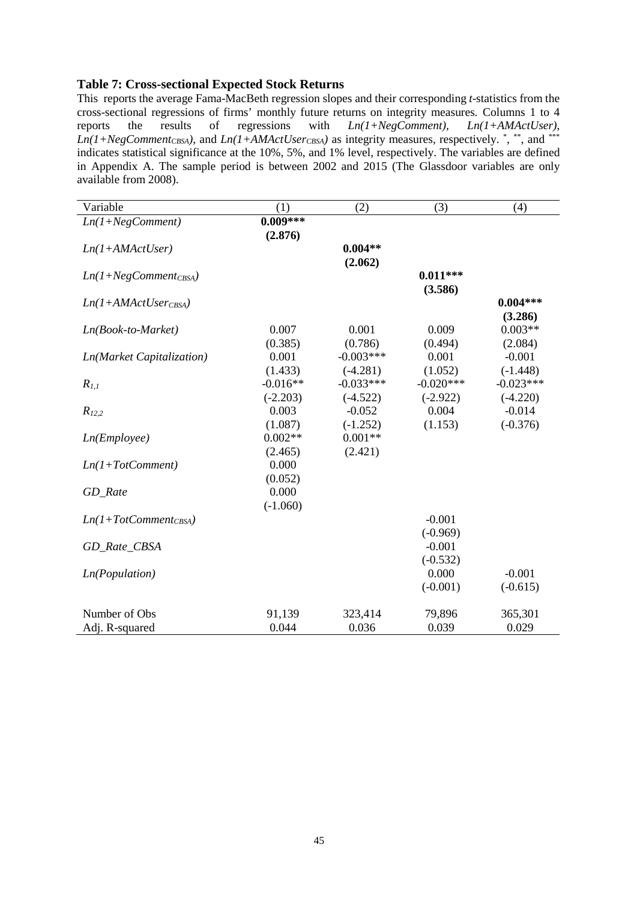### **Table 7: Cross-sectional Expected Stock Returns**

This reports the average Fama-MacBeth regression slopes and their corresponding *t*-statistics from the cross-sectional regressions of firms' monthly future returns on integrity measures*.* Columns 1 to 4 reports the results of regressions with *Ln(1+NegComment), Ln(1+AMActUser)*,  $Ln(1+NegComment_{CBSA})$ , and  $Ln(1+AMActUser_{CBSA})$  as integrity measures, respectively.  $\overset{*}{\cdot}, \overset{**}{\cdot}$ , and  $\overset{***}{\cdot}$ indicates statistical significance at the 10%, 5%, and 1% level, respectively. The variables are defined in Appendix A. The sample period is between 2002 and 2015 (The Glassdoor variables are only available from 2008).

| Variable                  | (1)        | (2)         | (3)         | (4)         |
|---------------------------|------------|-------------|-------------|-------------|
| $Ln(1+NegComment)$        | $0.009***$ |             |             |             |
|                           | (2.876)    |             |             |             |
| $Ln(1+AMActUser)$         |            | $0.004**$   |             |             |
|                           |            | (2.062)     |             |             |
| $Ln(1+NegComment_{CBSA})$ |            |             | $0.011***$  |             |
|                           |            |             | (3.586)     |             |
| $Ln(1+AMActUserCBSA)$     |            |             |             | $0.004***$  |
|                           |            |             |             | (3.286)     |
| $Ln(Book-to-Marker)$      | 0.007      | 0.001       | 0.009       | $0.003**$   |
|                           | (0.385)    | (0.786)     | (0.494)     | (2.084)     |
| Ln(Market Capitalization) | 0.001      | $-0.003***$ | 0.001       | $-0.001$    |
|                           | (1.433)    | $(-4.281)$  | (1.052)     | $(-1.448)$  |
| $R_{1,1}$                 | $-0.016**$ | $-0.033***$ | $-0.020***$ | $-0.023***$ |
|                           | $(-2.203)$ | $(-4.522)$  | $(-2.922)$  | $(-4.220)$  |
| $R_{12,2}$                | 0.003      | $-0.052$    | 0.004       | $-0.014$    |
|                           | (1.087)    | $(-1.252)$  | (1.153)     | $(-0.376)$  |
| Ln(Em ployee)             | $0.002**$  | $0.001**$   |             |             |
|                           | (2.465)    | (2.421)     |             |             |
| $Ln(1+TotComment)$        | 0.000      |             |             |             |
|                           | (0.052)    |             |             |             |
| GD_Rate                   | 0.000      |             |             |             |
|                           | $(-1.060)$ |             |             |             |
| $Ln(1+TotComment_{CBSA})$ |            |             | $-0.001$    |             |
|                           |            |             | $(-0.969)$  |             |
| GD_Rate_CBSA              |            |             | $-0.001$    |             |
|                           |            |             | $(-0.532)$  |             |
| Ln(Population)            |            |             | 0.000       | $-0.001$    |
|                           |            |             | $(-0.001)$  | $(-0.615)$  |
| Number of Obs             | 91,139     | 323,414     | 79,896      | 365,301     |
| Adj. R-squared            | 0.044      | 0.036       | 0.039       | 0.029       |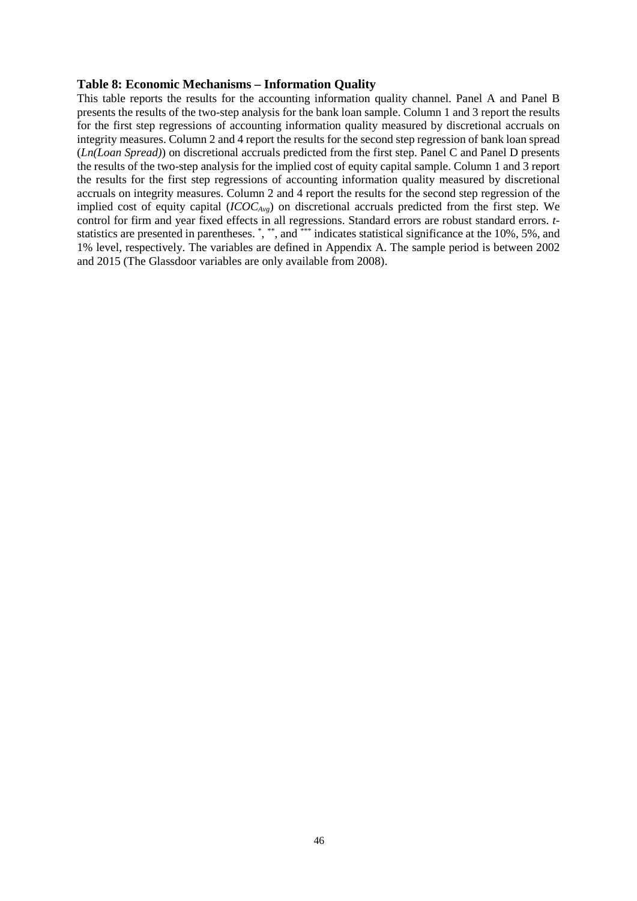### **Table 8: Economic Mechanisms – Information Quality**

This table reports the results for the accounting information quality channel. Panel A and Panel B presents the results of the two-step analysis for the bank loan sample. Column 1 and 3 report the results for the first step regressions of accounting information quality measured by discretional accruals on integrity measures. Column 2 and 4 report the results for the second step regression of bank loan spread (*Ln(Loan Spread)*) on discretional accruals predicted from the first step. Panel C and Panel D presents the results of the two-step analysis for the implied cost of equity capital sample. Column 1 and 3 report the results for the first step regressions of accounting information quality measured by discretional accruals on integrity measures. Column 2 and 4 report the results for the second step regression of the implied cost of equity capital (*ICOCAvg*) on discretional accruals predicted from the first step. We control for firm and year fixed effects in all regressions. Standard errors are robust standard errors. *t*statistics are presented in parentheses. \*, \*\*, and \*\*\* indicates statistical significance at the 10%, 5%, and 1% level, respectively. The variables are defined in Appendix A. The sample period is between 2002 and 2015 (The Glassdoor variables are only available from 2008).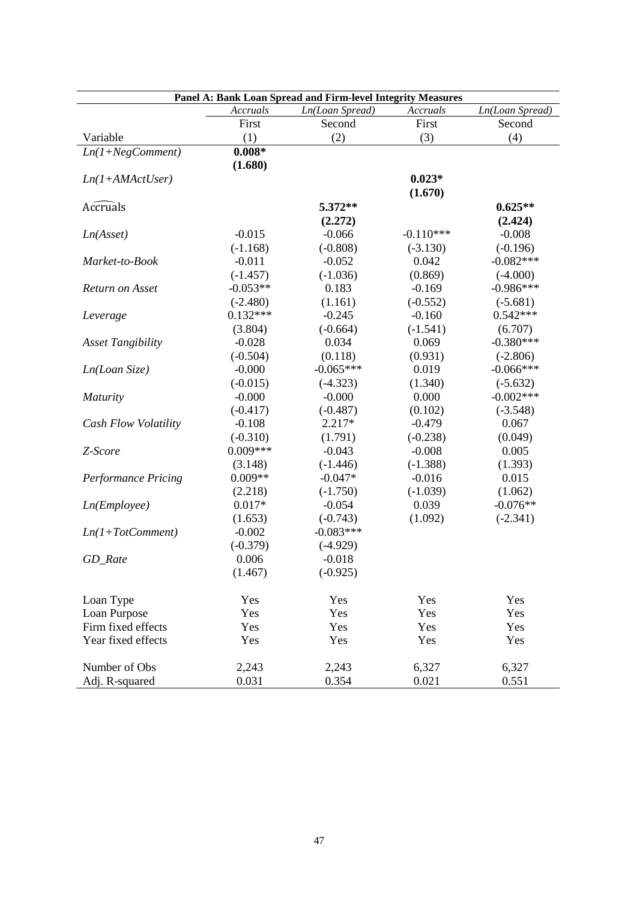|                                 |                | Panel A: Bank Loan Spread and Firm-level Integrity Measures |                |                 |
|---------------------------------|----------------|-------------------------------------------------------------|----------------|-----------------|
|                                 | Accruals       | Ln(Loan Spread)                                             | Accruals       | Ln(Loan Spread) |
|                                 | First          | Second                                                      | First          | Second          |
| Variable                        | (1)            | (2)                                                         | (3)            | (4)             |
| $Ln(1+NegComment)$              | $0.008*$       |                                                             |                |                 |
|                                 | (1.680)        |                                                             |                |                 |
| $Ln(1+AMActUser)$               |                |                                                             | $0.023*$       |                 |
|                                 |                |                                                             | (1.670)        |                 |
| <b>Accruals</b>                 |                | 5.372**                                                     |                | $0.625**$       |
|                                 |                | (2.272)                                                     |                | (2.424)         |
| Ln(Asset)                       | $-0.015$       | $-0.066$                                                    | $-0.110***$    | $-0.008$        |
|                                 | $(-1.168)$     | $(-0.808)$                                                  | $(-3.130)$     | $(-0.196)$      |
| Market-to-Book                  | $-0.011$       | $-0.052$                                                    | 0.042          | $-0.082***$     |
|                                 | $(-1.457)$     | $(-1.036)$                                                  | (0.869)        | $(-4.000)$      |
| Return on Asset                 | $-0.053**$     | 0.183                                                       | $-0.169$       | $-0.986***$     |
|                                 | $(-2.480)$     | (1.161)                                                     | $(-0.552)$     | $(-5.681)$      |
| Leverage                        | $0.132***$     | $-0.245$                                                    | $-0.160$       | $0.542***$      |
|                                 | (3.804)        | $(-0.664)$                                                  | $(-1.541)$     | (6.707)         |
| <b>Asset Tangibility</b>        | $-0.028$       | 0.034                                                       | 0.069          | $-0.380***$     |
|                                 | $(-0.504)$     | (0.118)                                                     | (0.931)        | $(-2.806)$      |
| Ln(Loan Size)                   | $-0.000$       | $-0.065***$                                                 | 0.019          | $-0.066***$     |
|                                 | $(-0.015)$     | $(-4.323)$                                                  | (1.340)        | $(-5.632)$      |
| Maturity                        | $-0.000$       | $-0.000$                                                    | 0.000          | $-0.002***$     |
|                                 | $(-0.417)$     | $(-0.487)$                                                  | (0.102)        | $(-3.548)$      |
| Cash Flow Volatility            | $-0.108$       | 2.217*                                                      | $-0.479$       | 0.067           |
|                                 | $(-0.310)$     | (1.791)                                                     | $(-0.238)$     | (0.049)         |
| Z-Score                         | $0.009***$     | $-0.043$                                                    | $-0.008$       | 0.005           |
|                                 | (3.148)        | $(-1.446)$                                                  | $(-1.388)$     | (1.393)         |
| <b>Performance Pricing</b>      | $0.009**$      | $-0.047*$                                                   | $-0.016$       | 0.015           |
|                                 | (2.218)        | $(-1.750)$                                                  | $(-1.039)$     | (1.062)         |
| Ln(Employee)                    | $0.017*$       | $-0.054$                                                    | 0.039          | $-0.076**$      |
|                                 | (1.653)        | $(-0.743)$                                                  | (1.092)        | $(-2.341)$      |
| $Ln(1+TotComment)$              | $-0.002$       | $-0.083***$                                                 |                |                 |
|                                 | $(-0.379)$     | $(-4.929)$                                                  |                |                 |
| GD_Rate                         | 0.006          | $-0.018$                                                    |                |                 |
|                                 | (1.467)        | $(-0.925)$                                                  |                |                 |
| Loan Type                       | Yes            | Yes                                                         | Yes            | Yes             |
| Loan Purpose                    | Yes            | Yes                                                         | Yes            | Yes             |
| Firm fixed effects              | Yes            | Yes                                                         | Yes            | Yes             |
| Year fixed effects              | Yes            | Yes                                                         | Yes            | Yes             |
|                                 |                |                                                             |                |                 |
| Number of Obs<br>Adj. R-squared | 2,243<br>0.031 | 2,243<br>0.354                                              | 6,327<br>0.021 | 6,327<br>0.551  |
|                                 |                |                                                             |                |                 |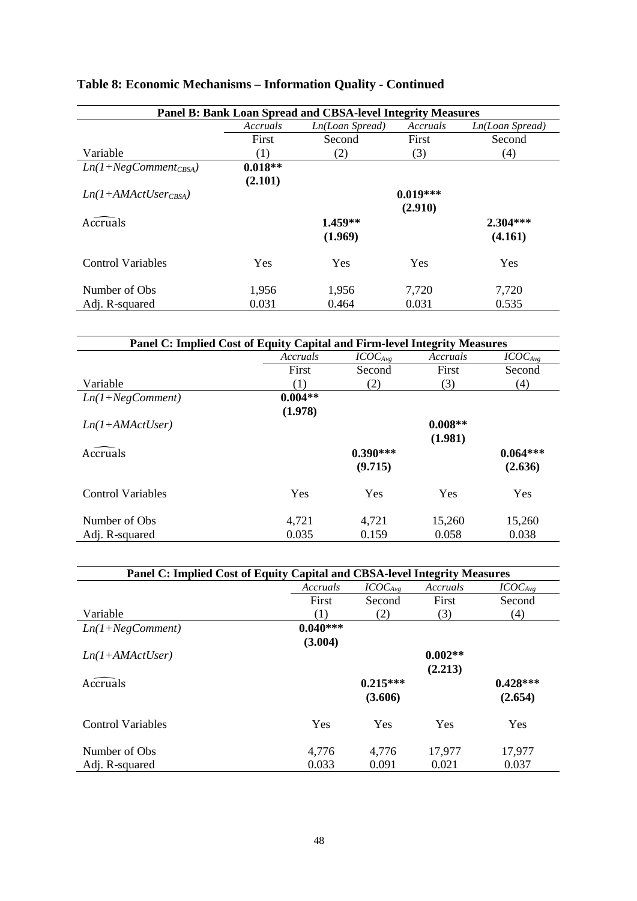| Panel B: Bank Loan Spread and CBSA-level Integrity Measures |           |                 |            |                 |  |  |
|-------------------------------------------------------------|-----------|-----------------|------------|-----------------|--|--|
|                                                             | Accruals  | Ln(Loan Spread) | Accruals   | Ln(Loan Spread) |  |  |
|                                                             | First     | Second          | First      | Second          |  |  |
| Variable                                                    | (1)       | (2)             | (3)        | (4)             |  |  |
| $Ln(1+NegComment_{CBSA})$                                   | $0.018**$ |                 |            |                 |  |  |
|                                                             | (2.101)   |                 |            |                 |  |  |
| $Ln(1+AMActUser_{CRSA})$                                    |           |                 | $0.019***$ |                 |  |  |
|                                                             |           |                 | (2.910)    |                 |  |  |
| Accruals                                                    |           | $1.459**$       |            | $2.304***$      |  |  |
|                                                             |           | (1.969)         |            | (4.161)         |  |  |
| <b>Control Variables</b>                                    | Yes       | <b>Yes</b>      | Yes        | Yes             |  |  |
| Number of Obs.                                              | 1,956     | 1,956           | 7,720      | 7,720           |  |  |
| Adj. R-squared                                              | 0.031     | 0.464           | 0.031      | 0.535           |  |  |

# **Table 8: Economic Mechanisms – Information Quality - Continued**

| Panel C: Implied Cost of Equity Capital and Firm-level Integrity Measures |           |              |           |              |  |
|---------------------------------------------------------------------------|-----------|--------------|-----------|--------------|--|
|                                                                           | Accruals  | $ICOC_{Avg}$ | Accruals  | $ICOC_{Avg}$ |  |
|                                                                           | First     | Second       | First     | Second       |  |
| Variable                                                                  | (1)       | (2)          | (3)       | (4)          |  |
| $Ln(1+NegComment)$                                                        | $0.004**$ |              |           |              |  |
|                                                                           | (1.978)   |              |           |              |  |
| $Ln(1+AMActUser)$                                                         |           |              | $0.008**$ |              |  |
|                                                                           |           |              | (1.981)   |              |  |
| <b>Accruals</b>                                                           |           | $0.390***$   |           | $0.064***$   |  |
|                                                                           |           | (9.715)      |           | (2.636)      |  |
| <b>Control Variables</b>                                                  | Yes       | Yes          | Yes       | Yes          |  |
| Number of Obs.                                                            | 4,721     | 4,721        | 15,260    | 15,260       |  |
| Adj. R-squared                                                            | 0.035     | 0.159        | 0.058     | 0.038        |  |

| Panel C: Implied Cost of Equity Capital and CBSA-level Integrity Measures |            |                     |           |              |  |  |
|---------------------------------------------------------------------------|------------|---------------------|-----------|--------------|--|--|
|                                                                           | Accruals   | ICOC <sub>Avg</sub> | Accruals  | $ICOC_{Avg}$ |  |  |
|                                                                           | First      | Second              | First     | Second       |  |  |
| Variable                                                                  | (1)        | (2)                 | (3)       | (4)          |  |  |
| $Ln(1+NegComment)$                                                        | $0.040***$ |                     |           |              |  |  |
|                                                                           | (3.004)    |                     |           |              |  |  |
| $Ln(1+AMActUser)$                                                         |            |                     | $0.002**$ |              |  |  |
|                                                                           |            |                     | (2.213)   |              |  |  |
| Accruals                                                                  |            | $0.215***$          |           | $0.428***$   |  |  |
|                                                                           |            | (3.606)             |           | (2.654)      |  |  |
| <b>Control Variables</b>                                                  | Yes        | Yes                 | Yes       | Yes          |  |  |
| Number of Obs.                                                            | 4,776      | 4,776               | 17,977    | 17,977       |  |  |
| Adj. R-squared                                                            | 0.033      | 0.091               | 0.021     | 0.037        |  |  |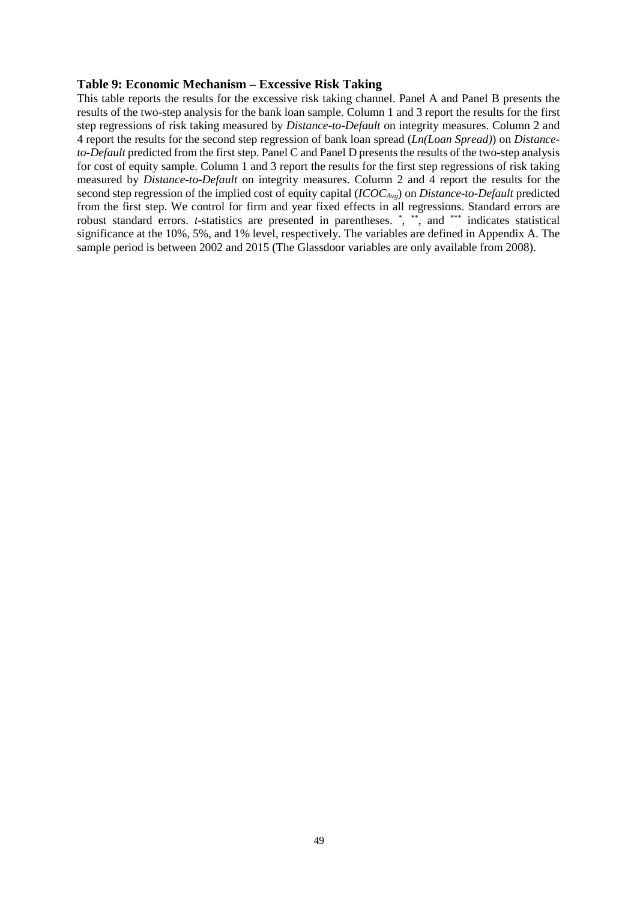### **Table 9: Economic Mechanism – Excessive Risk Taking**

This table reports the results for the excessive risk taking channel. Panel A and Panel B presents the results of the two-step analysis for the bank loan sample. Column 1 and 3 report the results for the first step regressions of risk taking measured by *Distance-to-Default* on integrity measures. Column 2 and 4 report the results for the second step regression of bank loan spread (*Ln(Loan Spread)*) on *Distanceto-Default* predicted from the first step. Panel C and Panel D presents the results of the two-step analysis for cost of equity sample. Column 1 and 3 report the results for the first step regressions of risk taking measured by *Distance-to-Default* on integrity measures. Column 2 and 4 report the results for the second step regression of the implied cost of equity capital (*ICOCAvg*) on *Distance-to-Default* predicted from the first step. We control for firm and year fixed effects in all regressions. Standard errors are robust standard errors. *t*-statistics are presented in parentheses. \*, \*\*, and \*\*\* indicates statistical significance at the 10%, 5%, and 1% level, respectively. The variables are defined in Appendix A. The sample period is between 2002 and 2015 (The Glassdoor variables are only available from 2008).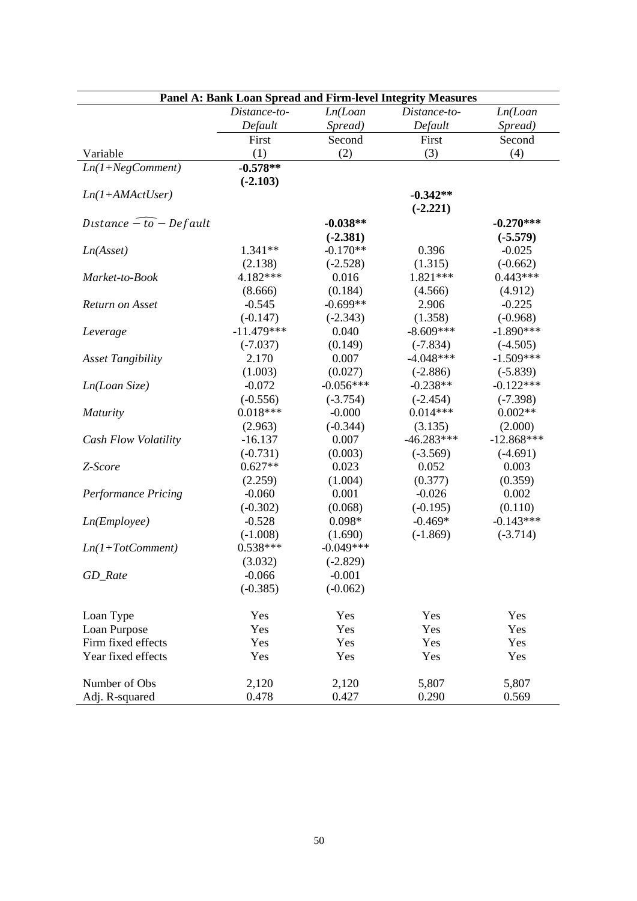|                             |              |             | Panel A: Bank Loan Spread and Firm-level Integrity Measures |              |
|-----------------------------|--------------|-------------|-------------------------------------------------------------|--------------|
|                             | Distance-to- | Ln(Loan     | Distance-to-                                                | Ln(Loan      |
|                             | Default      | Spread)     | Default                                                     | Spread)      |
|                             | First        | Second      | First                                                       | Second       |
| Variable                    | (1)          | (2)         | (3)                                                         | (4)          |
| $Ln(1+NegComment)$          | $-0.578**$   |             |                                                             |              |
|                             | $(-2.103)$   |             |                                                             |              |
| $Ln(1+AMActUser)$           |              |             | $-0.342**$                                                  |              |
|                             |              |             | $(-2.221)$                                                  |              |
| Distance $-$ to $-$ Default |              | $-0.038**$  |                                                             | $-0.270***$  |
|                             |              | $(-2.381)$  |                                                             | $(-5.579)$   |
| Ln(Asset)                   | $1.341**$    | $-0.170**$  | 0.396                                                       | $-0.025$     |
|                             | (2.138)      | $(-2.528)$  | (1.315)                                                     | $(-0.662)$   |
| Market-to-Book              | 4.182***     | 0.016       | 1.821 ***                                                   | $0.443***$   |
|                             | (8.666)      | (0.184)     | (4.566)                                                     | (4.912)      |
| Return on Asset             | $-0.545$     | $-0.699**$  | 2.906                                                       | $-0.225$     |
|                             | $(-0.147)$   | $(-2.343)$  | (1.358)                                                     | $(-0.968)$   |
| Leverage                    | $-11.479***$ | 0.040       | $-8.609***$                                                 | $-1.890***$  |
|                             | $(-7.037)$   | (0.149)     | $(-7.834)$                                                  | $(-4.505)$   |
| <b>Asset Tangibility</b>    | 2.170        | 0.007       | $-4.048***$                                                 | $-1.509***$  |
|                             | (1.003)      | (0.027)     | $(-2.886)$                                                  | $(-5.839)$   |
| Ln(Loan Size)               | $-0.072$     | $-0.056***$ | $-0.238**$                                                  | $-0.122***$  |
|                             | $(-0.556)$   | $(-3.754)$  | $(-2.454)$                                                  | $(-7.398)$   |
| <b>Maturity</b>             | $0.018***$   | $-0.000$    | $0.014***$                                                  | $0.002**$    |
|                             | (2.963)      | $(-0.344)$  | (3.135)                                                     | (2.000)      |
| Cash Flow Volatility        | $-16.137$    | 0.007       | $-46.283***$                                                | $-12.868***$ |
|                             | $(-0.731)$   | (0.003)     | $(-3.569)$                                                  | $(-4.691)$   |
| Z-Score                     | $0.627**$    | 0.023       | 0.052                                                       | 0.003        |
|                             | (2.259)      | (1.004)     | (0.377)                                                     | (0.359)      |
| <b>Performance Pricing</b>  | $-0.060$     | 0.001       | $-0.026$                                                    | 0.002        |
|                             | $(-0.302)$   | (0.068)     | $(-0.195)$                                                  | (0.110)      |
| Ln(Em ployee)               | $-0.528$     | $0.098*$    | $-0.469*$                                                   | $-0.143***$  |
|                             | $(-1.008)$   | (1.690)     | $(-1.869)$                                                  | $(-3.714)$   |
| $Ln(1+TotComment)$          | $0.538***$   | $-0.049***$ |                                                             |              |
|                             | (3.032)      | $(-2.829)$  |                                                             |              |
| GD_Rate                     | $-0.066$     | $-0.001$    |                                                             |              |
|                             | $(-0.385)$   | $(-0.062)$  |                                                             |              |
| Loan Type                   | Yes          | Yes         | Yes                                                         | Yes          |
| Loan Purpose                | Yes          | Yes         | Yes                                                         | Yes          |
| Firm fixed effects          | Yes          | Yes         | Yes                                                         | Yes          |
| Year fixed effects          | Yes          | Yes         | Yes                                                         | Yes          |
|                             |              |             |                                                             |              |
| Number of Obs               | 2,120        | 2,120       | 5,807                                                       | 5,807        |
| Adj. R-squared              | 0.478        | 0.427       | 0.290                                                       | 0.569        |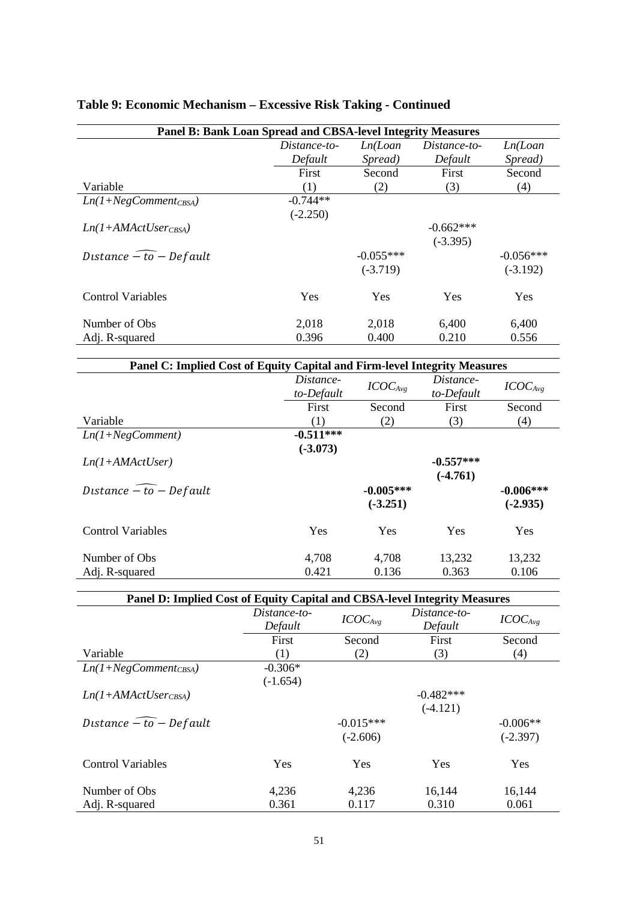| Panel B: Bank Loan Spread and CBSA-level Integrity Measures |              |             |              |             |  |
|-------------------------------------------------------------|--------------|-------------|--------------|-------------|--|
|                                                             | Distance-to- | Ln(Loan     | Distance-to- | Ln(Loan     |  |
|                                                             | Default      | Spread)     | Default      | Spread)     |  |
|                                                             | First        | Second      | First        | Second      |  |
| Variable                                                    | (1)          | (2)         | (3)          | (4)         |  |
| $Ln(1+NegComment_{CRSA})$                                   | $-0.744**$   |             |              |             |  |
|                                                             | $(-2.250)$   |             |              |             |  |
| $Ln(1+AMActUser_{CBSA})$                                    |              |             | $-0.662***$  |             |  |
|                                                             |              |             | $(-3.395)$   |             |  |
| Distance $\widehat{-to}$ - Default                          |              | $-0.055***$ |              | $-0.056***$ |  |
|                                                             |              | $(-3.719)$  |              | $(-3.192)$  |  |
| <b>Control Variables</b>                                    | <b>Yes</b>   | Yes         | Yes          | Yes         |  |
| Number of Obs                                               | 2,018        | 2,018       | 6,400        | 6,400       |  |
| Adj. R-squared                                              | 0.396        | 0.400       | 0.210        | 0.556       |  |

# **Table 9: Economic Mechanism – Excessive Risk Taking - Continued**

| Panel C: Implied Cost of Equity Capital and Firm-level Integrity Measures |                         |                     |                         |                     |  |
|---------------------------------------------------------------------------|-------------------------|---------------------|-------------------------|---------------------|--|
|                                                                           | Distance-<br>to-Default | ICOC <sub>Avg</sub> | Distance-<br>to-Default | ICOC <sub>Avg</sub> |  |
|                                                                           | First                   | Second              | First                   | Second              |  |
| Variable                                                                  | (1)                     | (2)                 | (3)                     | (4)                 |  |
| $Ln(1+NegComment)$                                                        | $-0.511***$             |                     |                         |                     |  |
|                                                                           | $(-3.073)$              |                     |                         |                     |  |
| $Ln(1+AMActUser)$                                                         |                         |                     | $-0.557***$             |                     |  |
|                                                                           |                         |                     | $(-4.761)$              |                     |  |
| Distance $-$ to $-$ Default                                               |                         | $-0.005***$         |                         | $-0.006***$         |  |
|                                                                           |                         | $(-3.251)$          |                         | $(-2.935)$          |  |
| <b>Control Variables</b>                                                  | Yes                     | Yes                 | Yes                     | Yes                 |  |
| Number of Obs                                                             | 4,708                   | 4,708               | 13,232                  | 13,232              |  |
| Adj. R-squared                                                            | 0.421                   | 0.136               | 0.363                   | 0.106               |  |

| Panel D: Implied Cost of Equity Capital and CBSA-level Integrity Measures |                         |                           |                           |                          |  |
|---------------------------------------------------------------------------|-------------------------|---------------------------|---------------------------|--------------------------|--|
|                                                                           | Distance-to-<br>Default | ICOC <sub>Avg</sub>       | Distance-to-<br>Default   | ICOC <sub>Avg</sub>      |  |
|                                                                           | First                   | Second                    | First                     | Second                   |  |
| Variable                                                                  | (1)                     | (2)                       | (3)                       | (4)                      |  |
| $Ln(1+NegComment_{CBSA})$                                                 | $-0.306*$<br>$(-1.654)$ |                           |                           |                          |  |
| $Ln(1+AMActUser_{CBSA})$                                                  |                         |                           | $-0.482***$<br>$(-4.121)$ |                          |  |
| Distance $\widehat{-to}$ - Default                                        |                         | $-0.015***$<br>$(-2.606)$ |                           | $-0.006**$<br>$(-2.397)$ |  |
| <b>Control Variables</b>                                                  | Yes                     | Yes                       | Yes                       | Yes                      |  |
| Number of Obs.                                                            | 4,236                   | 4,236                     | 16,144                    | 16,144                   |  |
| Adj. R-squared                                                            | 0.361                   | 0.117                     | 0.310                     | 0.061                    |  |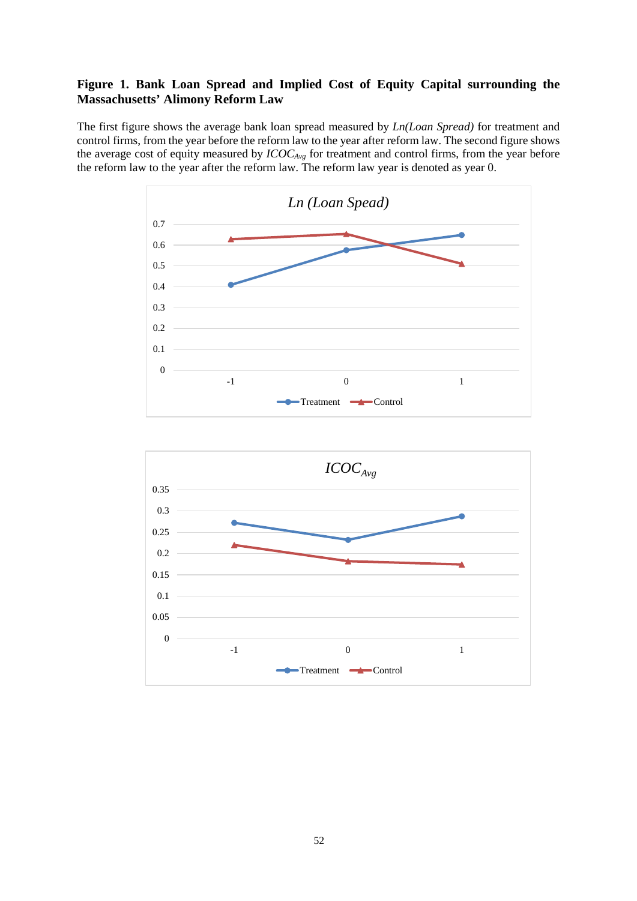### **Figure 1. Bank Loan Spread and Implied Cost of Equity Capital surrounding the Massachusetts' Alimony Reform Law**

The first figure shows the average bank loan spread measured by *Ln(Loan Spread)* for treatment and control firms, from the year before the reform law to the year after reform law. The second figure shows the average cost of equity measured by *ICOCAvg* for treatment and control firms, from the year before the reform law to the year after the reform law. The reform law year is denoted as year 0.



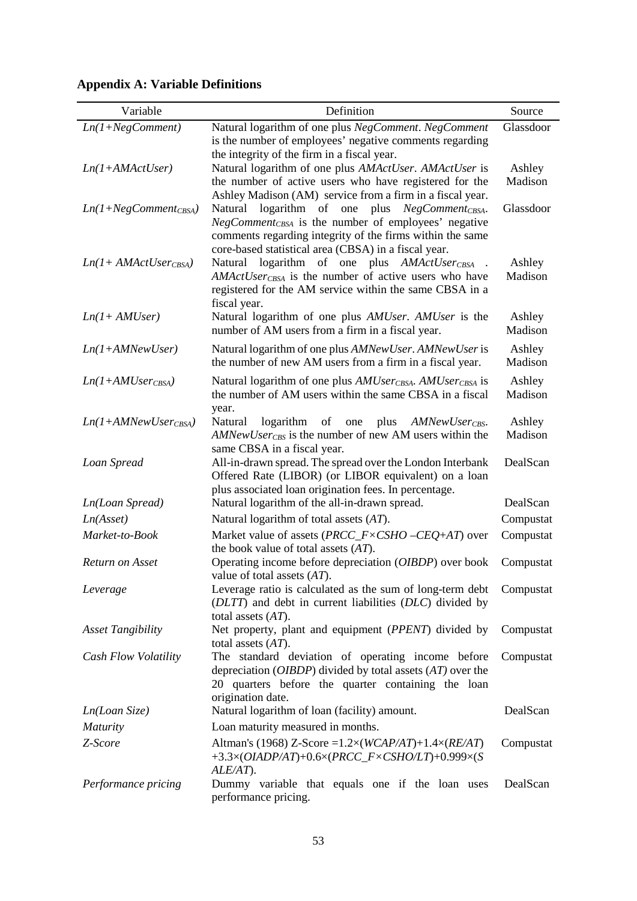| Variable                  | Definition                                                                                                                                                                                                                             | Source            |
|---------------------------|----------------------------------------------------------------------------------------------------------------------------------------------------------------------------------------------------------------------------------------|-------------------|
| $Ln(1+NegComment)$        | Natural logarithm of one plus NegComment. NegComment<br>is the number of employees' negative comments regarding<br>the integrity of the firm in a fiscal year.                                                                         | Glassdoor         |
| $Ln(1+AMActUser)$         | Natural logarithm of one plus AMActUser. AMActUser is<br>the number of active users who have registered for the<br>Ashley Madison (AM) service from a firm in a fiscal year.                                                           | Ashley<br>Madison |
| $Ln(1+NegComment_{CBSA})$ | Natural logarithm of one plus NegComment CBSA.<br>NegComment <sub>CBSA</sub> is the number of employees' negative<br>comments regarding integrity of the firms within the same<br>core-based statistical area (CBSA) in a fiscal year. | Glassdoor         |
| $Ln(1+AMActUser_{CBSA})$  | logarithm of one plus AMActUsercBSA<br>Natural<br>AMActUser <sub>CBSA</sub> is the number of active users who have<br>registered for the AM service within the same CBSA in a<br>fiscal year.                                          | Ashley<br>Madison |
| $Ln(1+AMUser)$            | Natural logarithm of one plus AMUser. AMUser is the<br>number of AM users from a firm in a fiscal year.                                                                                                                                | Ashley<br>Madison |
| $Ln(1+AMNewUser)$         | Natural logarithm of one plus AMNewUser. AMNewUser is<br>the number of new AM users from a firm in a fiscal year.                                                                                                                      | Ashley<br>Madison |
| $Ln(1+AMUser_{CBSA})$     | Natural logarithm of one plus AMUser <sub>CBSA</sub> . AMUser <sub>CBSA</sub> is<br>the number of AM users within the same CBSA in a fiscal                                                                                            | Ashley<br>Madison |
| $Ln(1+AMNewUser_{CBSA})$  | year.<br>Natural<br>logarithm<br>of<br>plus<br>one<br>AMNewUserc <sub>BS</sub> .<br>AMNewUserc <sub>BS</sub> is the number of new AM users within the<br>same CBSA in a fiscal year.                                                   | Ashley<br>Madison |
| Loan Spread               | All-in-drawn spread. The spread over the London Interbank<br>Offered Rate (LIBOR) (or LIBOR equivalent) on a loan<br>plus associated loan origination fees. In percentage.                                                             | DealScan          |
| Ln(Loan Spread)           | Natural logarithm of the all-in-drawn spread.                                                                                                                                                                                          | DealScan          |
| Ln(Asset)                 | Natural logarithm of total assets $(AT)$ .                                                                                                                                                                                             | Compustat         |
| Market-to-Book            | Market value of assets ( $PRCC_F \times CSHO - CEQ+AT$ ) over<br>the book value of total assets $(AT)$ .                                                                                                                               | Compustat         |
| Return on Asset           | Operating income before depreciation (OIBDP) over book<br>value of total assets $(AT)$ .                                                                                                                                               | Compustat         |
| Leverage                  | Leverage ratio is calculated as the sum of long-term debt<br>(DLTT) and debt in current liabilities (DLC) divided by<br>total assets $(AT)$ .                                                                                          | Compustat         |
| <b>Asset Tangibility</b>  | Net property, plant and equipment (PPENT) divided by<br>total assets $(AT)$ .                                                                                                                                                          | Compustat         |
| Cash Flow Volatility      | The standard deviation of operating income before<br>depreciation ( $OIBDP$ ) divided by total assets $(AT)$ over the<br>20 quarters before the quarter containing the loan<br>origination date.                                       | Compustat         |
| Ln(Loan Size)             | Natural logarithm of loan (facility) amount.                                                                                                                                                                                           | DealScan          |
| <b>Maturity</b>           | Loan maturity measured in months.                                                                                                                                                                                                      |                   |
| Z-Score                   | Altman's (1968) Z-Score = $1.2 \times (WCAP/AT) + 1.4 \times (RE/AT)$<br>+3.3×(OIADP/AT)+0.6×(PRCC_F×CSHO/LT)+0.999×(S<br>$ALE/AT$ ).                                                                                                  | Compustat         |
| Performance pricing       | Dummy variable that equals one if the loan uses<br>performance pricing.                                                                                                                                                                | DealScan          |

# **Appendix A: Variable Definitions**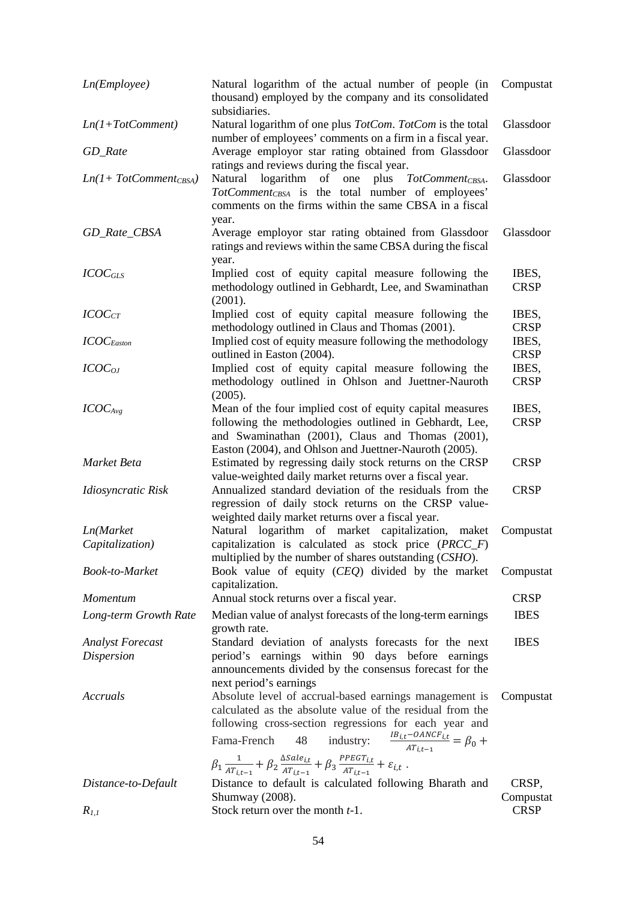| Ln(Em ployee)             | Natural logarithm of the actual number of people (in<br>thousand) employed by the company and its consolidated<br>subsidiaries.                                                                                                                                      | Compustat            |
|---------------------------|----------------------------------------------------------------------------------------------------------------------------------------------------------------------------------------------------------------------------------------------------------------------|----------------------|
| $Ln(1+TotComment)$        | Natural logarithm of one plus TotCom. TotCom is the total<br>number of employees' comments on a firm in a fiscal year.                                                                                                                                               | Glassdoor            |
| GD_Rate                   | Average employor star rating obtained from Glassdoor<br>ratings and reviews during the fiscal year.                                                                                                                                                                  | Glassdoor            |
| $Ln(1+TotComment_{CBSA})$ | Natural<br>logarithm<br>plus TotCommentcBSA.<br>of one<br>TotComment <sub>CBSA</sub> is the total number of employees'<br>comments on the firms within the same CBSA in a fiscal<br>year.                                                                            | Glassdoor            |
| GD_Rate_CBSA              | Average employor star rating obtained from Glassdoor<br>ratings and reviews within the same CBSA during the fiscal<br>year.                                                                                                                                          | Glassdoor            |
| $ICOC_{GLS}$              | Implied cost of equity capital measure following the<br>methodology outlined in Gebhardt, Lee, and Swaminathan<br>(2001).                                                                                                                                            | IBES,<br><b>CRSP</b> |
| ICOC <sub>CT</sub>        | Implied cost of equity capital measure following the<br>methodology outlined in Claus and Thomas (2001).                                                                                                                                                             | IBES,<br><b>CRSP</b> |
| $ICOC_{Easton}$           | Implied cost of equity measure following the methodology<br>outlined in Easton (2004).                                                                                                                                                                               | IBES,<br><b>CRSP</b> |
| $ICOC_{OJ}$               | Implied cost of equity capital measure following the<br>methodology outlined in Ohlson and Juettner-Nauroth<br>(2005).                                                                                                                                               | IBES,<br><b>CRSP</b> |
| ICOC <sub>Avg</sub>       | Mean of the four implied cost of equity capital measures<br>following the methodologies outlined in Gebhardt, Lee,<br>and Swaminathan (2001), Claus and Thomas (2001),<br>Easton (2004), and Ohlson and Juettner-Nauroth (2005).                                     | IBES,<br><b>CRSP</b> |
| Market Beta               | Estimated by regressing daily stock returns on the CRSP<br>value-weighted daily market returns over a fiscal year.                                                                                                                                                   | <b>CRSP</b>          |
| Idiosyncratic Risk        | Annualized standard deviation of the residuals from the<br>regression of daily stock returns on the CRSP value-<br>weighted daily market returns over a fiscal year.                                                                                                 | <b>CRSP</b>          |
| Ln(Market                 | Natural logarithm of market capitalization,<br>maket                                                                                                                                                                                                                 | Compustat            |
| Capitalization)           | capitalization is calculated as stock price $(PRCC_F)$<br>multiplied by the number of shares outstanding (CSHO).                                                                                                                                                     |                      |
| Book-to-Market            | Book value of equity (CEQ) divided by the market<br>capitalization.                                                                                                                                                                                                  | Compustat            |
| Momentum                  | Annual stock returns over a fiscal year.                                                                                                                                                                                                                             | <b>CRSP</b>          |
| Long-term Growth Rate     | Median value of analyst forecasts of the long-term earnings<br>growth rate.                                                                                                                                                                                          | <b>IBES</b>          |
| <b>Analyst Forecast</b>   | Standard deviation of analysts forecasts for the next                                                                                                                                                                                                                | <b>IBES</b>          |
| <b>Dispersion</b>         | period's earnings within 90 days before earnings<br>announcements divided by the consensus forecast for the<br>next period's earnings                                                                                                                                |                      |
| Accruals                  | Absolute level of accrual-based earnings management is<br>calculated as the absolute value of the residual from the<br>following cross-section regressions for each year and<br>industry: $\frac{IB_{i,t}-OANCE_{i,t}}{AT_{i,t-1}} = \beta_0 +$<br>48<br>Fama-French | Compustat            |
|                           | $\beta_1 \frac{1}{AT_{it-1}} + \beta_2 \frac{\Delta Sale_{it}}{AT_{it-1}} + \beta_3 \frac{PPECT_{it}}{AT_{it-1}} + \varepsilon_{i,t}.$                                                                                                                               |                      |
| Distance-to-Default       | Distance to default is calculated following Bharath and<br>Shumway (2008).                                                                                                                                                                                           | CRSP,<br>Compustat   |
| $R_{1,1}$                 | Stock return over the month t-1.                                                                                                                                                                                                                                     | <b>CRSP</b>          |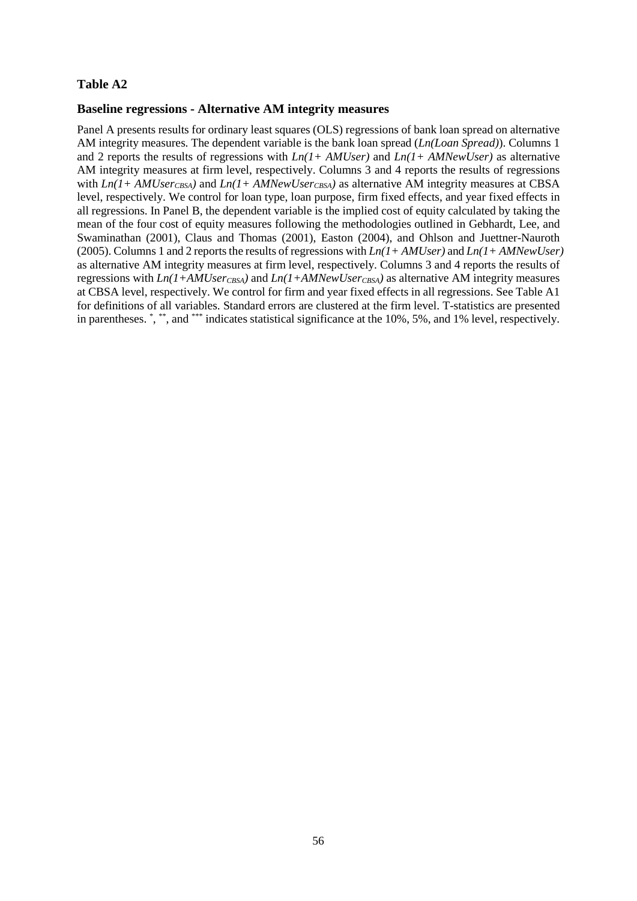### **Baseline regressions - Alternative AM integrity measures**

Panel A presents results for ordinary least squares (OLS) regressions of bank loan spread on alternative AM integrity measures. The dependent variable is the bank loan spread (*Ln(Loan Spread)*). Columns 1 and 2 reports the results of regressions with *Ln(1+ AMUser)* and *Ln(1+ AMNewUser)* as alternative AM integrity measures at firm level, respectively. Columns 3 and 4 reports the results of regressions with  $Ln(1+AMUser_{CBSA})$  and  $Ln(1+AMNewUser_{CBSA})$  as alternative AM integrity measures at CBSA level, respectively. We control for loan type, loan purpose, firm fixed effects, and year fixed effects in all regressions. In Panel B, the dependent variable is the implied cost of equity calculated by taking the mean of the four cost of equity measures following the methodologies outlined in Gebhardt, Lee, and Swaminathan (2001), Claus and Thomas (2001), Easton (2004), and Ohlson and Juettner-Nauroth (2005). Columns 1 and 2 reports the results of regressions with *Ln(1+ AMUser)* and *Ln(1+ AMNewUser)*  as alternative AM integrity measures at firm level, respectively. Columns 3 and 4 reports the results of regressions with  $Ln(I+AMUseC_{CSA})$  and  $Ln(I+AMNewUseC_{CSA})$  as alternative AM integrity measures at CBSA level, respectively. We control for firm and year fixed effects in all regressions. See Table A1 for definitions of all variables. Standard errors are clustered at the firm level. T-statistics are presented in parentheses. \* , \*\*, and \*\*\* indicates statistical significance at the 10%, 5%, and 1% level, respectively.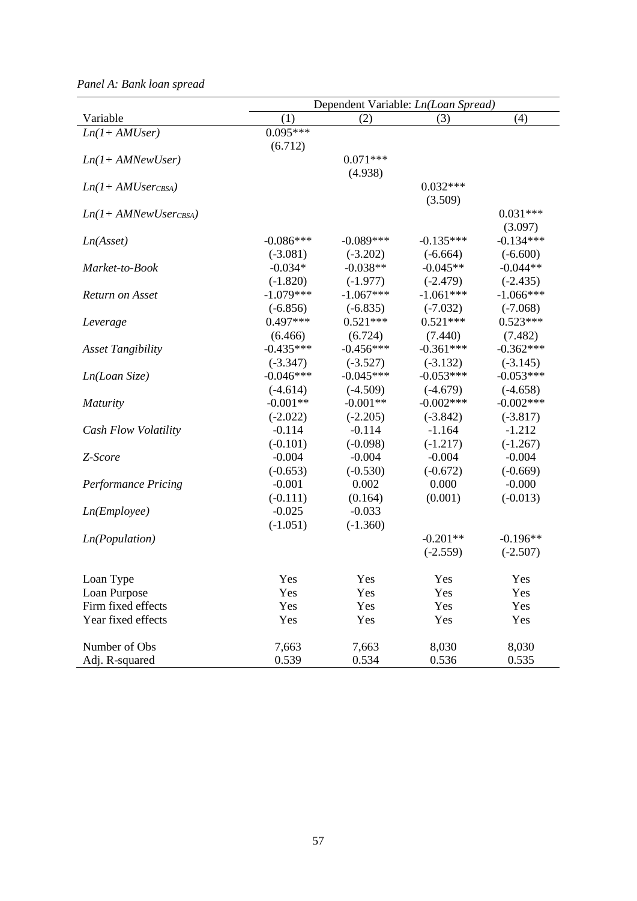|                            | Dependent Variable: Ln(Loan Spread) |             |             |             |
|----------------------------|-------------------------------------|-------------|-------------|-------------|
| Variable                   | (1)                                 | (2)         | (3)         | (4)         |
| $Ln(1+AMUser)$             | $0.095***$                          |             |             |             |
|                            | (6.712)                             |             |             |             |
| $Ln(1+AMNewUser)$          |                                     | $0.071***$  |             |             |
|                            |                                     | (4.938)     |             |             |
| $Ln(1+AMUser_{CBSA})$      |                                     |             | $0.032***$  |             |
|                            |                                     |             | (3.509)     |             |
| $Ln(1+AMNewUser_{CBSA})$   |                                     |             |             | $0.031***$  |
|                            |                                     |             |             | (3.097)     |
| Ln(Asset)                  | $-0.086***$                         | $-0.089***$ | $-0.135***$ | $-0.134***$ |
|                            | $(-3.081)$                          | $(-3.202)$  | $(-6.664)$  | $(-6.600)$  |
| Market-to-Book             | $-0.034*$                           | $-0.038**$  | $-0.045**$  | $-0.044**$  |
|                            | $(-1.820)$                          | $(-1.977)$  | $(-2.479)$  | $(-2.435)$  |
| Return on Asset            | $-1.079***$                         | $-1.067***$ | $-1.061***$ | $-1.066***$ |
|                            | $(-6.856)$                          | $(-6.835)$  | $(-7.032)$  | $(-7.068)$  |
| Leverage                   | $0.497***$                          | $0.521***$  | $0.521***$  | $0.523***$  |
|                            | (6.466)                             | (6.724)     | (7.440)     | (7.482)     |
| <b>Asset Tangibility</b>   | $-0.435***$                         | $-0.456***$ | $-0.361***$ | $-0.362***$ |
|                            | $(-3.347)$                          | $(-3.527)$  | $(-3.132)$  | $(-3.145)$  |
| Ln(Loan Size)              | $-0.046***$                         | $-0.045***$ | $-0.053***$ | $-0.053***$ |
|                            | $(-4.614)$                          | $(-4.509)$  | $(-4.679)$  | $(-4.658)$  |
| <i>Maturity</i>            | $-0.001**$                          | $-0.001**$  | $-0.002***$ | $-0.002***$ |
|                            | $(-2.022)$                          | $(-2.205)$  | $(-3.842)$  | $(-3.817)$  |
| Cash Flow Volatility       | $-0.114$                            | $-0.114$    | $-1.164$    | $-1.212$    |
|                            | $(-0.101)$                          | $(-0.098)$  | $(-1.217)$  | $(-1.267)$  |
| Z-Score                    | $-0.004$                            | $-0.004$    | $-0.004$    | $-0.004$    |
|                            | $(-0.653)$                          | $(-0.530)$  | $(-0.672)$  | $(-0.669)$  |
| <b>Performance Pricing</b> | $-0.001$                            | 0.002       | 0.000       | $-0.000$    |
|                            | $(-0.111)$                          | (0.164)     | (0.001)     | $(-0.013)$  |
| Ln(Em plope)               | $-0.025$                            | $-0.033$    |             |             |
|                            | $(-1.051)$                          | $(-1.360)$  |             |             |
| Ln(Population)             |                                     |             | $-0.201**$  | $-0.196**$  |
|                            |                                     |             | $(-2.559)$  | $(-2.507)$  |
| Loan Type                  | Yes                                 | Yes         | Yes         | Yes         |
| Loan Purpose               | Yes                                 | Yes         | Yes         | Yes         |
| Firm fixed effects         | Yes                                 | Yes         | Yes         | Yes         |
| Year fixed effects         | Yes                                 | Yes         | Yes         | Yes         |
| Number of Obs              | 7,663                               | 7,663       | 8,030       | 8,030       |
| Adj. R-squared             | 0.539                               | 0.534       | 0.536       | 0.535       |

*Panel A: Bank loan spread*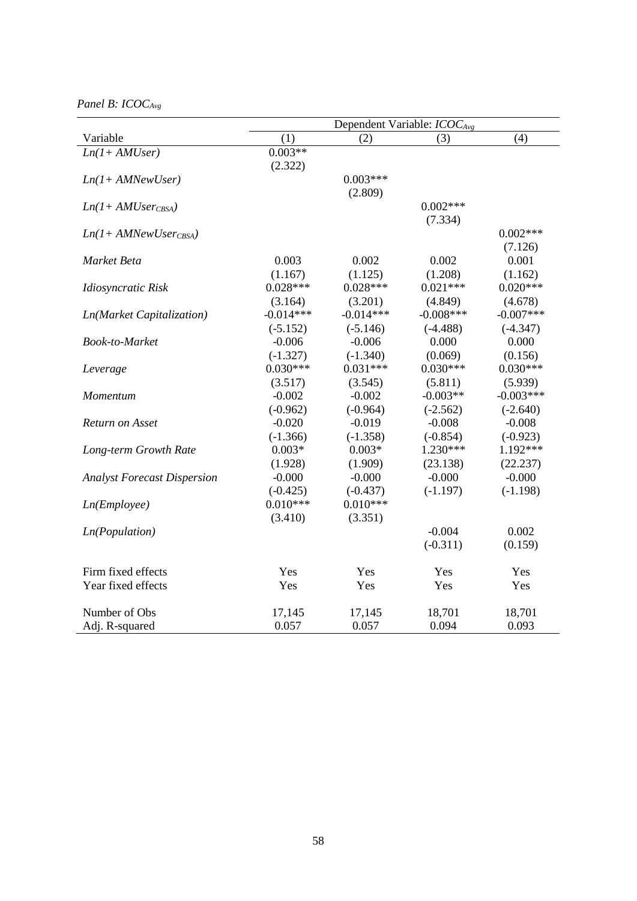*Panel B: ICOCAvg*

|                                    | Dependent Variable: $ICOC_{Avg}$ |             |             |             |
|------------------------------------|----------------------------------|-------------|-------------|-------------|
| Variable                           | (1)                              | (2)         | (3)         | (4)         |
| $Ln(1+AMUser)$                     | $0.003**$                        |             |             |             |
|                                    | (2.322)                          |             |             |             |
| $Ln(1+AMNewUser)$                  |                                  | $0.003***$  |             |             |
|                                    |                                  | (2.809)     |             |             |
| $Ln(1+AMUser_{CBSA})$              |                                  |             | $0.002***$  |             |
|                                    |                                  |             | (7.334)     |             |
| $Ln(1+AMNewUser_{CBSA})$           |                                  |             |             | $0.002***$  |
|                                    |                                  |             |             | (7.126)     |
| Market Beta                        | 0.003                            | 0.002       | 0.002       | 0.001       |
|                                    | (1.167)                          | (1.125)     | (1.208)     | (1.162)     |
| Idiosyncratic Risk                 | $0.028***$                       | $0.028***$  | $0.021***$  | $0.020***$  |
|                                    | (3.164)                          | (3.201)     | (4.849)     | (4.678)     |
| <b>Ln(Market Capitalization)</b>   | $-0.014***$                      | $-0.014***$ | $-0.008***$ | $-0.007***$ |
|                                    | $(-5.152)$                       | $(-5.146)$  | $(-4.488)$  | $(-4.347)$  |
| <b>Book-to-Market</b>              | $-0.006$                         | $-0.006$    | 0.000       | 0.000       |
|                                    | $(-1.327)$                       | $(-1.340)$  | (0.069)     | (0.156)     |
| Leverage                           | $0.030***$                       | $0.031***$  | $0.030***$  | $0.030***$  |
|                                    | (3.517)                          | (3.545)     | (5.811)     | (5.939)     |
| Momentum                           | $-0.002$                         | $-0.002$    | $-0.003**$  | $-0.003***$ |
|                                    | $(-0.962)$                       | $(-0.964)$  | $(-2.562)$  | $(-2.640)$  |
| Return on Asset                    | $-0.020$                         | $-0.019$    | $-0.008$    | $-0.008$    |
|                                    | $(-1.366)$                       | $(-1.358)$  | $(-0.854)$  | $(-0.923)$  |
| Long-term Growth Rate              | $0.003*$                         | $0.003*$    | $1.230***$  | 1.192***    |
|                                    | (1.928)                          | (1.909)     | (23.138)    | (22.237)    |
| <b>Analyst Forecast Dispersion</b> | $-0.000$                         | $-0.000$    | $-0.000$    | $-0.000$    |
|                                    | $(-0.425)$                       | $(-0.437)$  | $(-1.197)$  | $(-1.198)$  |
| Ln(Em plove)                       | $0.010***$                       | $0.010***$  |             |             |
|                                    | (3.410)                          | (3.351)     |             |             |
| Ln(Population)                     |                                  |             | $-0.004$    | 0.002       |
|                                    |                                  |             | $(-0.311)$  | (0.159)     |
| Firm fixed effects                 | Yes                              | Yes         | Yes         | Yes         |
| Year fixed effects                 | Yes                              | Yes         | Yes         | Yes         |
|                                    |                                  |             |             |             |
| Number of Obs                      | 17,145                           | 17,145      | 18,701      | 18,701      |
| Adj. R-squared                     | 0.057                            | 0.057       | 0.094       | 0.093       |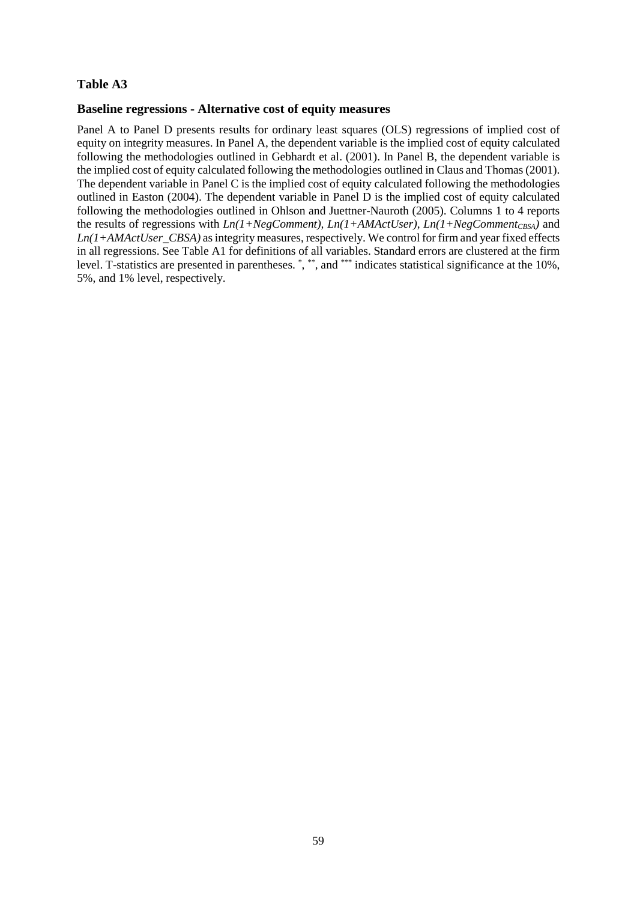### **Baseline regressions - Alternative cost of equity measures**

Panel A to Panel D presents results for ordinary least squares (OLS) regressions of implied cost of equity on integrity measures. In Panel A, the dependent variable is the implied cost of equity calculated following the methodologies outlined in Gebhardt et al. (2001). In Panel B, the dependent variable is the implied cost of equity calculated following the methodologies outlined in Claus and Thomas (2001). The dependent variable in Panel C is the implied cost of equity calculated following the methodologies outlined in Easton (2004). The dependent variable in Panel D is the implied cost of equity calculated following the methodologies outlined in Ohlson and Juettner-Nauroth (2005). Columns 1 to 4 reports the results of regressions with  $Ln(1+NegComment)$ ,  $Ln(1+AMActUser)$ ,  $Ln(1+NegComment_{CSA})$  and *Ln(1+AMActUser\_CBSA)* as integrity measures, respectively. We control for firm and year fixed effects in all regressions. See Table A1 for definitions of all variables. Standard errors are clustered at the firm level. T-statistics are presented in parentheses. \*, \*\*, and \*\*\* indicates statistical significance at the 10%, 5%, and 1% level, respectively.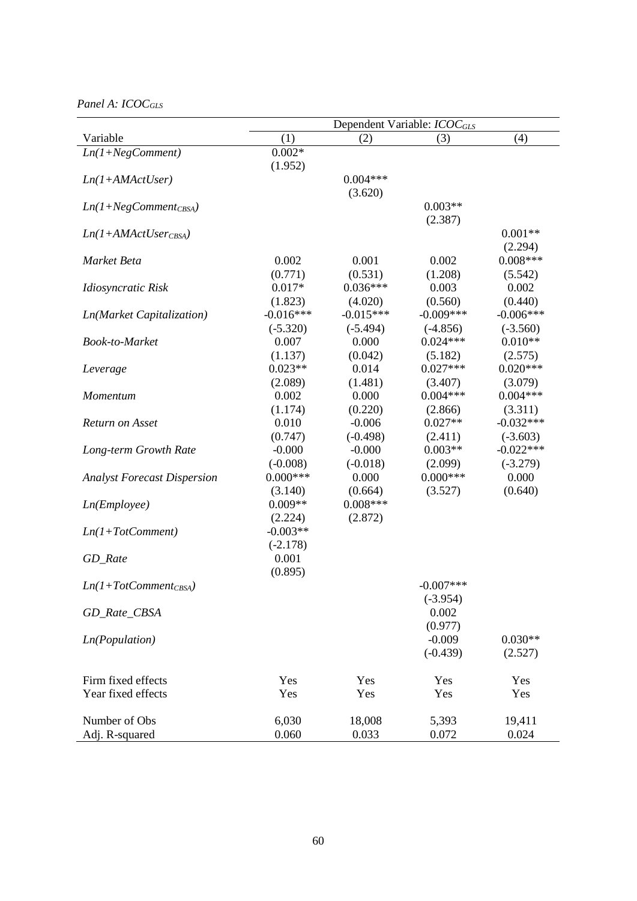# *Panel A: ICOCGLS*

|                                    | Dependent Variable: <i>ICOC<sub>GLS</sub></i> |                     |                          |                         |
|------------------------------------|-----------------------------------------------|---------------------|--------------------------|-------------------------|
| Variable                           | (1)                                           | (2)                 | (3)                      | (4)                     |
| $Ln(1+NegComment)$                 | $0.002*$                                      |                     |                          |                         |
|                                    | (1.952)                                       |                     |                          |                         |
| $Ln(1+AMActUser)$                  |                                               | $0.004***$          |                          |                         |
|                                    |                                               | (3.620)             |                          |                         |
| $Ln(1+NegComment_{CBSA})$          |                                               |                     | $0.003**$                |                         |
|                                    |                                               |                     | (2.387)                  |                         |
| $Ln(1+AMActUser_{CBSA})$           |                                               |                     |                          | $0.001**$               |
|                                    |                                               |                     |                          | (2.294)                 |
| Market Beta                        | 0.002                                         | 0.001               | 0.002                    | $0.008***$              |
|                                    | (0.771)                                       | (0.531)             | (1.208)                  | (5.542)                 |
| Idiosyncratic Risk                 | $0.017*$                                      | $0.036***$          | 0.003                    | 0.002                   |
|                                    | (1.823)                                       | (4.020)             | (0.560)                  | (0.440)                 |
| Ln(Market Capitalization)          | $-0.016***$                                   | $-0.015***$         | $-0.009***$              | $-0.006***$             |
|                                    | $(-5.320)$                                    | $(-5.494)$          | $(-4.856)$<br>$0.024***$ | $(-3.560)$<br>$0.010**$ |
| Book-to-Market                     | 0.007                                         | 0.000               |                          |                         |
|                                    | (1.137)                                       | (0.042)             | (5.182)<br>$0.027***$    | (2.575)<br>$0.020***$   |
| Leverage                           | $0.023**$                                     | 0.014               |                          |                         |
|                                    | (2.089)<br>0.002                              | (1.481)<br>0.000    | (3.407)<br>$0.004***$    | (3.079)<br>$0.004***$   |
| Momentum                           |                                               |                     | (2.866)                  |                         |
| Return on Asset                    | (1.174)<br>0.010                              | (0.220)<br>$-0.006$ | $0.027**$                | (3.311)<br>$-0.032***$  |
|                                    | (0.747)                                       | $(-0.498)$          | (2.411)                  | $(-3.603)$              |
| Long-term Growth Rate              | $-0.000$                                      | $-0.000$            | $0.003**$                | $-0.022***$             |
|                                    | $(-0.008)$                                    | $(-0.018)$          | (2.099)                  | $(-3.279)$              |
| <b>Analyst Forecast Dispersion</b> | $0.000***$                                    | 0.000               | $0.000***$               | 0.000                   |
|                                    | (3.140)                                       | (0.664)             | (3.527)                  | (0.640)                 |
| Ln(Em plope)                       | $0.009**$                                     | $0.008***$          |                          |                         |
|                                    | (2.224)                                       | (2.872)             |                          |                         |
| $Ln(1+TotComment)$                 | $-0.003**$                                    |                     |                          |                         |
|                                    | $(-2.178)$                                    |                     |                          |                         |
| GD_Rate                            | 0.001                                         |                     |                          |                         |
|                                    | (0.895)                                       |                     |                          |                         |
| $Ln(1+TotComment_{CBSA})$          |                                               |                     | $-0.007***$              |                         |
|                                    |                                               |                     | $(-3.954)$               |                         |
| GD_Rate_CBSA                       |                                               |                     | 0.002                    |                         |
|                                    |                                               |                     | (0.977)                  |                         |
| <i>Ln</i> (Population)             |                                               |                     | $-0.009$                 | $0.030**$               |
|                                    |                                               |                     | $(-0.439)$               | (2.527)                 |
|                                    |                                               |                     |                          |                         |
| Firm fixed effects                 | Yes                                           | Yes                 | Yes                      | Yes                     |
| Year fixed effects                 | Yes                                           | Yes                 | Yes                      | Yes                     |
|                                    |                                               |                     |                          |                         |
| Number of Obs                      | 6,030                                         | 18,008              | 5,393                    | 19,411                  |
| Adj. R-squared                     | 0.060                                         | 0.033               | 0.072                    | 0.024                   |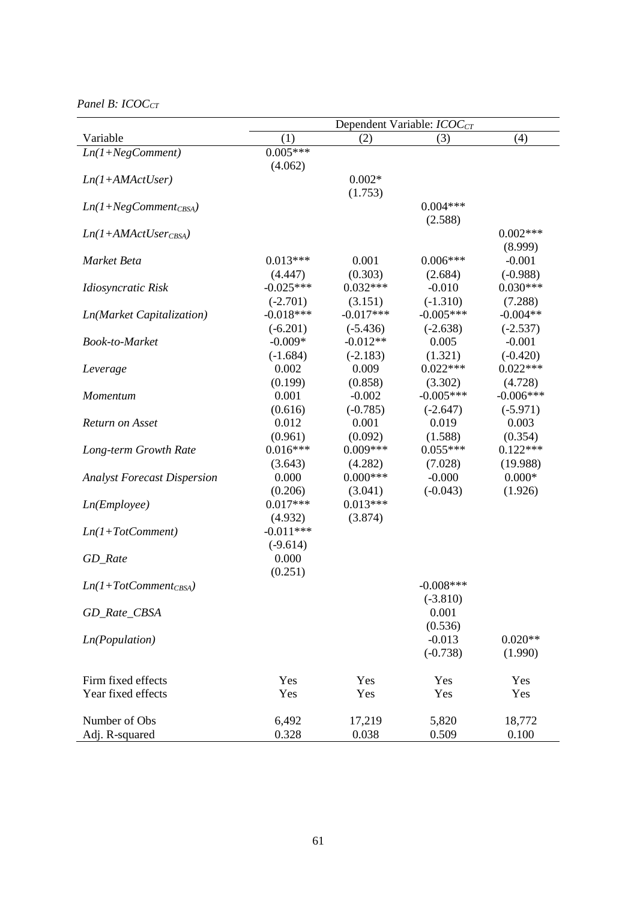*Panel B: ICOC<sub>CT</sub>* 

|                                    | Dependent Variable: ICOC <sub>CT</sub> |                       |                     |                          |
|------------------------------------|----------------------------------------|-----------------------|---------------------|--------------------------|
| Variable                           | (1)                                    | (2)                   | (3)                 | (4)                      |
| $Ln(1+NegComment)$                 | $0.005***$                             |                       |                     |                          |
|                                    | (4.062)                                |                       |                     |                          |
| $Ln(1+AMActUser)$                  |                                        | $0.002*$              |                     |                          |
|                                    |                                        | (1.753)               |                     |                          |
| $Ln(1+NegComment_{CBSA})$          |                                        |                       | $0.004***$          |                          |
|                                    |                                        |                       | (2.588)             |                          |
| $Ln(1+AMActUserCBSA)$              |                                        |                       |                     | $0.002***$               |
|                                    |                                        |                       |                     | (8.999)                  |
| Market Beta                        | $0.013***$                             | 0.001                 | $0.006***$          | $-0.001$                 |
|                                    | (4.447)<br>$-0.025***$                 | (0.303)<br>$0.032***$ | (2.684)<br>$-0.010$ | $(-0.988)$<br>$0.030***$ |
| Idiosyncratic Risk                 | $(-2.701)$                             | (3.151)               | $(-1.310)$          | (7.288)                  |
|                                    | $-0.018***$                            | $-0.017***$           | $-0.005***$         | $-0.004**$               |
| Ln(Market Capitalization)          | $(-6.201)$                             | $(-5.436)$            | $(-2.638)$          | $(-2.537)$               |
| Book-to-Market                     | $-0.009*$                              | $-0.012**$            | 0.005               | $-0.001$                 |
|                                    | $(-1.684)$                             | $(-2.183)$            | (1.321)             | $(-0.420)$               |
| Leverage                           | 0.002                                  | 0.009                 | $0.022***$          | $0.022***$               |
|                                    | (0.199)                                | (0.858)               | (3.302)             | (4.728)                  |
| Momentum                           | 0.001                                  | $-0.002$              | $-0.005***$         | $-0.006***$              |
|                                    | (0.616)                                | $(-0.785)$            | $(-2.647)$          | $(-5.971)$               |
| Return on Asset                    | 0.012                                  | 0.001                 | 0.019               | 0.003                    |
|                                    | (0.961)                                | (0.092)               | (1.588)             | (0.354)                  |
| Long-term Growth Rate              | $0.016***$                             | $0.009***$            | $0.055***$          | $0.122***$               |
|                                    | (3.643)                                | (4.282)               | (7.028)             | (19.988)                 |
| <b>Analyst Forecast Dispersion</b> | 0.000                                  | $0.000***$            | $-0.000$            | $0.000*$                 |
|                                    | (0.206)                                | (3.041)               | $(-0.043)$          | (1.926)                  |
| Ln(Em plope)                       | $0.017***$                             | $0.013***$            |                     |                          |
|                                    | (4.932)                                | (3.874)               |                     |                          |
| $Ln(1+TotComment)$                 | $-0.011***$                            |                       |                     |                          |
|                                    | $(-9.614)$                             |                       |                     |                          |
| GD_Rate                            | 0.000                                  |                       |                     |                          |
|                                    | (0.251)                                |                       |                     |                          |
| $Ln(1+TotComment_{CBSA})$          |                                        |                       | $-0.008$ ***        |                          |
|                                    |                                        |                       | $(-3.810)$          |                          |
| GD_Rate_CBSA                       |                                        |                       | 0.001               |                          |
|                                    |                                        |                       | (0.536)             |                          |
| <i>Ln</i> (Population)             |                                        |                       | $-0.013$            | $0.020**$                |
|                                    |                                        |                       | $(-0.738)$          | (1.990)                  |
|                                    |                                        |                       |                     |                          |
| Firm fixed effects                 | Yes                                    | Yes                   | Yes                 | Yes                      |
| Year fixed effects                 | Yes                                    | Yes                   | Yes                 | Yes                      |
| Number of Obs                      | 6,492                                  | 17,219                | 5,820               | 18,772                   |
| Adj. R-squared                     | 0.328                                  | 0.038                 | 0.509               | 0.100                    |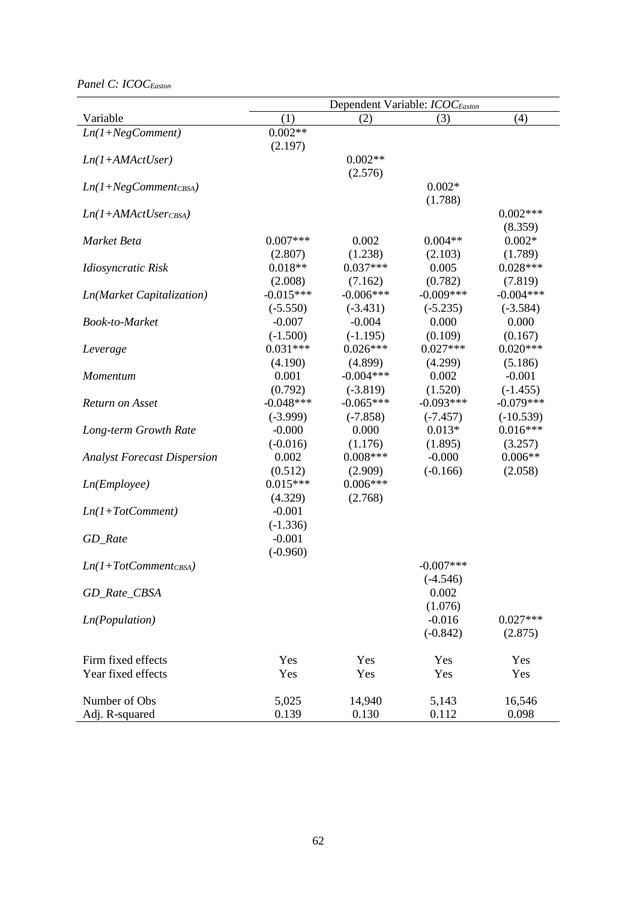*Panel C: ICOCEaston*

|                                    | Dependent Variable: ICOC <sub>Easton</sub> |                        |                  |                       |  |
|------------------------------------|--------------------------------------------|------------------------|------------------|-----------------------|--|
| Variable                           | (1)                                        | (2)                    | (3)              | (4)                   |  |
| $Ln(1+NegComment)$                 | $0.002**$                                  |                        |                  |                       |  |
|                                    | (2.197)                                    |                        |                  |                       |  |
| $Ln(1+AMActUser)$                  |                                            | $0.002**$              |                  |                       |  |
|                                    |                                            | (2.576)                |                  |                       |  |
| $Ln(1+NegComment_{CBSA})$          |                                            |                        | $0.002*$         |                       |  |
|                                    |                                            |                        | (1.788)          |                       |  |
| $Ln(1+AMActUserCBSA)$              |                                            |                        |                  | $0.002***$            |  |
|                                    |                                            |                        |                  | (8.359)               |  |
| Market Beta                        | $0.007***$                                 | 0.002                  | $0.004**$        | $0.002*$              |  |
|                                    | (2.807)<br>$0.018**$                       | (1.238)<br>$0.037***$  | (2.103)<br>0.005 | (1.789)<br>$0.028***$ |  |
| Idiosyncratic Risk                 | (2.008)                                    | (7.162)                | (0.782)          | (7.819)               |  |
|                                    | $-0.015***$                                | $-0.006***$            | $-0.009***$      | $-0.004***$           |  |
| Ln(Market Capitalization)          | $(-5.550)$                                 |                        | $(-5.235)$       | $(-3.584)$            |  |
| Book-to-Market                     | $-0.007$                                   | $(-3.431)$<br>$-0.004$ | 0.000            | 0.000                 |  |
|                                    | $(-1.500)$                                 | $(-1.195)$             | (0.109)          | (0.167)               |  |
| Leverage                           | $0.031***$                                 | $0.026***$             | $0.027***$       | $0.020***$            |  |
|                                    | (4.190)                                    | (4.899)                | (4.299)          | (5.186)               |  |
| Momentum                           | 0.001                                      | $-0.004***$            | 0.002            | $-0.001$              |  |
|                                    | (0.792)                                    | $(-3.819)$             | (1.520)          | $(-1.455)$            |  |
| Return on Asset                    | $-0.048***$                                | $-0.065***$            | $-0.093***$      | $-0.079***$           |  |
|                                    | $(-3.999)$                                 | $(-7.858)$             | $(-7.457)$       | $(-10.539)$           |  |
| Long-term Growth Rate              | $-0.000$                                   | 0.000                  | $0.013*$         | $0.016***$            |  |
|                                    | $(-0.016)$                                 | (1.176)                | (1.895)          | (3.257)               |  |
| <b>Analyst Forecast Dispersion</b> | 0.002                                      | $0.008***$             | $-0.000$         | $0.006**$             |  |
|                                    | (0.512)                                    | (2.909)                | $(-0.166)$       | (2.058)               |  |
| Ln(Em plope)                       | $0.015***$                                 | $0.006***$             |                  |                       |  |
|                                    | (4.329)                                    | (2.768)                |                  |                       |  |
| $Ln(1+TotComment)$                 | $-0.001$                                   |                        |                  |                       |  |
|                                    | $(-1.336)$                                 |                        |                  |                       |  |
| GD_Rate                            | $-0.001$                                   |                        |                  |                       |  |
|                                    | $(-0.960)$                                 |                        |                  |                       |  |
| $Ln(1+TotComment_{CBSA})$          |                                            |                        | $-0.007$ ***     |                       |  |
|                                    |                                            |                        | $(-4.546)$       |                       |  |
| GD_Rate_CBSA                       |                                            |                        | 0.002            |                       |  |
|                                    |                                            |                        | (1.076)          |                       |  |
| Ln(Population)                     |                                            |                        | $-0.016$         | $0.027***$            |  |
|                                    |                                            |                        | $(-0.842)$       | (2.875)               |  |
|                                    |                                            |                        |                  |                       |  |
| Firm fixed effects                 | Yes                                        | Yes                    | Yes              | Yes                   |  |
| Year fixed effects                 | Yes                                        | Yes                    | Yes              | Yes                   |  |
|                                    |                                            |                        |                  |                       |  |
| Number of Obs                      | 5,025                                      | 14,940                 | 5,143            | 16,546                |  |
| Adj. R-squared                     | 0.139                                      | 0.130                  | 0.112            | 0.098                 |  |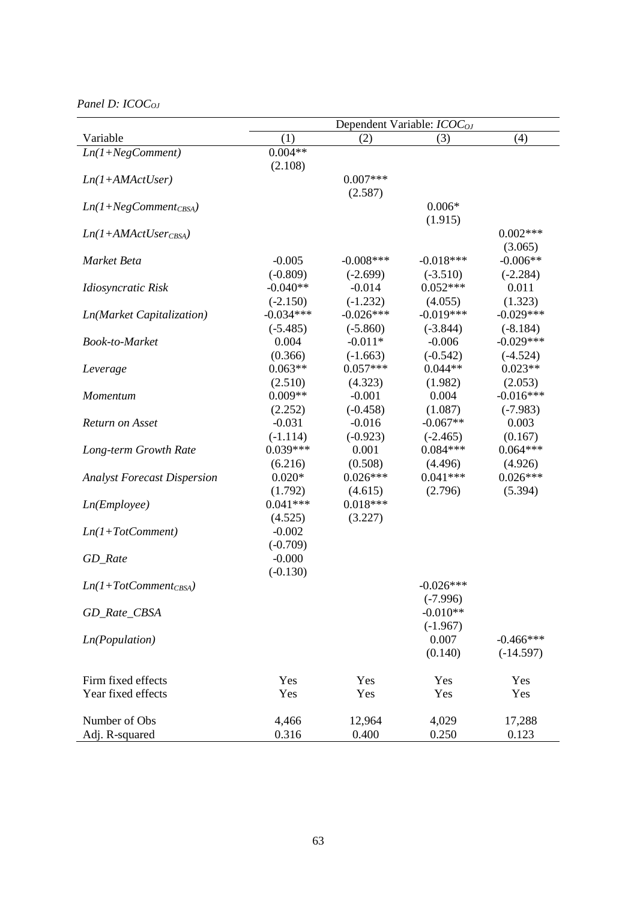*Panel D: ICOC<sub>OJ</sub>* 

| (1)<br>(4)<br>(2)<br>Variable<br>(3)<br>$0.004**$<br>$Ln(1+NegComment)$<br>(2.108)<br>$0.007***$<br>$Ln(1+AMActUser)$<br>(2.587)<br>$0.006*$<br>$Ln(1+NegComment_{CBSA})$<br>(1.915)<br>$0.002***$<br>$Ln(1+AMActUserCBSA)$<br>(3.065) |  |
|----------------------------------------------------------------------------------------------------------------------------------------------------------------------------------------------------------------------------------------|--|
|                                                                                                                                                                                                                                        |  |
|                                                                                                                                                                                                                                        |  |
|                                                                                                                                                                                                                                        |  |
|                                                                                                                                                                                                                                        |  |
|                                                                                                                                                                                                                                        |  |
|                                                                                                                                                                                                                                        |  |
|                                                                                                                                                                                                                                        |  |
|                                                                                                                                                                                                                                        |  |
|                                                                                                                                                                                                                                        |  |
| $-0.005$<br>$-0.018***$<br>$-0.006**$<br>$-0.008$ ***<br>Market Beta                                                                                                                                                                   |  |
| $(-0.809)$<br>$(-2.699)$<br>$(-3.510)$<br>$(-2.284)$                                                                                                                                                                                   |  |
| $0.052***$<br>$-0.040**$<br>$-0.014$<br>0.011<br>Idiosyncratic Risk                                                                                                                                                                    |  |
| $(-2.150)$<br>$(-1.232)$<br>(4.055)<br>(1.323)                                                                                                                                                                                         |  |
| $-0.034***$<br>$-0.019***$<br>$-0.029***$<br>$-0.026***$<br>Ln(Market Capitalization)                                                                                                                                                  |  |
| $(-5.485)$<br>$(-5.860)$<br>$(-3.844)$<br>$(-8.184)$                                                                                                                                                                                   |  |
| $-0.029***$<br>0.004<br>$-0.011*$<br>$-0.006$<br>Book-to-Market                                                                                                                                                                        |  |
| (0.366)<br>$(-0.542)$<br>$(-1.663)$<br>$(-4.524)$                                                                                                                                                                                      |  |
| $0.063**$<br>$0.057***$<br>$0.044**$<br>$0.023**$<br>Leverage                                                                                                                                                                          |  |
| (2.510)<br>(4.323)<br>(2.053)<br>(1.982)                                                                                                                                                                                               |  |
| $0.009**$<br>0.004<br>$-0.016***$<br>$-0.001$<br>Momentum                                                                                                                                                                              |  |
| (2.252)<br>$(-0.458)$<br>(1.087)<br>$(-7.983)$                                                                                                                                                                                         |  |
| $-0.067**$<br>$-0.031$<br>$-0.016$<br>0.003<br>Return on Asset                                                                                                                                                                         |  |
| $(-1.114)$<br>$(-0.923)$<br>(0.167)<br>$(-2.465)$                                                                                                                                                                                      |  |
| $0.039***$<br>$0.084***$<br>$0.064***$<br>0.001<br>Long-term Growth Rate                                                                                                                                                               |  |
| (0.508)<br>(6.216)<br>(4.496)<br>(4.926)                                                                                                                                                                                               |  |
| $0.020*$<br>$0.026***$<br>$0.041***$<br>$0.026***$<br><b>Analyst Forecast Dispersion</b>                                                                                                                                               |  |
| (1.792)<br>(4.615)<br>(2.796)<br>(5.394)                                                                                                                                                                                               |  |
| $0.041***$<br>$0.018***$<br>Ln(Em ployee)                                                                                                                                                                                              |  |
| (4.525)<br>(3.227)                                                                                                                                                                                                                     |  |
| $-0.002$<br>$Ln(1+TotComment)$                                                                                                                                                                                                         |  |
| $(-0.709)$                                                                                                                                                                                                                             |  |
| $-0.000$<br>GD_Rate                                                                                                                                                                                                                    |  |
| $(-0.130)$<br>$-0.026***$                                                                                                                                                                                                              |  |
| $Ln(1+TotComment_{CBSA})$                                                                                                                                                                                                              |  |
| $(-7.996)$<br>$-0.010**$                                                                                                                                                                                                               |  |
| GD_Rate_CBSA                                                                                                                                                                                                                           |  |
| $(-1.967)$<br>0.007<br><i>Ln</i> (Population)<br>$-0.466***$                                                                                                                                                                           |  |
| (0.140)<br>$(-14.597)$                                                                                                                                                                                                                 |  |
|                                                                                                                                                                                                                                        |  |
| Firm fixed effects<br>Yes<br>Yes<br>Yes<br>Yes                                                                                                                                                                                         |  |
| Year fixed effects<br>Yes<br>Yes<br>Yes<br>Yes                                                                                                                                                                                         |  |
|                                                                                                                                                                                                                                        |  |
| 4,466<br>12,964<br>Number of Obs<br>4,029<br>17,288                                                                                                                                                                                    |  |
| 0.316<br>0.400<br>0.250<br>Adj. R-squared<br>0.123                                                                                                                                                                                     |  |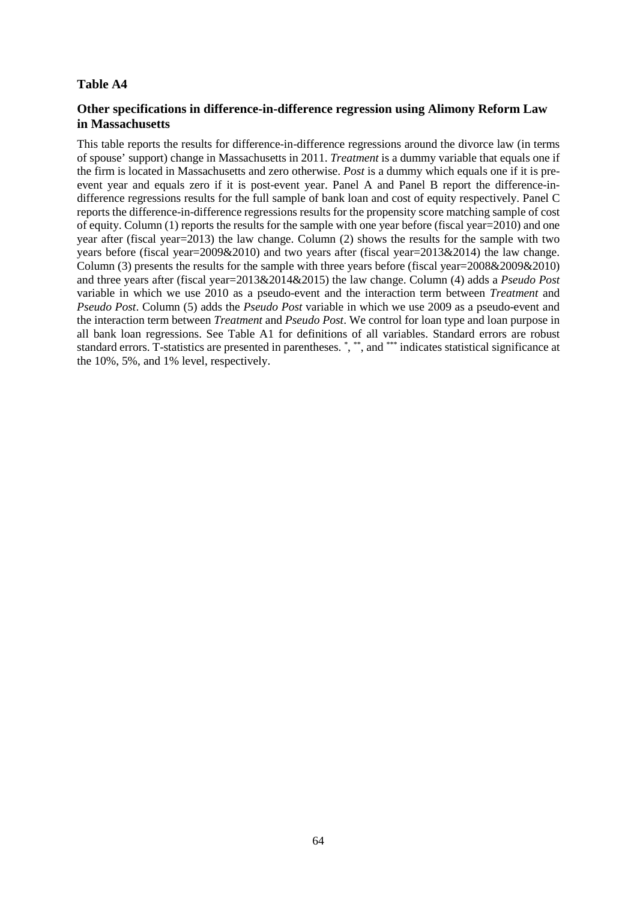# **Other specifications in difference-in-difference regression using Alimony Reform Law in Massachusetts**

This table reports the results for difference-in-difference regressions around the divorce law (in terms of spouse' support) change in Massachusetts in 2011. *Treatment* is a dummy variable that equals one if the firm is located in Massachusetts and zero otherwise. *Post* is a dummy which equals one if it is preevent year and equals zero if it is post-event year. Panel A and Panel B report the difference-indifference regressions results for the full sample of bank loan and cost of equity respectively. Panel C reports the difference-in-difference regressions results for the propensity score matching sample of cost of equity. Column (1) reports the results for the sample with one year before (fiscal year=2010) and one year after (fiscal year=2013) the law change. Column (2) shows the results for the sample with two years before (fiscal year=2009&2010) and two years after (fiscal year=2013&2014) the law change. Column (3) presents the results for the sample with three years before (fiscal year=2008&2009&2010) and three years after (fiscal year=2013&2014&2015) the law change. Column (4) adds a *Pseudo Post* variable in which we use 2010 as a pseudo-event and the interaction term between *Treatment* and *Pseudo Post*. Column (5) adds the *Pseudo Post* variable in which we use 2009 as a pseudo-event and the interaction term between *Treatment* and *Pseudo Post*. We control for loan type and loan purpose in all bank loan regressions. See Table A1 for definitions of all variables. Standard errors are robust standard errors. T-statistics are presented in parentheses. \*, \*\*, and \*\*\* indicates statistical significance at the 10%, 5%, and 1% level, respectively.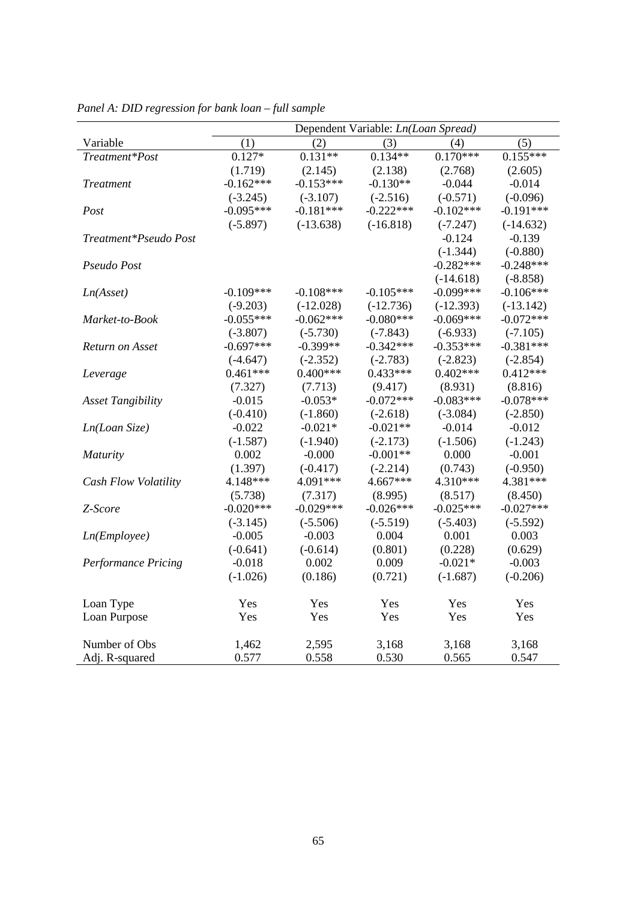|                            | Dependent Variable: Ln(Loan Spread) |             |             |             |             |
|----------------------------|-------------------------------------|-------------|-------------|-------------|-------------|
| Variable                   | (1)                                 | (2)         | (3)         | (4)         | (5)         |
| Treatment*Post             | $0.127*$                            | $0.131**$   | $0.134**$   | $0.170***$  | $0.155***$  |
|                            | (1.719)                             | (2.145)     | (2.138)     | (2.768)     | (2.605)     |
| <b>Treatment</b>           | $-0.162***$                         | $-0.153***$ | $-0.130**$  | $-0.044$    | $-0.014$    |
|                            | $(-3.245)$                          | $(-3.107)$  | $(-2.516)$  | $(-0.571)$  | $(-0.096)$  |
| Post                       | $-0.095***$                         | $-0.181***$ | $-0.222***$ | $-0.102***$ | $-0.191***$ |
|                            | $(-5.897)$                          | $(-13.638)$ | $(-16.818)$ | $(-7.247)$  | $(-14.632)$ |
| Treatment*Pseudo Post      |                                     |             |             | $-0.124$    | $-0.139$    |
|                            |                                     |             |             | $(-1.344)$  | $(-0.880)$  |
| Pseudo Post                |                                     |             |             | $-0.282***$ | $-0.248***$ |
|                            |                                     |             |             | $(-14.618)$ | $(-8.858)$  |
| Ln(Asset)                  | $-0.109***$                         | $-0.108***$ | $-0.105***$ | $-0.099***$ | $-0.106***$ |
|                            | $(-9.203)$                          | $(-12.028)$ | $(-12.736)$ | $(-12.393)$ | $(-13.142)$ |
| Market-to-Book             | $-0.055***$                         | $-0.062***$ | $-0.080***$ | $-0.069***$ | $-0.072***$ |
|                            | $(-3.807)$                          | $(-5.730)$  | $(-7.843)$  | $(-6.933)$  | $(-7.105)$  |
| Return on Asset            | $-0.697***$                         | $-0.399**$  | $-0.342***$ | $-0.353***$ | $-0.381***$ |
|                            | $(-4.647)$                          | $(-2.352)$  | $(-2.783)$  | $(-2.823)$  | $(-2.854)$  |
| Leverage                   | $0.461***$                          | $0.400***$  | $0.433***$  | $0.402***$  | $0.412***$  |
|                            | (7.327)                             | (7.713)     | (9.417)     | (8.931)     | (8.816)     |
| <b>Asset Tangibility</b>   | $-0.015$                            | $-0.053*$   | $-0.072***$ | $-0.083***$ | $-0.078***$ |
|                            | $(-0.410)$                          | $(-1.860)$  | $(-2.618)$  | $(-3.084)$  | $(-2.850)$  |
| Ln(Loan Size)              | $-0.022$                            | $-0.021*$   | $-0.021**$  | $-0.014$    | $-0.012$    |
|                            | $(-1.587)$                          | $(-1.940)$  | $(-2.173)$  | $(-1.506)$  | $(-1.243)$  |
| <b>Maturity</b>            | 0.002                               | $-0.000$    | $-0.001**$  | 0.000       | $-0.001$    |
|                            | (1.397)                             | $(-0.417)$  | $(-2.214)$  | (0.743)     | $(-0.950)$  |
| Cash Flow Volatility       | 4.148***                            | 4.091***    | 4.667***    | 4.310***    | 4.381***    |
|                            | (5.738)                             | (7.317)     | (8.995)     | (8.517)     | (8.450)     |
| Z-Score                    | $-0.020***$                         | $-0.029***$ | $-0.026***$ | $-0.025***$ | $-0.027***$ |
|                            | $(-3.145)$                          | $(-5.506)$  | $(-5.519)$  | $(-5.403)$  | $(-5.592)$  |
| Ln(Em ployee)              | $-0.005$                            | $-0.003$    | 0.004       | 0.001       | 0.003       |
|                            | $(-0.641)$                          | $(-0.614)$  | (0.801)     | (0.228)     | (0.629)     |
| <b>Performance Pricing</b> | $-0.018$                            | 0.002       | 0.009       | $-0.021*$   | $-0.003$    |
|                            | $(-1.026)$                          | (0.186)     | (0.721)     | $(-1.687)$  | $(-0.206)$  |
| Loan Type                  | Yes                                 | Yes         | Yes         | Yes         | Yes         |
| Loan Purpose               | Yes                                 | Yes         | Yes         | Yes         | Yes         |
|                            |                                     |             |             |             |             |
| Number of Obs              | 1,462                               | 2,595       | 3,168       | 3,168       | 3,168       |
| Adj. R-squared             | 0.577                               | 0.558       | 0.530       | 0.565       | 0.547       |

*Panel A: DID regression for bank loan – full sample*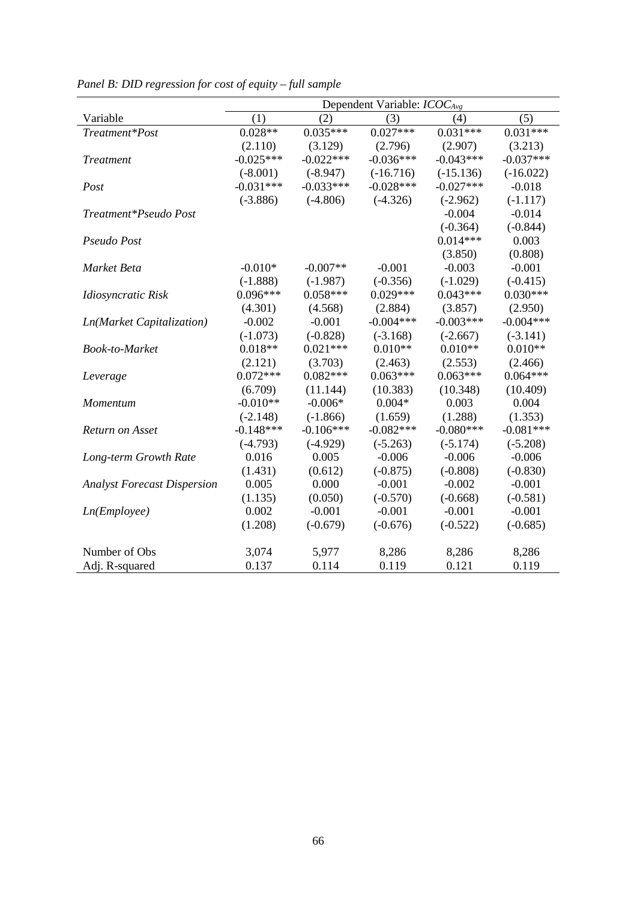|                                    | Dependent Variable: $ICOC_{Avg}$ |             |             |             |             |
|------------------------------------|----------------------------------|-------------|-------------|-------------|-------------|
| Variable                           | (1)                              | (2)         | (3)         | (4)         | (5)         |
| Treatment*Post                     | $0.028**$                        | $0.035***$  | $0.027***$  | $0.031***$  | $0.031***$  |
|                                    | (2.110)                          | (3.129)     | (2.796)     | (2.907)     | (3.213)     |
| <b>Treatment</b>                   | $-0.025***$                      | $-0.022***$ | $-0.036***$ | $-0.043***$ | $-0.037***$ |
|                                    | $(-8.001)$                       | $(-8.947)$  | $(-16.716)$ | $(-15.136)$ | $(-16.022)$ |
| Post                               | $-0.031***$                      | $-0.033***$ | $-0.028***$ | $-0.027***$ | $-0.018$    |
|                                    | $(-3.886)$                       | $(-4.806)$  | $(-4.326)$  | $(-2.962)$  | $(-1.117)$  |
| Treatment*Pseudo Post              |                                  |             |             | $-0.004$    | $-0.014$    |
|                                    |                                  |             |             | $(-0.364)$  | $(-0.844)$  |
| Pseudo Post                        |                                  |             |             | $0.014***$  | 0.003       |
|                                    |                                  |             |             | (3.850)     | (0.808)     |
| Market Beta                        | $-0.010*$                        | $-0.007**$  | $-0.001$    | $-0.003$    | $-0.001$    |
|                                    | $(-1.888)$                       | $(-1.987)$  | $(-0.356)$  | $(-1.029)$  | $(-0.415)$  |
| Idiosyncratic Risk                 | $0.096***$                       | $0.058***$  | $0.029***$  | $0.043***$  | $0.030***$  |
|                                    | (4.301)                          | (4.568)     | (2.884)     | (3.857)     | (2.950)     |
| <b>Ln(Market Capitalization)</b>   | $-0.002$                         | $-0.001$    | $-0.004***$ | $-0.003***$ | $-0.004***$ |
|                                    | $(-1.073)$                       | $(-0.828)$  | $(-3.168)$  | $(-2.667)$  | $(-3.141)$  |
| Book-to-Market                     | $0.018**$                        | $0.021***$  | $0.010**$   | $0.010**$   | $0.010**$   |
|                                    | (2.121)                          | (3.703)     | (2.463)     | (2.553)     | (2.466)     |
| Leverage                           | $0.072***$                       | $0.082***$  | $0.063***$  | $0.063***$  | $0.064***$  |
|                                    | (6.709)                          | (11.144)    | (10.383)    | (10.348)    | (10.409)    |
| Momentum                           | $-0.010**$                       | $-0.006*$   | $0.004*$    | 0.003       | 0.004       |
|                                    | $(-2.148)$                       | $(-1.866)$  | (1.659)     | (1.288)     | (1.353)     |
| Return on Asset                    | $-0.148***$                      | $-0.106***$ | $-0.082***$ | $-0.080***$ | $-0.081***$ |
|                                    | $(-4.793)$                       | $(-4.929)$  | $(-5.263)$  | $(-5.174)$  | $(-5.208)$  |
| Long-term Growth Rate              | 0.016                            | 0.005       | $-0.006$    | $-0.006$    | $-0.006$    |
|                                    | (1.431)                          | (0.612)     | $(-0.875)$  | $(-0.808)$  | $(-0.830)$  |
| <b>Analyst Forecast Dispersion</b> | 0.005                            | 0.000       | $-0.001$    | $-0.002$    | $-0.001$    |
|                                    | (1.135)                          | (0.050)     | $(-0.570)$  | $(-0.668)$  | $(-0.581)$  |
| Ln(Em ployee)                      | 0.002                            | $-0.001$    | $-0.001$    | $-0.001$    | $-0.001$    |
|                                    | (1.208)                          | $(-0.679)$  | $(-0.676)$  | $(-0.522)$  | $(-0.685)$  |
|                                    |                                  |             |             |             |             |
| Number of Obs                      | 3,074                            | 5,977       | 8,286       | 8,286       | 8,286       |
| Adj. R-squared                     | 0.137                            | 0.114       | 0.119       | 0.121       | 0.119       |

*Panel B: DID regression for cost of equity – full sample*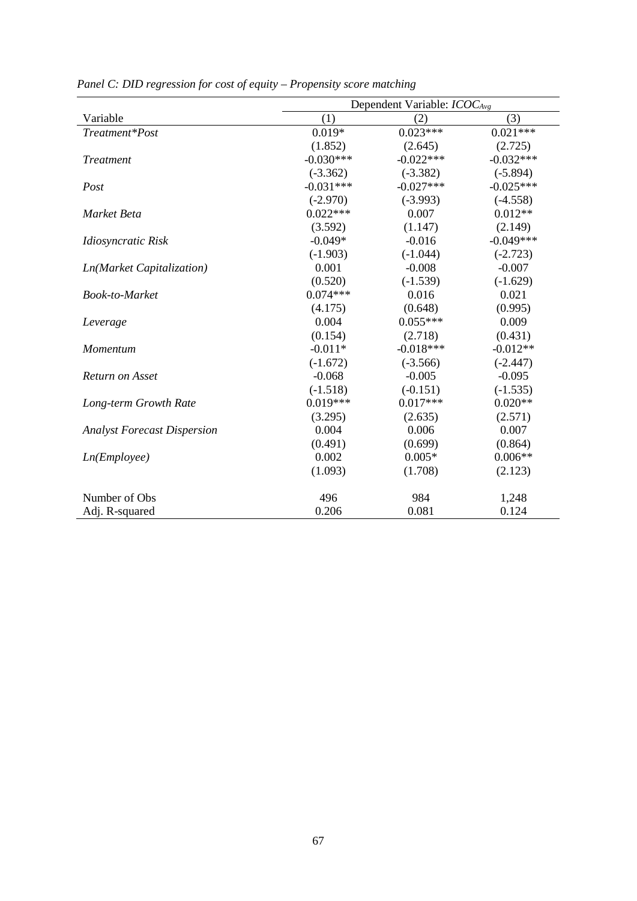|                                    | Dependent Variable: ICOC <sub>Avg</sub> |             |             |  |
|------------------------------------|-----------------------------------------|-------------|-------------|--|
| Variable                           | (1)                                     | (2)         | (3)         |  |
| Treatment*Post                     | $0.019*$                                | $0.023***$  | $0.021***$  |  |
|                                    | (1.852)                                 | (2.645)     | (2.725)     |  |
| <b>Treatment</b>                   | $-0.030***$                             | $-0.022***$ | $-0.032***$ |  |
|                                    | $(-3.362)$                              | $(-3.382)$  | $(-5.894)$  |  |
| Post                               | $-0.031***$                             | $-0.027***$ | $-0.025***$ |  |
|                                    | $(-2.970)$                              | $(-3.993)$  | $(-4.558)$  |  |
| Market Beta                        | $0.022***$                              | 0.007       | $0.012**$   |  |
|                                    | (3.592)                                 | (1.147)     | (2.149)     |  |
| Idiosyncratic Risk                 | $-0.049*$                               | $-0.016$    | $-0.049***$ |  |
|                                    | $(-1.903)$                              | $(-1.044)$  | $(-2.723)$  |  |
| Ln(Market Capitalization)          | 0.001                                   | $-0.008$    | $-0.007$    |  |
|                                    | (0.520)                                 | $(-1.539)$  | $(-1.629)$  |  |
| <b>Book-to-Market</b>              | $0.074***$                              | 0.016       | 0.021       |  |
|                                    | (4.175)                                 | (0.648)     | (0.995)     |  |
| Leverage                           | 0.004                                   | $0.055***$  | 0.009       |  |
|                                    | (0.154)                                 | (2.718)     | (0.431)     |  |
| Momentum                           | $-0.011*$                               | $-0.018***$ | $-0.012**$  |  |
|                                    | $(-1.672)$                              | $(-3.566)$  | $(-2.447)$  |  |
| Return on Asset                    | $-0.068$                                | $-0.005$    | $-0.095$    |  |
|                                    | $(-1.518)$                              | $(-0.151)$  | $(-1.535)$  |  |
| Long-term Growth Rate              | $0.019***$                              | $0.017***$  | $0.020**$   |  |
|                                    | (3.295)                                 | (2.635)     | (2.571)     |  |
| <b>Analyst Forecast Dispersion</b> | 0.004                                   | 0.006       | 0.007       |  |
|                                    | (0.491)                                 | (0.699)     | (0.864)     |  |
| Ln(Em ployee)                      | 0.002                                   | $0.005*$    | $0.006**$   |  |
|                                    | (1.093)                                 | (1.708)     | (2.123)     |  |
| Number of Obs                      | 496                                     | 984         | 1,248       |  |
| Adj. R-squared                     | 0.206                                   | 0.081       | 0.124       |  |

*Panel C: DID regression for cost of equity – Propensity score matching*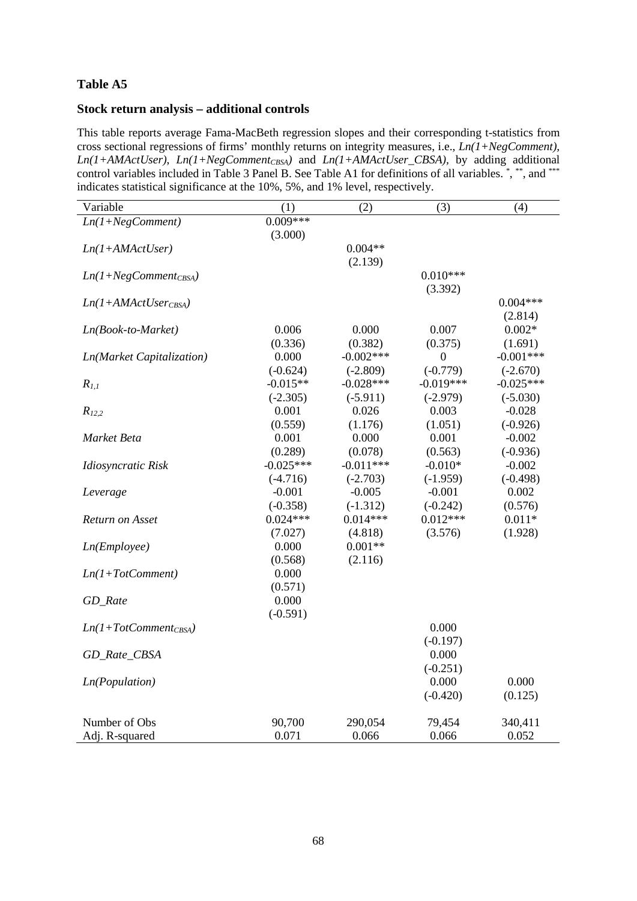### **Stock return analysis – additional controls**

This table reports average Fama-MacBeth regression slopes and their corresponding t-statistics from cross sectional regressions of firms' monthly returns on integrity measures, i.e., *Ln(1+NegComment), Ln(1+AMActUser)*, *Ln(1+NegComment<sub>CBSA</sub>)* and *Ln(1+AMActUser\_CBSA)*, by adding additional control variables included in Table 3 Panel B. See Table A1 for definitions of all variables. \*, \*\*, and \*\*\* indicates statistical significance at the 10%, 5%, and 1% level, respectively.

| Variable                  | (1)         | (2)         | (3)              | (4)         |
|---------------------------|-------------|-------------|------------------|-------------|
| $Ln(1+NegComment)$        | $0.009***$  |             |                  |             |
|                           | (3.000)     |             |                  |             |
| $Ln(1+AMActUser)$         |             | $0.004**$   |                  |             |
|                           |             | (2.139)     |                  |             |
| $Ln(1+NegComment_{CBSA})$ |             |             | $0.010***$       |             |
|                           |             |             | (3.392)          |             |
| $Ln(1+AMActUser_{CBSA})$  |             |             |                  | $0.004***$  |
|                           |             |             |                  | (2.814)     |
| Ln(Book-to-Market)        | 0.006       | 0.000       | 0.007            | $0.002*$    |
|                           | (0.336)     | (0.382)     | (0.375)          | (1.691)     |
| Ln(Market Capitalization) | 0.000       | $-0.002***$ | $\boldsymbol{0}$ | $-0.001***$ |
|                           | $(-0.624)$  | $(-2.809)$  | $(-0.779)$       | $(-2.670)$  |
| $R_{1,1}$                 | $-0.015**$  | $-0.028***$ | $-0.019***$      | $-0.025***$ |
|                           | $(-2.305)$  | $(-5.911)$  | $(-2.979)$       | $(-5.030)$  |
| $R_{12,2}$                | 0.001       | 0.026       | 0.003            | $-0.028$    |
|                           | (0.559)     | (1.176)     | (1.051)          | $(-0.926)$  |
| Market Beta               | 0.001       | 0.000       | 0.001            | $-0.002$    |
|                           | (0.289)     | (0.078)     | (0.563)          | $(-0.936)$  |
| Idiosyncratic Risk        | $-0.025***$ | $-0.011***$ | $-0.010*$        | $-0.002$    |
|                           | $(-4.716)$  | $(-2.703)$  | $(-1.959)$       | $(-0.498)$  |
| Leverage                  | $-0.001$    | $-0.005$    | $-0.001$         | 0.002       |
|                           | $(-0.358)$  | $(-1.312)$  | $(-0.242)$       | (0.576)     |
| Return on Asset           | $0.024***$  | $0.014***$  | $0.012***$       | $0.011*$    |
|                           | (7.027)     | (4.818)     | (3.576)          | (1.928)     |
| Ln(Em ployee)             | 0.000       | $0.001**$   |                  |             |
|                           | (0.568)     | (2.116)     |                  |             |
| $Ln(1+TotComment)$        | 0.000       |             |                  |             |
|                           | (0.571)     |             |                  |             |
| GD_Rate                   | 0.000       |             |                  |             |
|                           | $(-0.591)$  |             |                  |             |
| $Ln(1+TotComment_{CBSA})$ |             |             | 0.000            |             |
|                           |             |             | $(-0.197)$       |             |
| GD_Rate_CBSA              |             |             | 0.000            |             |
|                           |             |             | $(-0.251)$       | 0.000       |
| <i>Ln</i> (Population)    |             |             | 0.000            |             |
|                           |             |             | $(-0.420)$       | (0.125)     |
| Number of Obs             | 90,700      | 290,054     | 79,454           | 340,411     |
| Adj. R-squared            | 0.071       | 0.066       | 0.066            | 0.052       |